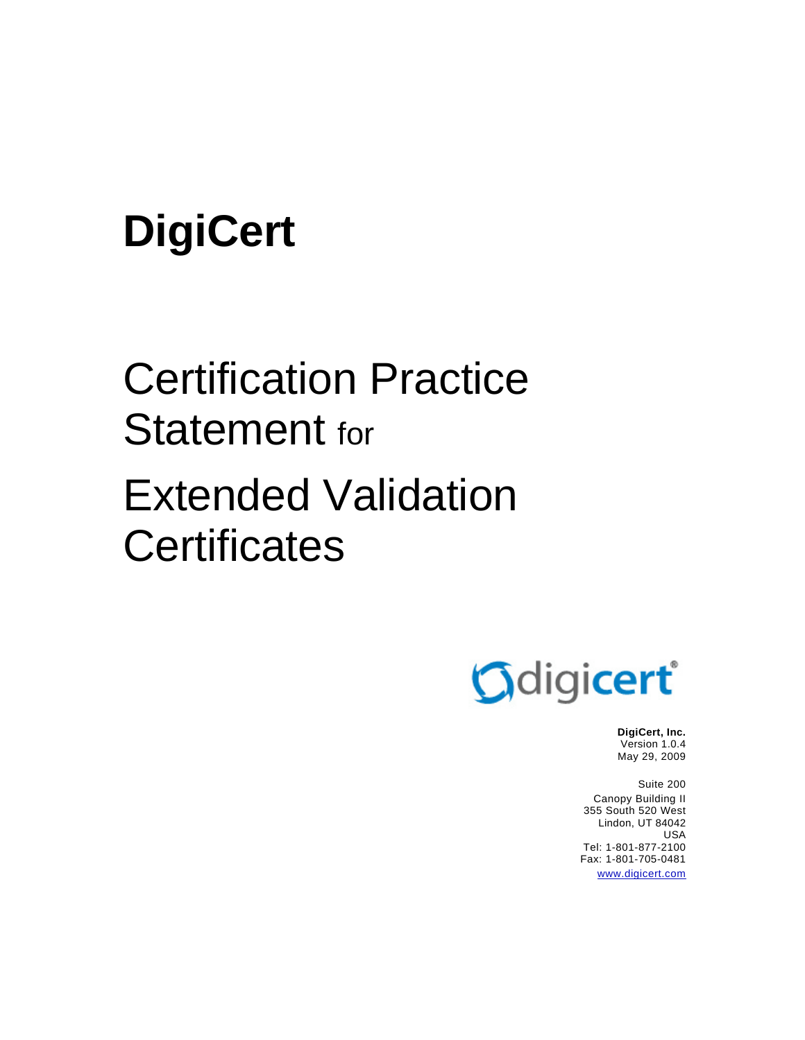# **DigiCert**

# Certification Practice Statement for Extended Validation **Certificates**



**DigiCert, Inc.**  Version 1.0.4 May 29, 2009

Suite 200 Canopy Building II 355 South 520 West Lindon, UT 84042 USA Tel: 1-801-877-2100 Fax: 1-801-705-0481 www.digicert.com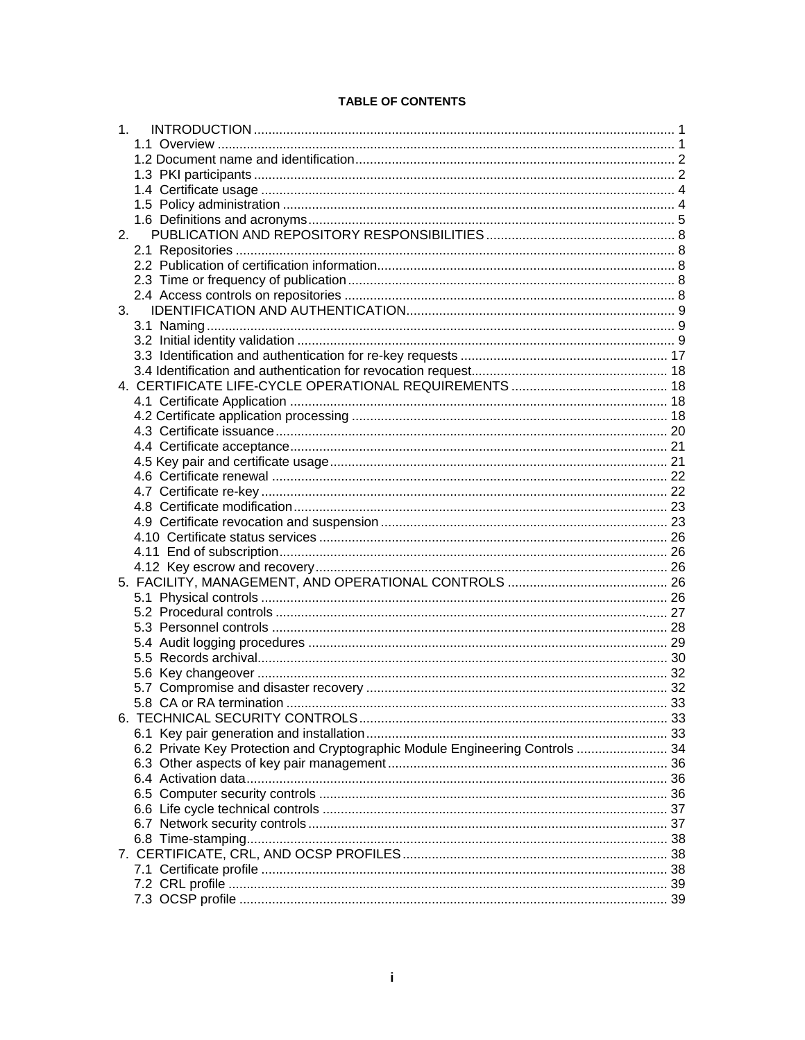#### **TABLE OF CONTENTS**

| 1.                                                                           |  |
|------------------------------------------------------------------------------|--|
|                                                                              |  |
|                                                                              |  |
|                                                                              |  |
|                                                                              |  |
|                                                                              |  |
|                                                                              |  |
| 2.                                                                           |  |
|                                                                              |  |
|                                                                              |  |
|                                                                              |  |
|                                                                              |  |
|                                                                              |  |
|                                                                              |  |
|                                                                              |  |
|                                                                              |  |
|                                                                              |  |
|                                                                              |  |
|                                                                              |  |
|                                                                              |  |
|                                                                              |  |
|                                                                              |  |
|                                                                              |  |
|                                                                              |  |
|                                                                              |  |
|                                                                              |  |
|                                                                              |  |
|                                                                              |  |
|                                                                              |  |
|                                                                              |  |
|                                                                              |  |
|                                                                              |  |
|                                                                              |  |
|                                                                              |  |
|                                                                              |  |
|                                                                              |  |
|                                                                              |  |
|                                                                              |  |
|                                                                              |  |
|                                                                              |  |
|                                                                              |  |
|                                                                              |  |
| 6.2 Private Key Protection and Cryptographic Module Engineering Controls  34 |  |
|                                                                              |  |
|                                                                              |  |
|                                                                              |  |
|                                                                              |  |
|                                                                              |  |
|                                                                              |  |
|                                                                              |  |
|                                                                              |  |
|                                                                              |  |
|                                                                              |  |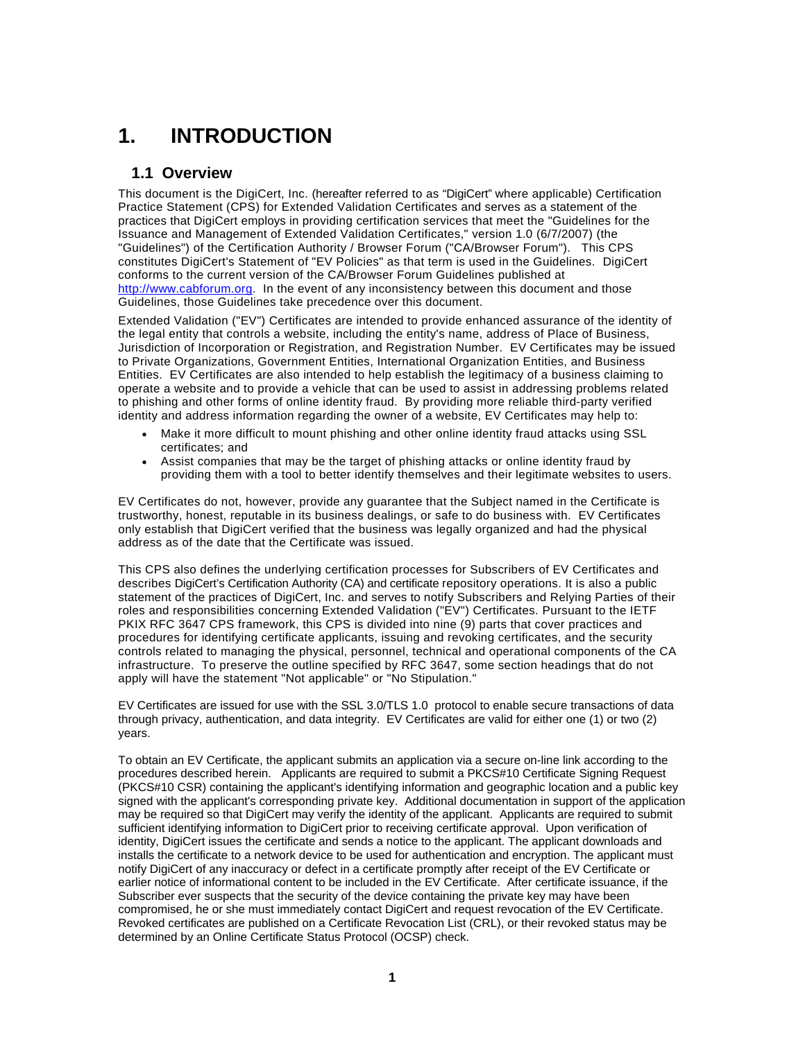# **1. INTRODUCTION**

# **1.1 Overview**

This document is the DigiCert, Inc. (hereafter referred to as "DigiCert" where applicable) Certification Practice Statement (CPS) for Extended Validation Certificates and serves as a statement of the practices that DigiCert employs in providing certification services that meet the "Guidelines for the Issuance and Management of Extended Validation Certificates," version 1.0 (6/7/2007) (the "Guidelines") of the Certification Authority / Browser Forum ("CA/Browser Forum"). This CPS constitutes DigiCert's Statement of "EV Policies" as that term is used in the Guidelines. DigiCert conforms to the current version of the CA/Browser Forum Guidelines published at http://www.cabforum.org. In the event of any inconsistency between this document and those Guidelines, those Guidelines take precedence over this document.

Extended Validation ("EV") Certificates are intended to provide enhanced assurance of the identity of the legal entity that controls a website, including the entity's name, address of Place of Business, Jurisdiction of Incorporation or Registration, and Registration Number. EV Certificates may be issued to Private Organizations, Government Entities, International Organization Entities, and Business Entities. EV Certificates are also intended to help establish the legitimacy of a business claiming to operate a website and to provide a vehicle that can be used to assist in addressing problems related to phishing and other forms of online identity fraud. By providing more reliable third-party verified identity and address information regarding the owner of a website, EV Certificates may help to:

- Make it more difficult to mount phishing and other online identity fraud attacks using SSL certificates; and
- Assist companies that may be the target of phishing attacks or online identity fraud by providing them with a tool to better identify themselves and their legitimate websites to users.

EV Certificates do not, however, provide any guarantee that the Subject named in the Certificate is trustworthy, honest, reputable in its business dealings, or safe to do business with. EV Certificates only establish that DigiCert verified that the business was legally organized and had the physical address as of the date that the Certificate was issued.

This CPS also defines the underlying certification processes for Subscribers of EV Certificates and describes DigiCert's Certification Authority (CA) and certificate repository operations. It is also a public statement of the practices of DigiCert, Inc. and serves to notify Subscribers and Relying Parties of their roles and responsibilities concerning Extended Validation ("EV") Certificates. Pursuant to the IETF PKIX RFC 3647 CPS framework, this CPS is divided into nine (9) parts that cover practices and procedures for identifying certificate applicants, issuing and revoking certificates, and the security controls related to managing the physical, personnel, technical and operational components of the CA infrastructure. To preserve the outline specified by RFC 3647, some section headings that do not apply will have the statement "Not applicable" or "No Stipulation."

EV Certificates are issued for use with the SSL 3.0/TLS 1.0 protocol to enable secure transactions of data through privacy, authentication, and data integrity. EV Certificates are valid for either one (1) or two (2) years.

To obtain an EV Certificate, the applicant submits an application via a secure on-line link according to the procedures described herein. Applicants are required to submit a PKCS#10 Certificate Signing Request (PKCS#10 CSR) containing the applicant's identifying information and geographic location and a public key signed with the applicant's corresponding private key. Additional documentation in support of the application may be required so that DigiCert may verify the identity of the applicant. Applicants are required to submit sufficient identifying information to DigiCert prior to receiving certificate approval. Upon verification of identity, DigiCert issues the certificate and sends a notice to the applicant. The applicant downloads and installs the certificate to a network device to be used for authentication and encryption. The applicant must notify DigiCert of any inaccuracy or defect in a certificate promptly after receipt of the EV Certificate or earlier notice of informational content to be included in the EV Certificate. After certificate issuance, if the Subscriber ever suspects that the security of the device containing the private key may have been compromised, he or she must immediately contact DigiCert and request revocation of the EV Certificate. Revoked certificates are published on a Certificate Revocation List (CRL), or their revoked status may be determined by an Online Certificate Status Protocol (OCSP) check.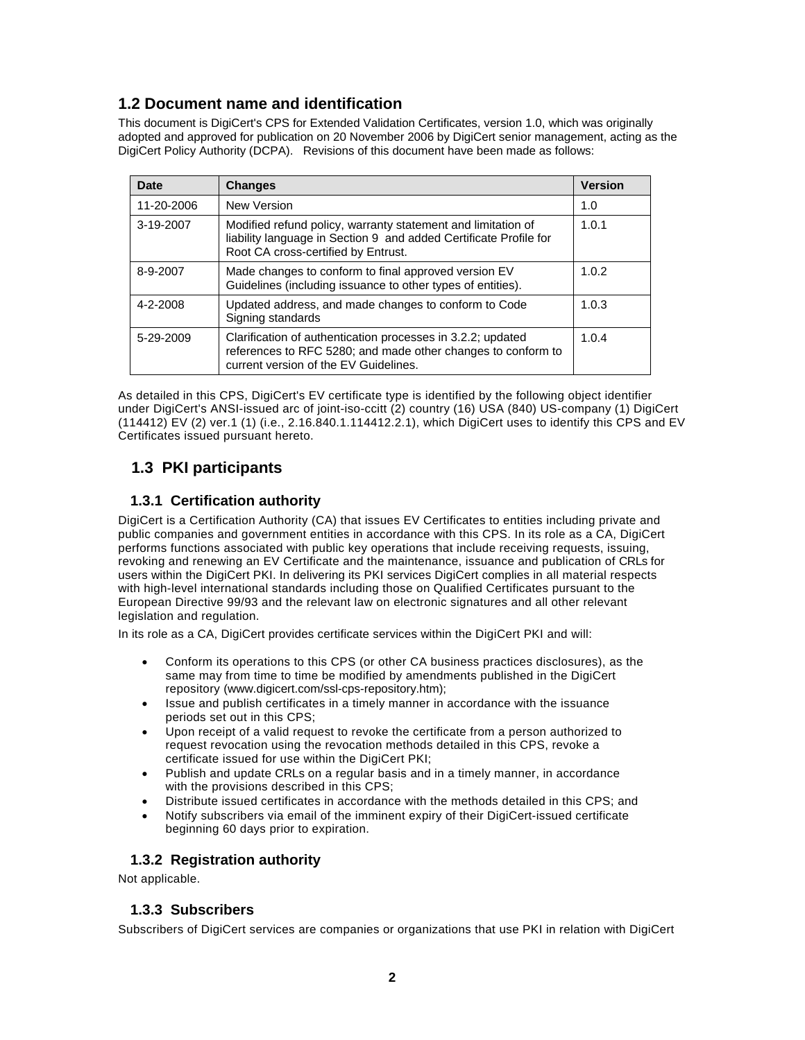# **1.2 Document name and identification**

This document is DigiCert's CPS for Extended Validation Certificates, version 1.0, which was originally adopted and approved for publication on 20 November 2006 by DigiCert senior management, acting as the DigiCert Policy Authority (DCPA). Revisions of this document have been made as follows:

| Date       | <b>Changes</b>                                                                                                                                                           | <b>Version</b> |
|------------|--------------------------------------------------------------------------------------------------------------------------------------------------------------------------|----------------|
| 11-20-2006 | New Version                                                                                                                                                              | 1.0            |
| 3-19-2007  | Modified refund policy, warranty statement and limitation of<br>liability language in Section 9 and added Certificate Profile for<br>Root CA cross-certified by Entrust. | 1.0.1          |
| 8-9-2007   | Made changes to conform to final approved version EV<br>Guidelines (including issuance to other types of entities).                                                      | 1.0.2          |
| 4-2-2008   | Updated address, and made changes to conform to Code<br>Signing standards                                                                                                | 1.0.3          |
| 5-29-2009  | Clarification of authentication processes in 3.2.2; updated<br>references to RFC 5280; and made other changes to conform to<br>current version of the EV Guidelines.     | 1.0.4          |

As detailed in this CPS, DigiCert's EV certificate type is identified by the following object identifier under DigiCert's ANSI-issued arc of joint-iso-ccitt (2) country (16) USA (840) US-company (1) DigiCert (114412) EV (2) ver.1 (1) (i.e., 2.16.840.1.114412.2.1), which DigiCert uses to identify this CPS and EV Certificates issued pursuant hereto.

# **1.3 PKI participants**

# **1.3.1 Certification authority**

DigiCert is a Certification Authority (CA) that issues EV Certificates to entities including private and public companies and government entities in accordance with this CPS. In its role as a CA, DigiCert performs functions associated with public key operations that include receiving requests, issuing, revoking and renewing an EV Certificate and the maintenance, issuance and publication of CRLs for users within the DigiCert PKI. In delivering its PKI services DigiCert complies in all material respects with high-level international standards including those on Qualified Certificates pursuant to the European Directive 99/93 and the relevant law on electronic signatures and all other relevant legislation and regulation.

In its role as a CA, DigiCert provides certificate services within the DigiCert PKI and will:

- Conform its operations to this CPS (or other CA business practices disclosures), as the same may from time to time be modified by amendments published in the DigiCert repository (www.digicert.com/ssl-cps-repository.htm);
- Issue and publish certificates in a timely manner in accordance with the issuance periods set out in this CPS;
- Upon receipt of a valid request to revoke the certificate from a person authorized to request revocation using the revocation methods detailed in this CPS, revoke a certificate issued for use within the DigiCert PKI;
- Publish and update CRLs on a regular basis and in a timely manner, in accordance with the provisions described in this CPS;
- Distribute issued certificates in accordance with the methods detailed in this CPS; and
- Notify subscribers via email of the imminent expiry of their DigiCert-issued certificate beginning 60 days prior to expiration.

# **1.3.2 Registration authority**

Not applicable.

#### **1.3.3 Subscribers**

Subscribers of DigiCert services are companies or organizations that use PKI in relation with DigiCert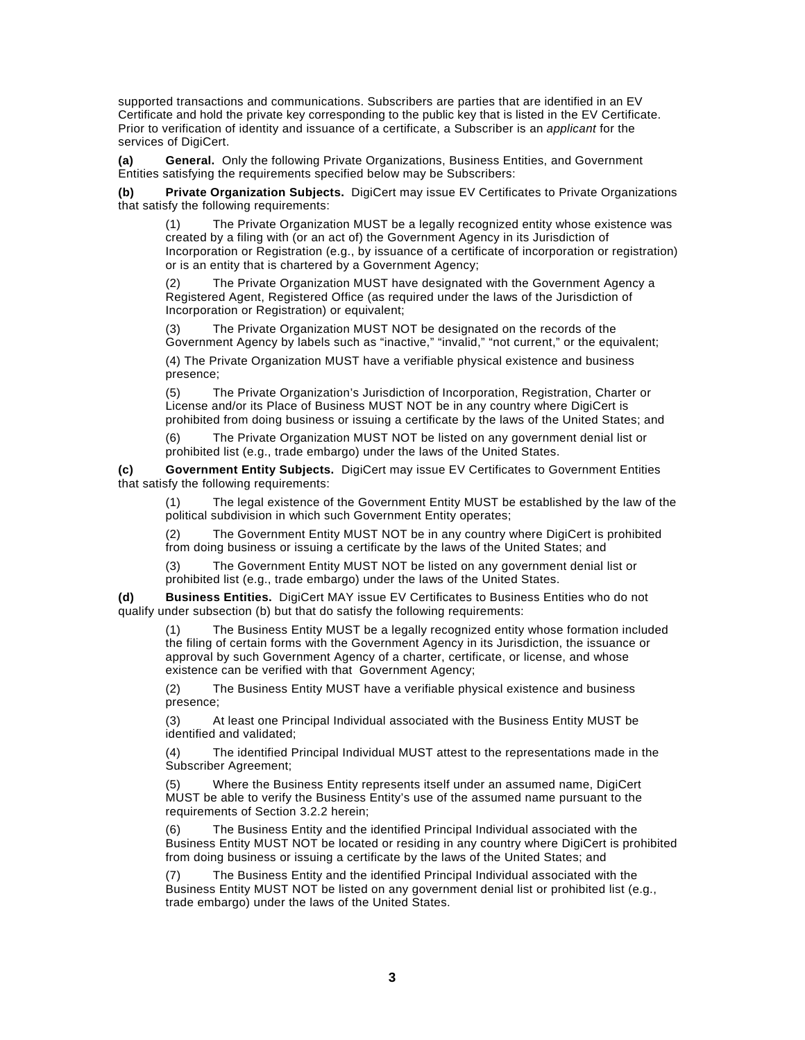supported transactions and communications. Subscribers are parties that are identified in an EV Certificate and hold the private key corresponding to the public key that is listed in the EV Certificate. Prior to verification of identity and issuance of a certificate, a Subscriber is an *applicant* for the services of DigiCert.

**(a) General.** Only the following Private Organizations, Business Entities, and Government Entities satisfying the requirements specified below may be Subscribers:

**(b) Private Organization Subjects.** DigiCert may issue EV Certificates to Private Organizations that satisfy the following requirements:

(1) The Private Organization MUST be a legally recognized entity whose existence was created by a filing with (or an act of) the Government Agency in its Jurisdiction of Incorporation or Registration (e.g., by issuance of a certificate of incorporation or registration) or is an entity that is chartered by a Government Agency;

(2) The Private Organization MUST have designated with the Government Agency a Registered Agent, Registered Office (as required under the laws of the Jurisdiction of Incorporation or Registration) or equivalent;

The Private Organization MUST NOT be designated on the records of the Government Agency by labels such as "inactive," "invalid," "not current," or the equivalent;

(4) The Private Organization MUST have a verifiable physical existence and business presence;

(5) The Private Organization's Jurisdiction of Incorporation, Registration, Charter or License and/or its Place of Business MUST NOT be in any country where DigiCert is prohibited from doing business or issuing a certificate by the laws of the United States; and

(6) The Private Organization MUST NOT be listed on any government denial list or prohibited list (e.g., trade embargo) under the laws of the United States.

**(c) Government Entity Subjects.** DigiCert may issue EV Certificates to Government Entities that satisfy the following requirements:

(1) The legal existence of the Government Entity MUST be established by the law of the political subdivision in which such Government Entity operates;

(2) The Government Entity MUST NOT be in any country where DigiCert is prohibited from doing business or issuing a certificate by the laws of the United States; and

(3) The Government Entity MUST NOT be listed on any government denial list or prohibited list (e.g., trade embargo) under the laws of the United States.

**(d) Business Entities.** DigiCert MAY issue EV Certificates to Business Entities who do not qualify under subsection (b) but that do satisfy the following requirements:

(1) The Business Entity MUST be a legally recognized entity whose formation included the filing of certain forms with the Government Agency in its Jurisdiction, the issuance or approval by such Government Agency of a charter, certificate, or license, and whose existence can be verified with that Government Agency;

(2) The Business Entity MUST have a verifiable physical existence and business presence;

(3) At least one Principal Individual associated with the Business Entity MUST be identified and validated;

(4) The identified Principal Individual MUST attest to the representations made in the Subscriber Agreement;

(5) Where the Business Entity represents itself under an assumed name, DigiCert MUST be able to verify the Business Entity's use of the assumed name pursuant to the requirements of Section 3.2.2 herein;

(6) The Business Entity and the identified Principal Individual associated with the Business Entity MUST NOT be located or residing in any country where DigiCert is prohibited from doing business or issuing a certificate by the laws of the United States; and

The Business Entity and the identified Principal Individual associated with the Business Entity MUST NOT be listed on any government denial list or prohibited list (e.g., trade embargo) under the laws of the United States.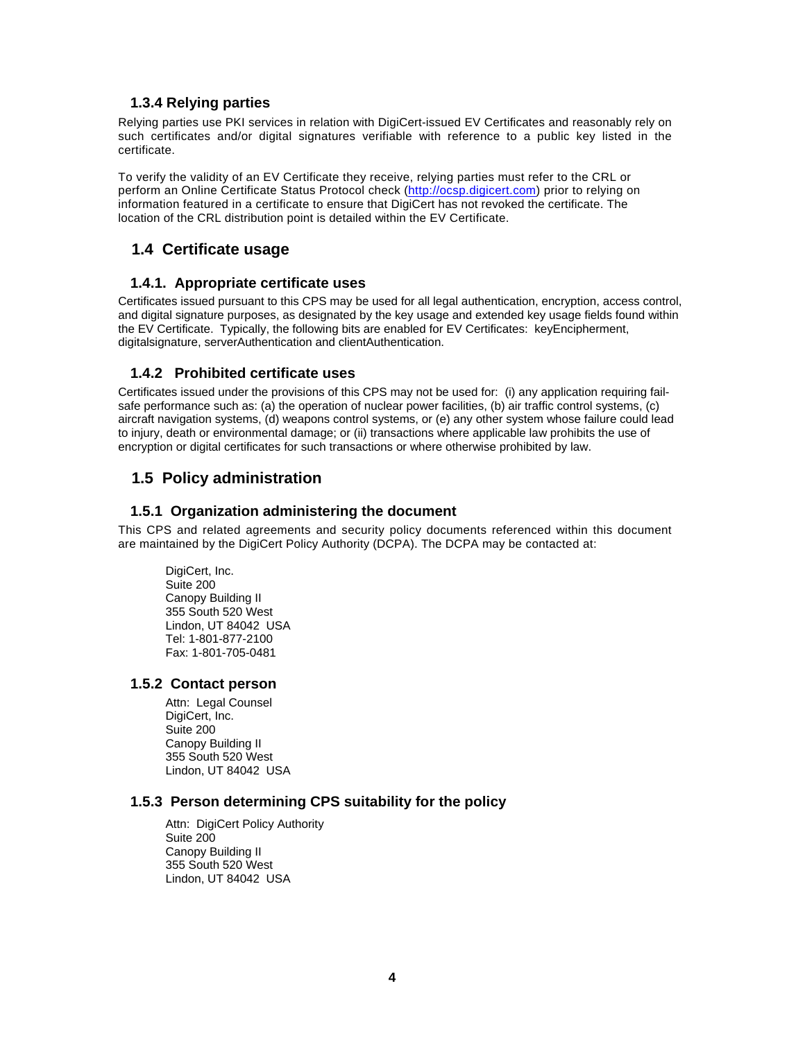#### **1.3.4 Relying parties**

Relying parties use PKI services in relation with DigiCert-issued EV Certificates and reasonably rely on such certificates and/or digital signatures verifiable with reference to a public key listed in the certificate.

To verify the validity of an EV Certificate they receive, relying parties must refer to the CRL or perform an Online Certificate Status Protocol check (http://ocsp.digicert.com) prior to relying on information featured in a certificate to ensure that DigiCert has not revoked the certificate. The location of the CRL distribution point is detailed within the EV Certificate.

# **1.4 Certificate usage**

#### **1.4.1. Appropriate certificate uses**

Certificates issued pursuant to this CPS may be used for all legal authentication, encryption, access control, and digital signature purposes, as designated by the key usage and extended key usage fields found within the EV Certificate. Typically, the following bits are enabled for EV Certificates: keyEncipherment, digitalsignature, serverAuthentication and clientAuthentication.

#### **1.4.2 Prohibited certificate uses**

Certificates issued under the provisions of this CPS may not be used for: (i) any application requiring failsafe performance such as: (a) the operation of nuclear power facilities, (b) air traffic control systems, (c) aircraft navigation systems, (d) weapons control systems, or (e) any other system whose failure could lead to injury, death or environmental damage; or (ii) transactions where applicable law prohibits the use of encryption or digital certificates for such transactions or where otherwise prohibited by law.

# **1.5 Policy administration**

#### **1.5.1 Organization administering the document**

This CPS and related agreements and security policy documents referenced within this document are maintained by the DigiCert Policy Authority (DCPA). The DCPA may be contacted at:

DigiCert, Inc. Suite 200 Canopy Building II 355 South 520 West Lindon, UT 84042 USA Tel: 1-801-877-2100 Fax: 1-801-705-0481

#### **1.5.2 Contact person**

Attn: Legal Counsel DigiCert, Inc. Suite 200 Canopy Building II 355 South 520 West Lindon, UT 84042 USA

#### **1.5.3 Person determining CPS suitability for the policy**

Attn: DigiCert Policy Authority Suite 200 Canopy Building II 355 South 520 West Lindon, UT 84042 USA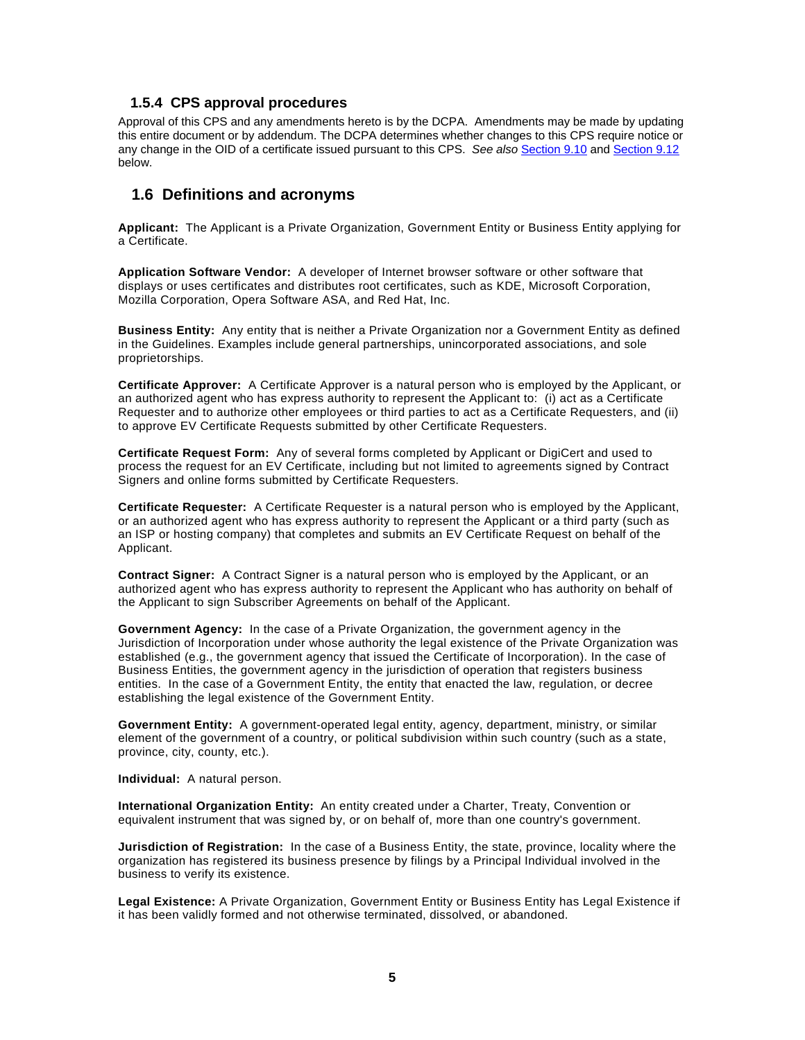#### **1.5.4 CPS approval procedures**

Approval of this CPS and any amendments hereto is by the DCPA. Amendments may be made by updating this entire document or by addendum. The DCPA determines whether changes to this CPS require notice or any change in the OID of a certificate issued pursuant to this CPS. *See also* Section 9.10 and Section 9.12 below.

## **1.6 Definitions and acronyms**

**Applicant:** The Applicant is a Private Organization, Government Entity or Business Entity applying for a Certificate.

**Application Software Vendor:** A developer of Internet browser software or other software that displays or uses certificates and distributes root certificates, such as KDE, Microsoft Corporation, Mozilla Corporation, Opera Software ASA, and Red Hat, Inc.

**Business Entity:** Any entity that is neither a Private Organization nor a Government Entity as defined in the Guidelines. Examples include general partnerships, unincorporated associations, and sole proprietorships.

**Certificate Approver:** A Certificate Approver is a natural person who is employed by the Applicant, or an authorized agent who has express authority to represent the Applicant to: (i) act as a Certificate Requester and to authorize other employees or third parties to act as a Certificate Requesters, and (ii) to approve EV Certificate Requests submitted by other Certificate Requesters.

**Certificate Request Form:** Any of several forms completed by Applicant or DigiCert and used to process the request for an EV Certificate, including but not limited to agreements signed by Contract Signers and online forms submitted by Certificate Requesters.

**Certificate Requester:** A Certificate Requester is a natural person who is employed by the Applicant, or an authorized agent who has express authority to represent the Applicant or a third party (such as an ISP or hosting company) that completes and submits an EV Certificate Request on behalf of the Applicant.

**Contract Signer:** A Contract Signer is a natural person who is employed by the Applicant, or an authorized agent who has express authority to represent the Applicant who has authority on behalf of the Applicant to sign Subscriber Agreements on behalf of the Applicant.

**Government Agency:** In the case of a Private Organization, the government agency in the Jurisdiction of Incorporation under whose authority the legal existence of the Private Organization was established (e.g., the government agency that issued the Certificate of Incorporation). In the case of Business Entities, the government agency in the jurisdiction of operation that registers business entities. In the case of a Government Entity, the entity that enacted the law, regulation, or decree establishing the legal existence of the Government Entity.

**Government Entity:** A government-operated legal entity, agency, department, ministry, or similar element of the government of a country, or political subdivision within such country (such as a state, province, city, county, etc.).

**Individual:** A natural person.

**International Organization Entity:** An entity created under a Charter, Treaty, Convention or equivalent instrument that was signed by, or on behalf of, more than one country's government.

**Jurisdiction of Registration:** In the case of a Business Entity, the state, province, locality where the organization has registered its business presence by filings by a Principal Individual involved in the business to verify its existence.

**Legal Existence:** A Private Organization, Government Entity or Business Entity has Legal Existence if it has been validly formed and not otherwise terminated, dissolved, or abandoned.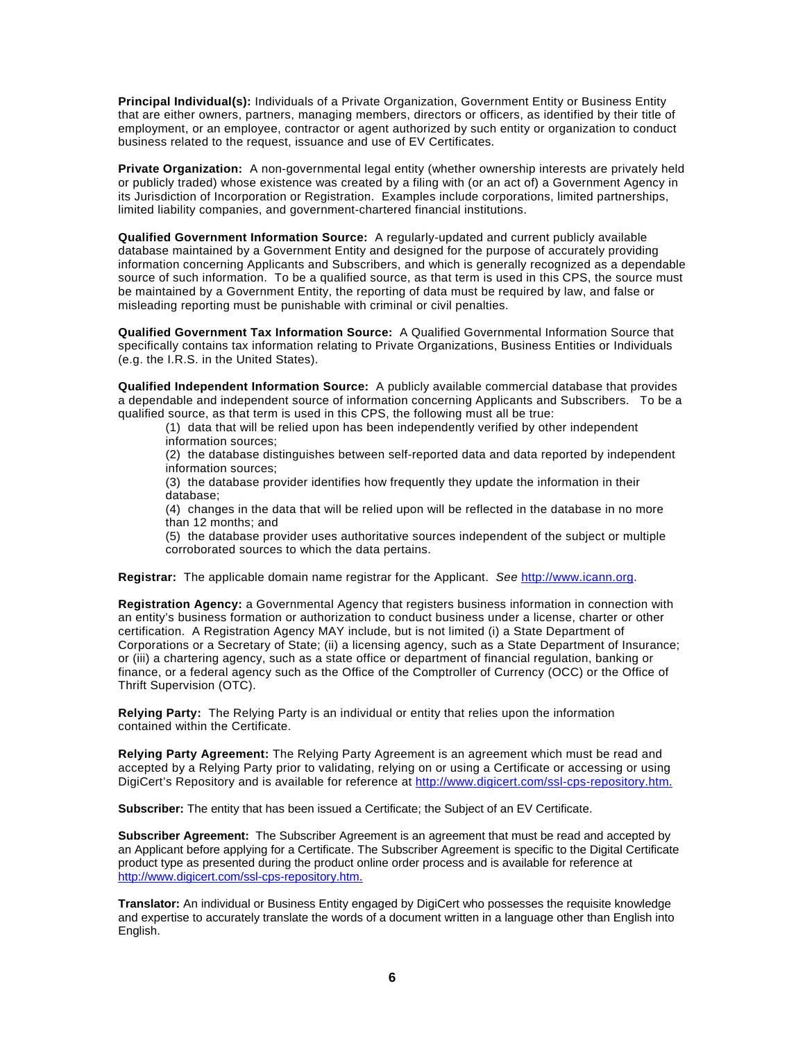**Principal Individual(s):** Individuals of a Private Organization, Government Entity or Business Entity that are either owners, partners, managing members, directors or officers, as identified by their title of employment, or an employee, contractor or agent authorized by such entity or organization to conduct business related to the request, issuance and use of EV Certificates.

**Private Organization:** A non-governmental legal entity (whether ownership interests are privately held or publicly traded) whose existence was created by a filing with (or an act of) a Government Agency in its Jurisdiction of Incorporation or Registration. Examples include corporations, limited partnerships, limited liability companies, and government-chartered financial institutions.

**Qualified Government Information Source:** A regularly-updated and current publicly available database maintained by a Government Entity and designed for the purpose of accurately providing information concerning Applicants and Subscribers, and which is generally recognized as a dependable source of such information. To be a qualified source, as that term is used in this CPS, the source must be maintained by a Government Entity, the reporting of data must be required by law, and false or misleading reporting must be punishable with criminal or civil penalties.

**Qualified Government Tax Information Source:** A Qualified Governmental Information Source that specifically contains tax information relating to Private Organizations, Business Entities or Individuals (e.g. the I.R.S. in the United States).

**Qualified Independent Information Source:** A publicly available commercial database that provides a dependable and independent source of information concerning Applicants and Subscribers. To be a qualified source, as that term is used in this CPS, the following must all be true:

(1) data that will be relied upon has been independently verified by other independent information sources;

(2) the database distinguishes between self-reported data and data reported by independent information sources;

(3) the database provider identifies how frequently they update the information in their database;

(4) changes in the data that will be relied upon will be reflected in the database in no more than 12 months; and

(5) the database provider uses authoritative sources independent of the subject or multiple corroborated sources to which the data pertains.

**Registrar:** The applicable domain name registrar for the Applicant. *See* http://www.icann.org.

**Registration Agency:** a Governmental Agency that registers business information in connection with an entity's business formation or authorization to conduct business under a license, charter or other certification. A Registration Agency MAY include, but is not limited (i) a State Department of Corporations or a Secretary of State; (ii) a licensing agency, such as a State Department of Insurance; or (iii) a chartering agency, such as a state office or department of financial regulation, banking or finance, or a federal agency such as the Office of the Comptroller of Currency (OCC) or the Office of Thrift Supervision (OTC).

**Relying Party:** The Relying Party is an individual or entity that relies upon the information contained within the Certificate.

**Relying Party Agreement:** The Relying Party Agreement is an agreement which must be read and accepted by a Relying Party prior to validating, relying on or using a Certificate or accessing or using DigiCert's Repository and is available for reference at http://www.digicert.com/ssl-cps-repository.htm.

**Subscriber:** The entity that has been issued a Certificate; the Subject of an EV Certificate.

**Subscriber Agreement:** The Subscriber Agreement is an agreement that must be read and accepted by an Applicant before applying for a Certificate. The Subscriber Agreement is specific to the Digital Certificate product type as presented during the product online order process and is available for reference at http://www.digicert.com/ssl-cps-repository.htm.

**Translator:** An individual or Business Entity engaged by DigiCert who possesses the requisite knowledge and expertise to accurately translate the words of a document written in a language other than English into English.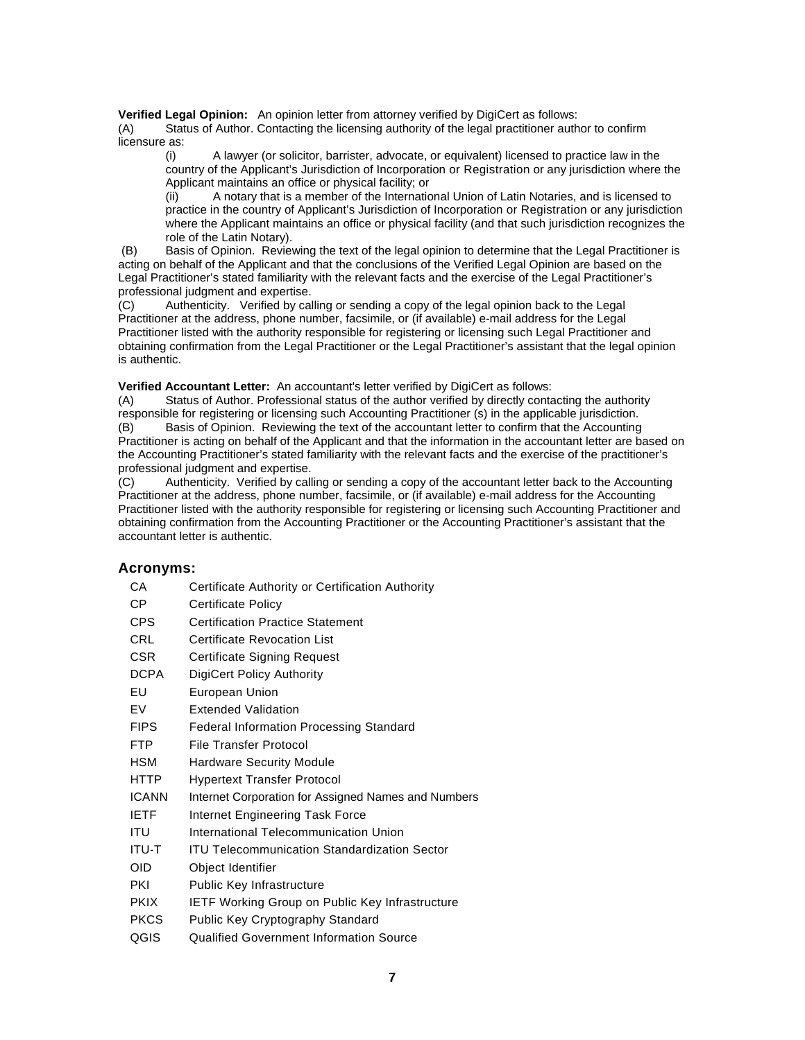**Verified Legal Opinion:** An opinion letter from attorney verified by DigiCert as follows:

(A) Status of Author. Contacting the licensing authority of the legal practitioner author to confirm licensure as:

(i) A lawyer (or solicitor, barrister, advocate, or equivalent) licensed to practice law in the country of the Applicant's Jurisdiction of Incorporation or Registration or any jurisdiction where the Applicant maintains an office or physical facility; or

(ii) A notary that is a member of the International Union of Latin Notaries, and is licensed to practice in the country of Applicant's Jurisdiction of Incorporation or Registration or any jurisdiction where the Applicant maintains an office or physical facility (and that such jurisdiction recognizes the role of the Latin Notary).

 (B) Basis of Opinion. Reviewing the text of the legal opinion to determine that the Legal Practitioner is acting on behalf of the Applicant and that the conclusions of the Verified Legal Opinion are based on the Legal Practitioner's stated familiarity with the relevant facts and the exercise of the Legal Practitioner's professional judgment and expertise.

(C) Authenticity. Verified by calling or sending a copy of the legal opinion back to the Legal Practitioner at the address, phone number, facsimile, or (if available) e-mail address for the Legal Practitioner listed with the authority responsible for registering or licensing such Legal Practitioner and obtaining confirmation from the Legal Practitioner or the Legal Practitioner's assistant that the legal opinion is authentic.

**Verified Accountant Letter:** An accountant's letter verified by DigiCert as follows:

(A) Status of Author. Professional status of the author verified by directly contacting the authority responsible for registering or licensing such Accounting Practitioner (s) in the applicable jurisdiction.<br>(B) Basis of Opinion. Reviewing the text of the accountant letter to confirm that the Accounting Basis of Opinion. Reviewing the text of the accountant letter to confirm that the Accounting Practitioner is acting on behalf of the Applicant and that the information in the accountant letter are based on the Accounting Practitioner's stated familiarity with the relevant facts and the exercise of the practitioner's professional judgment and expertise.

(C) Authenticity. Verified by calling or sending a copy of the accountant letter back to the Accounting Practitioner at the address, phone number, facsimile, or (if available) e-mail address for the Accounting Practitioner listed with the authority responsible for registering or licensing such Accounting Practitioner and obtaining confirmation from the Accounting Practitioner or the Accounting Practitioner's assistant that the accountant letter is authentic.

#### **Acronyms:**

| CA           | Certificate Authority or Certification Authority       |
|--------------|--------------------------------------------------------|
| СP           | <b>Certificate Policy</b>                              |
| <b>CPS</b>   | <b>Certification Practice Statement</b>                |
| <b>CRL</b>   | <b>Certificate Revocation List</b>                     |
| <b>CSR</b>   | <b>Certificate Signing Request</b>                     |
| <b>DCPA</b>  | DigiCert Policy Authority                              |
| EU           | European Union                                         |
| <b>FV</b>    | <b>Extended Validation</b>                             |
| <b>FIPS</b>  | Federal Information Processing Standard                |
| <b>FTP</b>   | File Transfer Protocol                                 |
| <b>HSM</b>   | <b>Hardware Security Module</b>                        |
| HTTP         | <b>Hypertext Transfer Protocol</b>                     |
| <b>ICANN</b> | Internet Corporation for Assigned Names and Numbers    |
| <b>IETF</b>  | Internet Engineering Task Force                        |
| ITU          | International Telecommunication Union                  |
| <b>ITU-T</b> | <b>ITU Telecommunication Standardization Sector</b>    |
| OID          | Object Identifier                                      |
| PKI          | Public Key Infrastructure                              |
| <b>PKIX</b>  | <b>IETF Working Group on Public Key Infrastructure</b> |
| <b>PKCS</b>  | Public Key Cryptography Standard                       |
| QGIS         | Qualified Government Information Source                |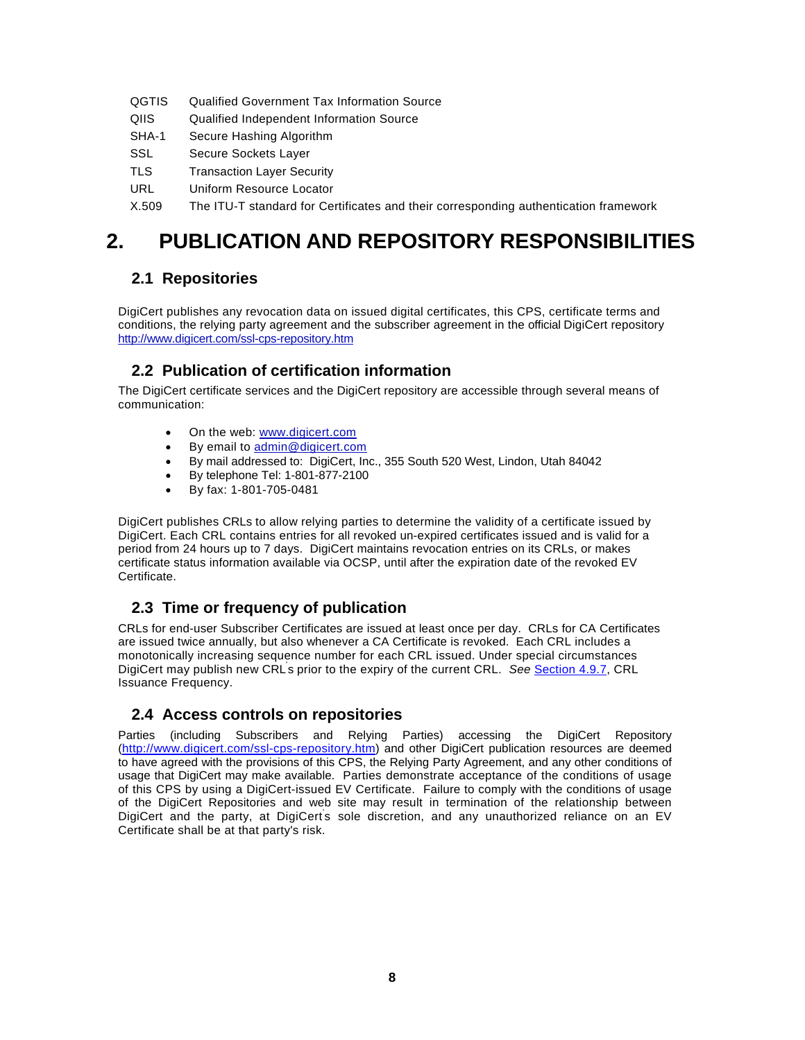- QGTIS Qualified Government Tax Information Source
- QIIS Qualified Independent Information Source
- SHA-1 Secure Hashing Algorithm
- SSL Secure Sockets Layer
- TLS Transaction Layer Security
- URL Uniform Resource Locator

X.509 The ITU-T standard for Certificates and their corresponding authentication framework

# **2. PUBLICATION AND REPOSITORY RESPONSIBILITIES**

# **2.1 Repositories**

DigiCert publishes any revocation data on issued digital certificates, this CPS, certificate terms and conditions, the relying party agreement and the subscriber agreement in the official DigiCert repository http://www.digicert.com/ssl-cps-repository.htm

# **2.2 Publication of certification information**

The DigiCert certificate services and the DigiCert repository are accessible through several means of communication:

- On the web: www.digicert.com
- By email to admin@digicert.com
- By mail addressed to: DigiCert, Inc., 355 South 520 West, Lindon, Utah 84042
- By telephone Tel: 1-801-877-2100
- By fax: 1-801-705-0481

DigiCert publishes CRLs to allow relying parties to determine the validity of a certificate issued by DigiCert. Each CRL contains entries for all revoked un-expired certificates issued and is valid for a period from 24 hours up to 7 days. DigiCert maintains revocation entries on its CRLs, or makes certificate status information available via OCSP, until after the expiration date of the revoked EV Certificate.

# **2.3 Time or frequency of publication**

CRLs for end-user Subscriber Certificates are issued at least once per day. CRLs for CA Certificates are issued twice annually, but also whenever a CA Certificate is revoked. Each CRL includes a monotonically increasing sequence number for each CRL issued. Under special circumstances DigiCert may publish new CRL<sup>'</sup>s prior to the expiry of the current CRL. *See* Section 4.9.7, CRL Issuance Frequency.

# **2.4 Access controls on repositories**

Parties (including Subscribers and Relying Parties) accessing the DigiCert Repository (http://www.digicert.com/ssl-cps-repository.htm) and other DigiCert publication resources are deemed to have agreed with the provisions of this CPS, the Relying Party Agreement, and any other conditions of usage that DigiCert may make available. Parties demonstrate acceptance of the conditions of usage of this CPS by using a DigiCert-issued EV Certificate. Failure to comply with the conditions of usage of the DigiCert Repositories and web site may result in termination of the relationship between DigiCert and the party, at DigiCert's sole discretion, and any unauthorized reliance on an EV Certificate shall be at that party's risk.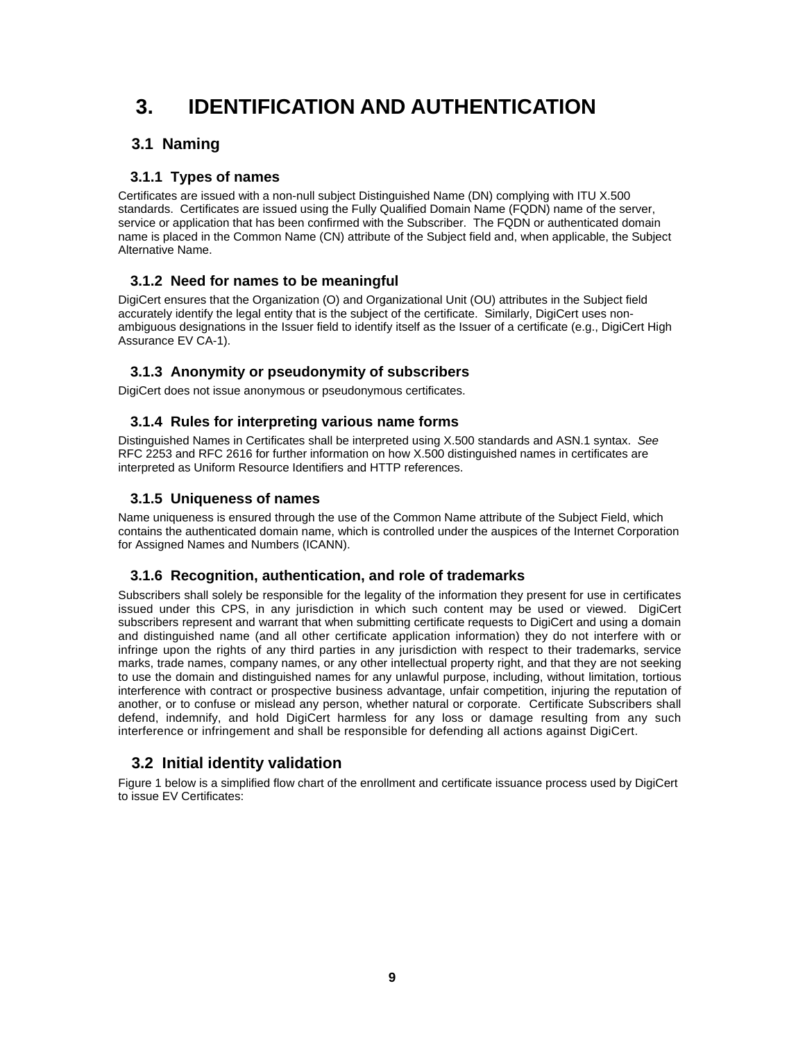# **3. IDENTIFICATION AND AUTHENTICATION**

# **3.1 Naming**

## **3.1.1 Types of names**

Certificates are issued with a non-null subject Distinguished Name (DN) complying with ITU X.500 standards. Certificates are issued using the Fully Qualified Domain Name (FQDN) name of the server, service or application that has been confirmed with the Subscriber. The FQDN or authenticated domain name is placed in the Common Name (CN) attribute of the Subject field and, when applicable, the Subject Alternative Name.

# **3.1.2 Need for names to be meaningful**

DigiCert ensures that the Organization (O) and Organizational Unit (OU) attributes in the Subject field accurately identify the legal entity that is the subject of the certificate. Similarly, DigiCert uses nonambiguous designations in the Issuer field to identify itself as the Issuer of a certificate (e.g., DigiCert High Assurance EV CA-1).

#### **3.1.3 Anonymity or pseudonymity of subscribers**

DigiCert does not issue anonymous or pseudonymous certificates.

#### **3.1.4 Rules for interpreting various name forms**

Distinguished Names in Certificates shall be interpreted using X.500 standards and ASN.1 syntax. *See* RFC 2253 and RFC 2616 for further information on how X.500 distinguished names in certificates are interpreted as Uniform Resource Identifiers and HTTP references.

#### **3.1.5 Uniqueness of names**

Name uniqueness is ensured through the use of the Common Name attribute of the Subject Field, which contains the authenticated domain name, which is controlled under the auspices of the Internet Corporation for Assigned Names and Numbers (ICANN).

#### **3.1.6 Recognition, authentication, and role of trademarks**

Subscribers shall solely be responsible for the legality of the information they present for use in certificates issued under this CPS, in any jurisdiction in which such content may be used or viewed. DigiCert subscribers represent and warrant that when submitting certificate requests to DigiCert and using a domain and distinguished name (and all other certificate application information) they do not interfere with or infringe upon the rights of any third parties in any jurisdiction with respect to their trademarks, service marks, trade names, company names, or any other intellectual property right, and that they are not seeking to use the domain and distinguished names for any unlawful purpose, including, without limitation, tortious interference with contract or prospective business advantage, unfair competition, injuring the reputation of another, or to confuse or mislead any person, whether natural or corporate. Certificate Subscribers shall defend, indemnify, and hold DigiCert harmless for any loss or damage resulting from any such interference or infringement and shall be responsible for defending all actions against DigiCert.

# **3.2 Initial identity validation**

Figure 1 below is a simplified flow chart of the enrollment and certificate issuance process used by DigiCert to issue EV Certificates: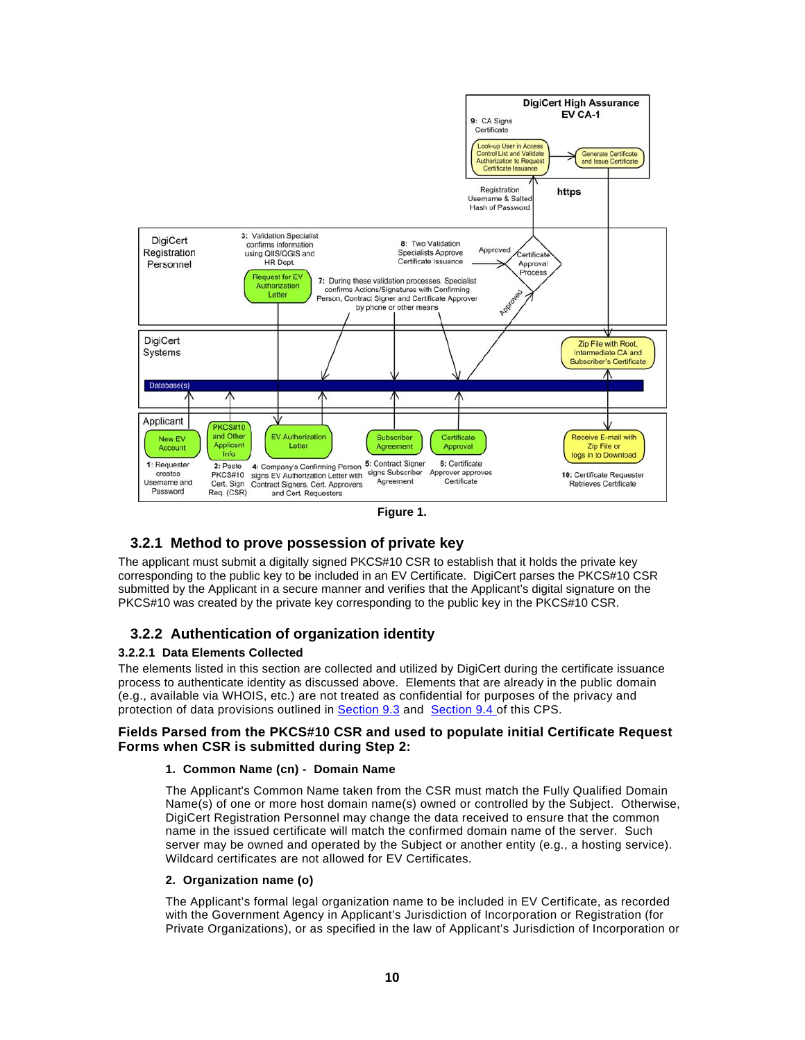

#### **3.2.1 Method to prove possession of private key**

The applicant must submit a digitally signed PKCS#10 CSR to establish that it holds the private key corresponding to the public key to be included in an EV Certificate. DigiCert parses the PKCS#10 CSR submitted by the Applicant in a secure manner and verifies that the Applicant's digital signature on the PKCS#10 was created by the private key corresponding to the public key in the PKCS#10 CSR.

#### **3.2.2 Authentication of organization identity**

#### **3.2.2.1 Data Elements Collected**

The elements listed in this section are collected and utilized by DigiCert during the certificate issuance process to authenticate identity as discussed above. Elements that are already in the public domain (e.g., available via WHOIS, etc.) are not treated as confidential for purposes of the privacy and protection of data provisions outlined in Section 9.3 and Section 9.4 of this CPS.

#### **Fields Parsed from the PKCS#10 CSR and used to populate initial Certificate Request Forms when CSR is submitted during Step 2:**

#### **1. Common Name (cn) - Domain Name**

The Applicant's Common Name taken from the CSR must match the Fully Qualified Domain Name(s) of one or more host domain name(s) owned or controlled by the Subject. Otherwise, DigiCert Registration Personnel may change the data received to ensure that the common name in the issued certificate will match the confirmed domain name of the server. Such server may be owned and operated by the Subject or another entity (e.g., a hosting service). Wildcard certificates are not allowed for EV Certificates.

#### **2. Organization name (o)**

The Applicant's formal legal organization name to be included in EV Certificate, as recorded with the Government Agency in Applicant's Jurisdiction of Incorporation or Registration (for Private Organizations), or as specified in the law of Applicant's Jurisdiction of Incorporation or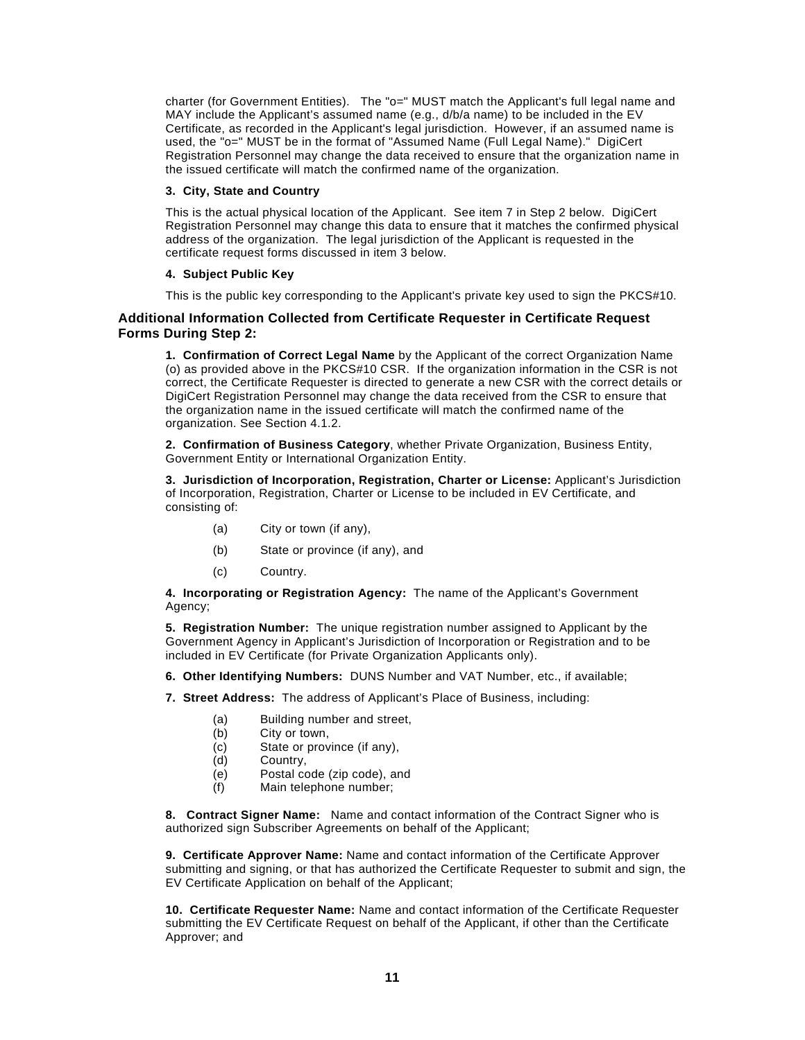charter (for Government Entities). The "o=" MUST match the Applicant's full legal name and MAY include the Applicant's assumed name (e.g., d/b/a name) to be included in the EV Certificate, as recorded in the Applicant's legal jurisdiction. However, if an assumed name is used, the "o=" MUST be in the format of "Assumed Name (Full Legal Name)." DigiCert Registration Personnel may change the data received to ensure that the organization name in the issued certificate will match the confirmed name of the organization.

#### **3. City, State and Country**

This is the actual physical location of the Applicant. See item 7 in Step 2 below. DigiCert Registration Personnel may change this data to ensure that it matches the confirmed physical address of the organization. The legal jurisdiction of the Applicant is requested in the certificate request forms discussed in item 3 below.

#### **4. Subject Public Key**

This is the public key corresponding to the Applicant's private key used to sign the PKCS#10.

#### **Additional Information Collected from Certificate Requester in Certificate Request Forms During Step 2:**

**1. Confirmation of Correct Legal Name** by the Applicant of the correct Organization Name (o) as provided above in the PKCS#10 CSR. If the organization information in the CSR is not correct, the Certificate Requester is directed to generate a new CSR with the correct details or DigiCert Registration Personnel may change the data received from the CSR to ensure that the organization name in the issued certificate will match the confirmed name of the organization. See Section 4.1.2.

**2. Confirmation of Business Category**, whether Private Organization, Business Entity, Government Entity or International Organization Entity.

**3. Jurisdiction of Incorporation, Registration, Charter or License:** Applicant's Jurisdiction of Incorporation, Registration, Charter or License to be included in EV Certificate, and consisting of:

- (a) City or town (if any),
- (b) State or province (if any), and
- (c) Country.

**4. Incorporating or Registration Agency:** The name of the Applicant's Government Agency;

**5. Registration Number:** The unique registration number assigned to Applicant by the Government Agency in Applicant's Jurisdiction of Incorporation or Registration and to be included in EV Certificate (for Private Organization Applicants only).

**6. Other Identifying Numbers:** DUNS Number and VAT Number, etc., if available;

**7. Street Address:** The address of Applicant's Place of Business, including:

- (a) Building number and street,
- (b) City or town,
- (c) State or province (if any),<br>(d) Country,
- (d) Country,<br>(e) Postal co
- Postal code (zip code), and
- (f) Main telephone number;

**8. Contract Signer Name:** Name and contact information of the Contract Signer who is authorized sign Subscriber Agreements on behalf of the Applicant;

**9. Certificate Approver Name:** Name and contact information of the Certificate Approver submitting and signing, or that has authorized the Certificate Requester to submit and sign, the EV Certificate Application on behalf of the Applicant;

**10. Certificate Requester Name:** Name and contact information of the Certificate Requester submitting the EV Certificate Request on behalf of the Applicant, if other than the Certificate Approver; and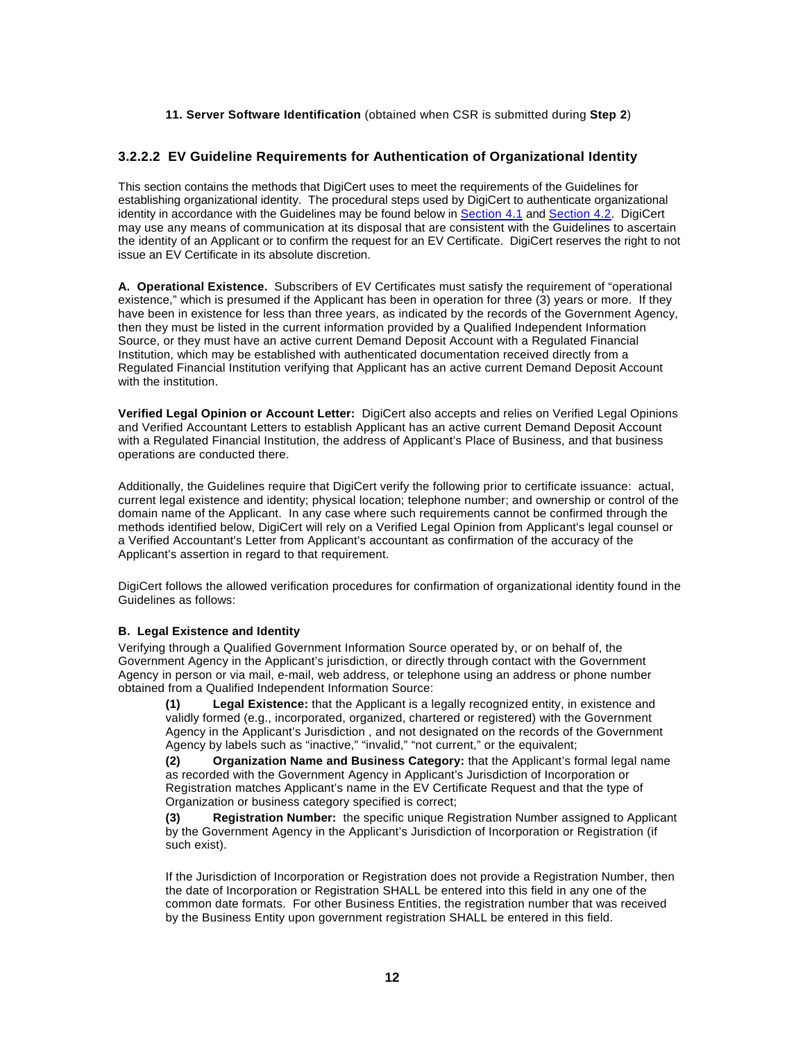#### **11. Server Software Identification** (obtained when CSR is submitted during **Step 2**)

#### **3.2.2.2 EV Guideline Requirements for Authentication of Organizational Identity**

This section contains the methods that DigiCert uses to meet the requirements of the Guidelines for establishing organizational identity. The procedural steps used by DigiCert to authenticate organizational identity in accordance with the Guidelines may be found below in Section 4.1 and Section 4.2. DigiCert may use any means of communication at its disposal that are consistent with the Guidelines to ascertain the identity of an Applicant or to confirm the request for an EV Certificate. DigiCert reserves the right to not issue an EV Certificate in its absolute discretion.

**A. Operational Existence.** Subscribers of EV Certificates must satisfy the requirement of "operational existence," which is presumed if the Applicant has been in operation for three (3) years or more. If they have been in existence for less than three years, as indicated by the records of the Government Agency, then they must be listed in the current information provided by a Qualified Independent Information Source, or they must have an active current Demand Deposit Account with a Regulated Financial Institution, which may be established with authenticated documentation received directly from a Regulated Financial Institution verifying that Applicant has an active current Demand Deposit Account with the institution.

**Verified Legal Opinion or Account Letter:** DigiCert also accepts and relies on Verified Legal Opinions and Verified Accountant Letters to establish Applicant has an active current Demand Deposit Account with a Regulated Financial Institution, the address of Applicant's Place of Business, and that business operations are conducted there.

Additionally, the Guidelines require that DigiCert verify the following prior to certificate issuance: actual, current legal existence and identity; physical location; telephone number; and ownership or control of the domain name of the Applicant. In any case where such requirements cannot be confirmed through the methods identified below, DigiCert will rely on a Verified Legal Opinion from Applicant's legal counsel or a Verified Accountant's Letter from Applicant's accountant as confirmation of the accuracy of the Applicant's assertion in regard to that requirement.

DigiCert follows the allowed verification procedures for confirmation of organizational identity found in the Guidelines as follows:

#### **B. Legal Existence and Identity**

Verifying through a Qualified Government Information Source operated by, or on behalf of, the Government Agency in the Applicant's jurisdiction, or directly through contact with the Government Agency in person or via mail, e-mail, web address, or telephone using an address or phone number obtained from a Qualified Independent Information Source:

**(1) Legal Existence:** that the Applicant is a legally recognized entity, in existence and validly formed (e.g., incorporated, organized, chartered or registered) with the Government Agency in the Applicant's Jurisdiction , and not designated on the records of the Government Agency by labels such as "inactive," "invalid," "not current," or the equivalent;

**(2) Organization Name and Business Category:** that the Applicant's formal legal name as recorded with the Government Agency in Applicant's Jurisdiction of Incorporation or Registration matches Applicant's name in the EV Certificate Request and that the type of Organization or business category specified is correct;

**(3) Registration Number:** the specific unique Registration Number assigned to Applicant by the Government Agency in the Applicant's Jurisdiction of Incorporation or Registration (if such exist).

If the Jurisdiction of Incorporation or Registration does not provide a Registration Number, then the date of Incorporation or Registration SHALL be entered into this field in any one of the common date formats. For other Business Entities, the registration number that was received by the Business Entity upon government registration SHALL be entered in this field.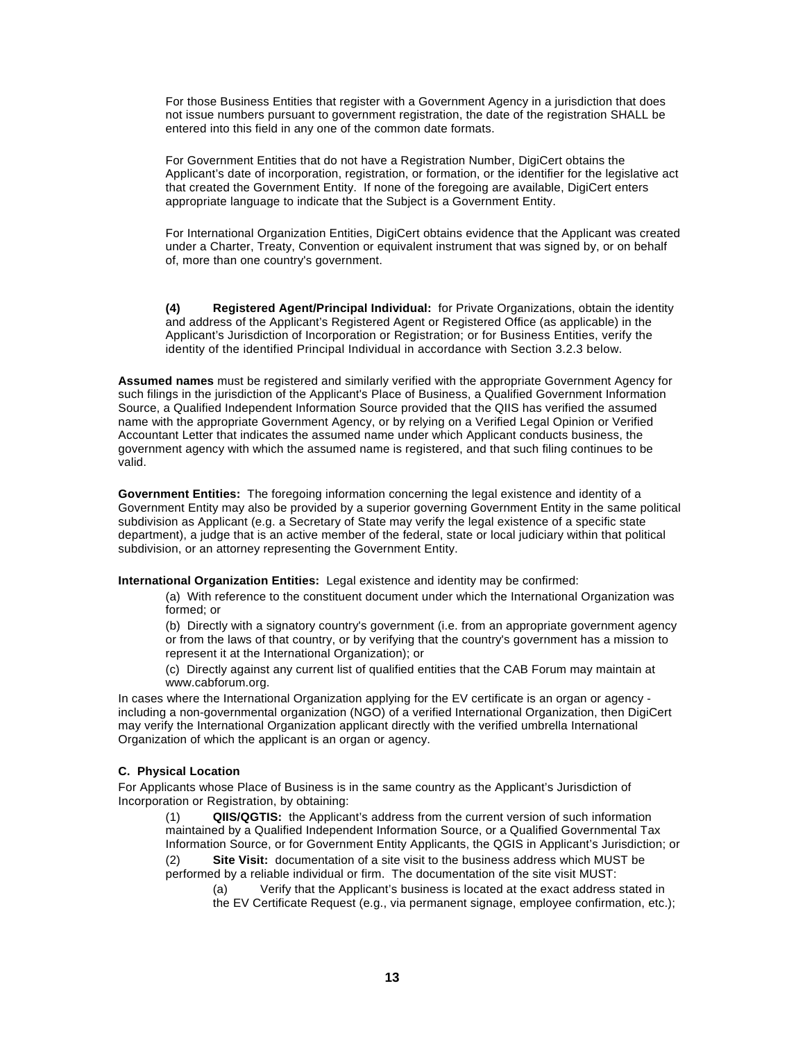For those Business Entities that register with a Government Agency in a jurisdiction that does not issue numbers pursuant to government registration, the date of the registration SHALL be entered into this field in any one of the common date formats.

For Government Entities that do not have a Registration Number, DigiCert obtains the Applicant's date of incorporation, registration, or formation, or the identifier for the legislative act that created the Government Entity. If none of the foregoing are available, DigiCert enters appropriate language to indicate that the Subject is a Government Entity.

For International Organization Entities, DigiCert obtains evidence that the Applicant was created under a Charter, Treaty, Convention or equivalent instrument that was signed by, or on behalf of, more than one country's government.

**(4) Registered Agent/Principal Individual:** for Private Organizations, obtain the identity and address of the Applicant's Registered Agent or Registered Office (as applicable) in the Applicant's Jurisdiction of Incorporation or Registration; or for Business Entities, verify the identity of the identified Principal Individual in accordance with Section 3.2.3 below.

**Assumed names** must be registered and similarly verified with the appropriate Government Agency for such filings in the jurisdiction of the Applicant's Place of Business, a Qualified Government Information Source, a Qualified Independent Information Source provided that the QIIS has verified the assumed name with the appropriate Government Agency, or by relying on a Verified Legal Opinion or Verified Accountant Letter that indicates the assumed name under which Applicant conducts business, the government agency with which the assumed name is registered, and that such filing continues to be valid.

**Government Entities:** The foregoing information concerning the legal existence and identity of a Government Entity may also be provided by a superior governing Government Entity in the same political subdivision as Applicant (e.g. a Secretary of State may verify the legal existence of a specific state department), a judge that is an active member of the federal, state or local judiciary within that political subdivision, or an attorney representing the Government Entity.

**International Organization Entities:** Legal existence and identity may be confirmed:

(a) With reference to the constituent document under which the International Organization was formed; or

(b) Directly with a signatory country's government (i.e. from an appropriate government agency or from the laws of that country, or by verifying that the country's government has a mission to represent it at the International Organization); or

(c) Directly against any current list of qualified entities that the CAB Forum may maintain at www.cabforum.org.

In cases where the International Organization applying for the EV certificate is an organ or agency including a non-governmental organization (NGO) of a verified International Organization, then DigiCert may verify the International Organization applicant directly with the verified umbrella International Organization of which the applicant is an organ or agency.

#### **C. Physical Location**

For Applicants whose Place of Business is in the same country as the Applicant's Jurisdiction of Incorporation or Registration, by obtaining:

QIIS/QGTIS: the Applicant's address from the current version of such information maintained by a Qualified Independent Information Source, or a Qualified Governmental Tax Information Source, or for Government Entity Applicants, the QGIS in Applicant's Jurisdiction; or

(2) **Site Visit:** documentation of a site visit to the business address which MUST be performed by a reliable individual or firm. The documentation of the site visit MUST:

(a) Verify that the Applicant's business is located at the exact address stated in the EV Certificate Request (e.g., via permanent signage, employee confirmation, etc.);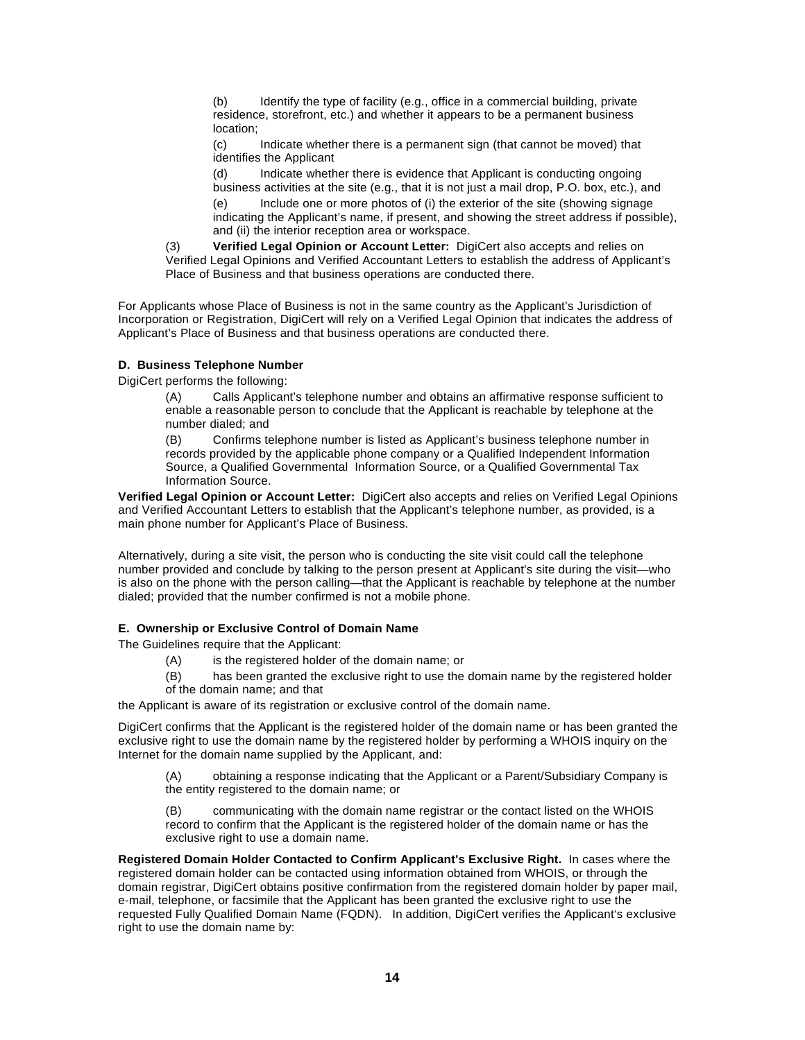(b) Identify the type of facility (e.g., office in a commercial building, private residence, storefront, etc.) and whether it appears to be a permanent business location;

(c) Indicate whether there is a permanent sign (that cannot be moved) that identifies the Applicant

(d) Indicate whether there is evidence that Applicant is conducting ongoing business activities at the site (e.g., that it is not just a mail drop, P.O. box, etc.), and

(e) Include one or more photos of (i) the exterior of the site (showing signage indicating the Applicant's name, if present, and showing the street address if possible), and (ii) the interior reception area or workspace.

(3) **Verified Legal Opinion or Account Letter:** DigiCert also accepts and relies on Verified Legal Opinions and Verified Accountant Letters to establish the address of Applicant's Place of Business and that business operations are conducted there.

For Applicants whose Place of Business is not in the same country as the Applicant's Jurisdiction of Incorporation or Registration, DigiCert will rely on a Verified Legal Opinion that indicates the address of Applicant's Place of Business and that business operations are conducted there.

#### **D. Business Telephone Number**

DigiCert performs the following:

(A) Calls Applicant's telephone number and obtains an affirmative response sufficient to enable a reasonable person to conclude that the Applicant is reachable by telephone at the number dialed; and

(B) Confirms telephone number is listed as Applicant's business telephone number in records provided by the applicable phone company or a Qualified Independent Information Source, a Qualified Governmental Information Source, or a Qualified Governmental Tax Information Source.

**Verified Legal Opinion or Account Letter:** DigiCert also accepts and relies on Verified Legal Opinions and Verified Accountant Letters to establish that the Applicant's telephone number, as provided, is a main phone number for Applicant's Place of Business.

Alternatively, during a site visit, the person who is conducting the site visit could call the telephone number provided and conclude by talking to the person present at Applicant's site during the visit—who is also on the phone with the person calling—that the Applicant is reachable by telephone at the number dialed; provided that the number confirmed is not a mobile phone.

#### **E. Ownership or Exclusive Control of Domain Name**

The Guidelines require that the Applicant:

- (A) is the registered holder of the domain name; or
- (B) has been granted the exclusive right to use the domain name by the registered holder
- of the domain name; and that

the Applicant is aware of its registration or exclusive control of the domain name.

DigiCert confirms that the Applicant is the registered holder of the domain name or has been granted the exclusive right to use the domain name by the registered holder by performing a WHOIS inquiry on the Internet for the domain name supplied by the Applicant, and:

(A) obtaining a response indicating that the Applicant or a Parent/Subsidiary Company is the entity registered to the domain name; or

(B) communicating with the domain name registrar or the contact listed on the WHOIS record to confirm that the Applicant is the registered holder of the domain name or has the exclusive right to use a domain name.

**Registered Domain Holder Contacted to Confirm Applicant's Exclusive Right.** In cases where the registered domain holder can be contacted using information obtained from WHOIS, or through the domain registrar, DigiCert obtains positive confirmation from the registered domain holder by paper mail, e-mail, telephone, or facsimile that the Applicant has been granted the exclusive right to use the requested Fully Qualified Domain Name (FQDN). In addition, DigiCert verifies the Applicant's exclusive right to use the domain name by: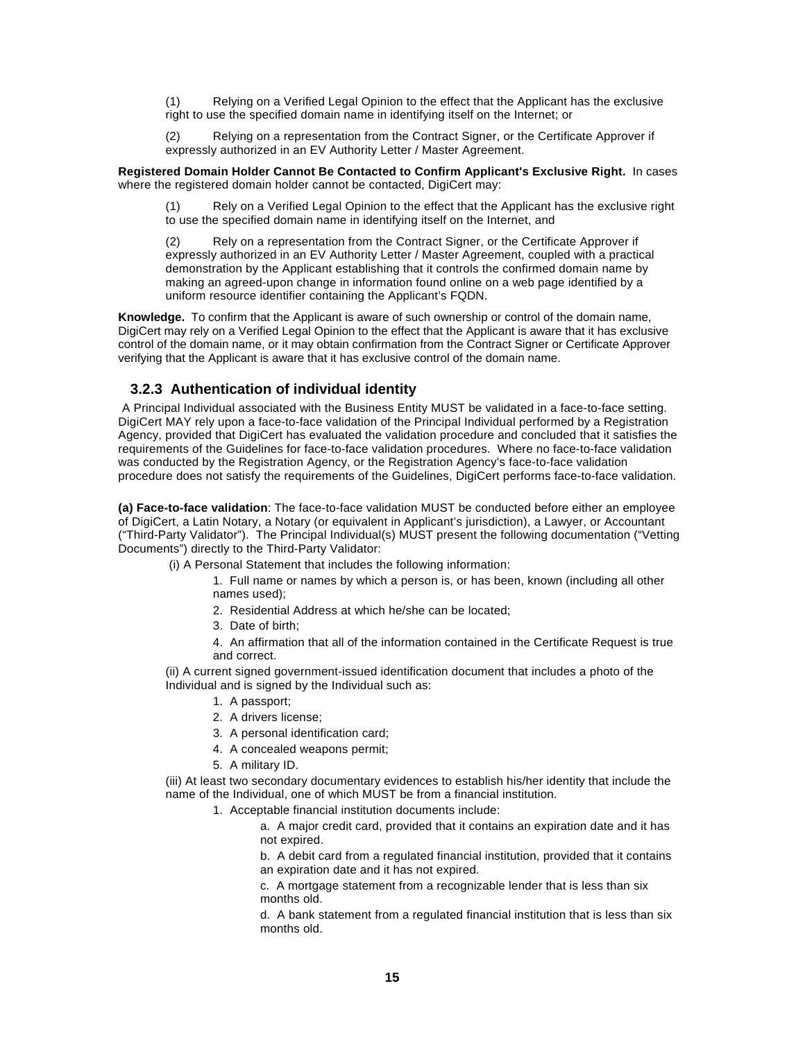(1) Relying on a Verified Legal Opinion to the effect that the Applicant has the exclusive right to use the specified domain name in identifying itself on the Internet; or

(2) Relying on a representation from the Contract Signer, or the Certificate Approver if expressly authorized in an EV Authority Letter / Master Agreement.

**Registered Domain Holder Cannot Be Contacted to Confirm Applicant's Exclusive Right.** In cases where the registered domain holder cannot be contacted, DigiCert may:

(1) Rely on a Verified Legal Opinion to the effect that the Applicant has the exclusive right to use the specified domain name in identifying itself on the Internet, and

(2) Rely on a representation from the Contract Signer, or the Certificate Approver if expressly authorized in an EV Authority Letter / Master Agreement, coupled with a practical demonstration by the Applicant establishing that it controls the confirmed domain name by making an agreed-upon change in information found online on a web page identified by a uniform resource identifier containing the Applicant's FQDN.

**Knowledge.** To confirm that the Applicant is aware of such ownership or control of the domain name, DigiCert may rely on a Verified Legal Opinion to the effect that the Applicant is aware that it has exclusive control of the domain name, or it may obtain confirmation from the Contract Signer or Certificate Approver verifying that the Applicant is aware that it has exclusive control of the domain name.

#### **3.2.3 Authentication of individual identity**

A Principal Individual associated with the Business Entity MUST be validated in a face-to-face setting. DigiCert MAY rely upon a face-to-face validation of the Principal Individual performed by a Registration Agency, provided that DigiCert has evaluated the validation procedure and concluded that it satisfies the requirements of the Guidelines for face-to-face validation procedures. Where no face-to-face validation was conducted by the Registration Agency, or the Registration Agency's face-to-face validation procedure does not satisfy the requirements of the Guidelines, DigiCert performs face-to-face validation.

**(a) Face-to-face validation**: The face-to-face validation MUST be conducted before either an employee of DigiCert, a Latin Notary, a Notary (or equivalent in Applicant's jurisdiction), a Lawyer, or Accountant ("Third-Party Validator"). The Principal Individual(s) MUST present the following documentation ("Vetting Documents") directly to the Third-Party Validator:

(i) A Personal Statement that includes the following information:

1. Full name or names by which a person is, or has been, known (including all other names used);

- 2. Residential Address at which he/she can be located;
- 3. Date of birth;

4. An affirmation that all of the information contained in the Certificate Request is true and correct.

(ii) A current signed government-issued identification document that includes a photo of the Individual and is signed by the Individual such as:

- 1. A passport;
- 2. A drivers license;
- 3. A personal identification card;
- 4. A concealed weapons permit;
- 5. A military ID.

(iii) At least two secondary documentary evidences to establish his/her identity that include the name of the Individual, one of which MUST be from a financial institution.

1. Acceptable financial institution documents include:

a. A major credit card, provided that it contains an expiration date and it has not expired.

b. A debit card from a regulated financial institution, provided that it contains an expiration date and it has not expired.

c. A mortgage statement from a recognizable lender that is less than six months old.

d. A bank statement from a regulated financial institution that is less than six months old.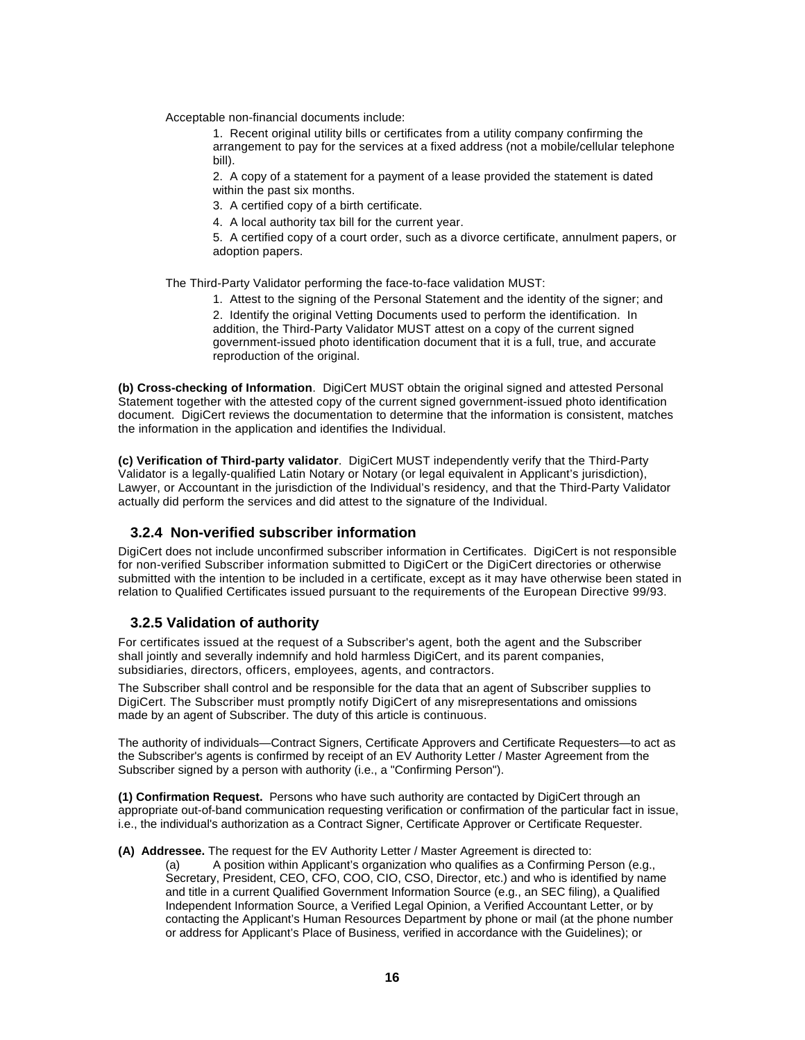Acceptable non-financial documents include:

1. Recent original utility bills or certificates from a utility company confirming the arrangement to pay for the services at a fixed address (not a mobile/cellular telephone bill).

2. A copy of a statement for a payment of a lease provided the statement is dated within the past six months.

3. A certified copy of a birth certificate.

4. A local authority tax bill for the current year.

5. A certified copy of a court order, such as a divorce certificate, annulment papers, or adoption papers.

The Third-Party Validator performing the face-to-face validation MUST:

1. Attest to the signing of the Personal Statement and the identity of the signer; and 2. Identify the original Vetting Documents used to perform the identification. In addition, the Third-Party Validator MUST attest on a copy of the current signed government-issued photo identification document that it is a full, true, and accurate reproduction of the original.

**(b) Cross-checking of Information**. DigiCert MUST obtain the original signed and attested Personal Statement together with the attested copy of the current signed government-issued photo identification document. DigiCert reviews the documentation to determine that the information is consistent, matches the information in the application and identifies the Individual.

**(c) Verification of Third-party validator**. DigiCert MUST independently verify that the Third-Party Validator is a legally-qualified Latin Notary or Notary (or legal equivalent in Applicant's jurisdiction), Lawyer, or Accountant in the jurisdiction of the Individual's residency, and that the Third-Party Validator actually did perform the services and did attest to the signature of the Individual.

#### **3.2.4 Non-verified subscriber information**

DigiCert does not include unconfirmed subscriber information in Certificates. DigiCert is not responsible for non-verified Subscriber information submitted to DigiCert or the DigiCert directories or otherwise submitted with the intention to be included in a certificate, except as it may have otherwise been stated in relation to Qualified Certificates issued pursuant to the requirements of the European Directive 99/93.

#### **3.2.5 Validation of authority**

For certificates issued at the request of a Subscriber's agent, both the agent and the Subscriber shall jointly and severally indemnify and hold harmless DigiCert, and its parent companies, subsidiaries, directors, officers, employees, agents, and contractors.

The Subscriber shall control and be responsible for the data that an agent of Subscriber supplies to DigiCert. The Subscriber must promptly notify DigiCert of any misrepresentations and omissions made by an agent of Subscriber. The duty of this article is continuous.

The authority of individuals—Contract Signers, Certificate Approvers and Certificate Requesters—to act as the Subscriber's agents is confirmed by receipt of an EV Authority Letter / Master Agreement from the Subscriber signed by a person with authority (i.e., a "Confirming Person").

**(1) Confirmation Request.** Persons who have such authority are contacted by DigiCert through an appropriate out-of-band communication requesting verification or confirmation of the particular fact in issue, i.e., the individual's authorization as a Contract Signer, Certificate Approver or Certificate Requester.

**(A) Addressee.** The request for the EV Authority Letter / Master Agreement is directed to:

(a) A position within Applicant's organization who qualifies as a Confirming Person (e.g., Secretary, President, CEO, CFO, COO, CIO, CSO, Director, etc.) and who is identified by name and title in a current Qualified Government Information Source (e.g., an SEC filing), a Qualified Independent Information Source, a Verified Legal Opinion, a Verified Accountant Letter, or by contacting the Applicant's Human Resources Department by phone or mail (at the phone number or address for Applicant's Place of Business, verified in accordance with the Guidelines); or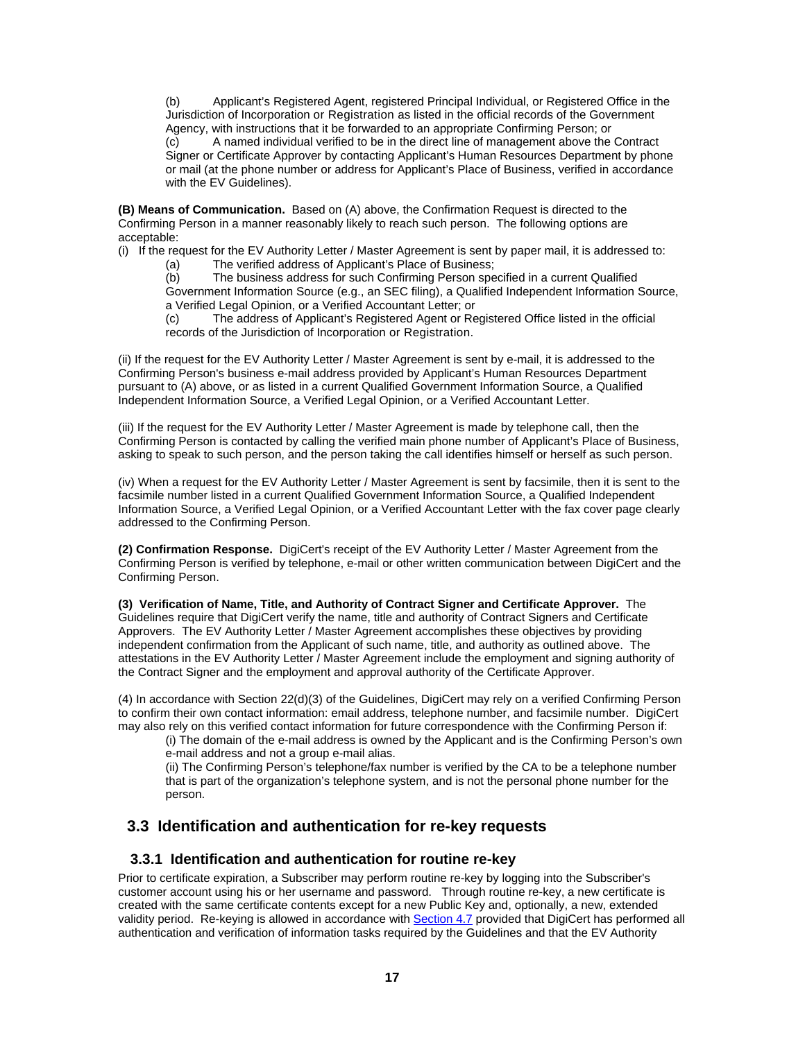(b) Applicant's Registered Agent, registered Principal Individual, or Registered Office in the Jurisdiction of Incorporation or Registration as listed in the official records of the Government Agency, with instructions that it be forwarded to an appropriate Confirming Person; or (c) A named individual verified to be in the direct line of management above the Contract Signer or Certificate Approver by contacting Applicant's Human Resources Department by phone or mail (at the phone number or address for Applicant's Place of Business, verified in accordance with the EV Guidelines).

**(B) Means of Communication.** Based on (A) above, the Confirmation Request is directed to the Confirming Person in a manner reasonably likely to reach such person. The following options are acceptable:

(i) If the request for the EV Authority Letter / Master Agreement is sent by paper mail, it is addressed to:

The verified address of Applicant's Place of Business;

(b) The business address for such Confirming Person specified in a current Qualified Government Information Source (e.g., an SEC filing), a Qualified Independent Information Source, a Verified Legal Opinion, or a Verified Accountant Letter; or

(c) The address of Applicant's Registered Agent or Registered Office listed in the official records of the Jurisdiction of Incorporation or Registration.

(ii) If the request for the EV Authority Letter / Master Agreement is sent by e-mail, it is addressed to the Confirming Person's business e-mail address provided by Applicant's Human Resources Department pursuant to (A) above, or as listed in a current Qualified Government Information Source, a Qualified Independent Information Source, a Verified Legal Opinion, or a Verified Accountant Letter.

(iii) If the request for the EV Authority Letter / Master Agreement is made by telephone call, then the Confirming Person is contacted by calling the verified main phone number of Applicant's Place of Business, asking to speak to such person, and the person taking the call identifies himself or herself as such person.

(iv) When a request for the EV Authority Letter / Master Agreement is sent by facsimile, then it is sent to the facsimile number listed in a current Qualified Government Information Source, a Qualified Independent Information Source, a Verified Legal Opinion, or a Verified Accountant Letter with the fax cover page clearly addressed to the Confirming Person.

**(2) Confirmation Response.** DigiCert's receipt of the EV Authority Letter / Master Agreement from the Confirming Person is verified by telephone, e-mail or other written communication between DigiCert and the Confirming Person.

**(3) Verification of Name, Title, and Authority of Contract Signer and Certificate Approver.** The Guidelines require that DigiCert verify the name, title and authority of Contract Signers and Certificate Approvers. The EV Authority Letter / Master Agreement accomplishes these objectives by providing independent confirmation from the Applicant of such name, title, and authority as outlined above. The attestations in the EV Authority Letter / Master Agreement include the employment and signing authority of the Contract Signer and the employment and approval authority of the Certificate Approver.

(4) In accordance with Section 22(d)(3) of the Guidelines, DigiCert may rely on a verified Confirming Person to confirm their own contact information: email address, telephone number, and facsimile number. DigiCert may also rely on this verified contact information for future correspondence with the Confirming Person if:

(i) The domain of the e-mail address is owned by the Applicant and is the Confirming Person's own e-mail address and not a group e-mail alias.

(ii) The Confirming Person's telephone/fax number is verified by the CA to be a telephone number that is part of the organization's telephone system, and is not the personal phone number for the person.

# **3.3 Identification and authentication for re-key requests**

#### **3.3.1 Identification and authentication for routine re-key**

Prior to certificate expiration, a Subscriber may perform routine re-key by logging into the Subscriber's customer account using his or her username and password. Through routine re-key, a new certificate is created with the same certificate contents except for a new Public Key and, optionally, a new, extended validity period. Re-keying is allowed in accordance with Section 4.7 provided that DigiCert has performed all authentication and verification of information tasks required by the Guidelines and that the EV Authority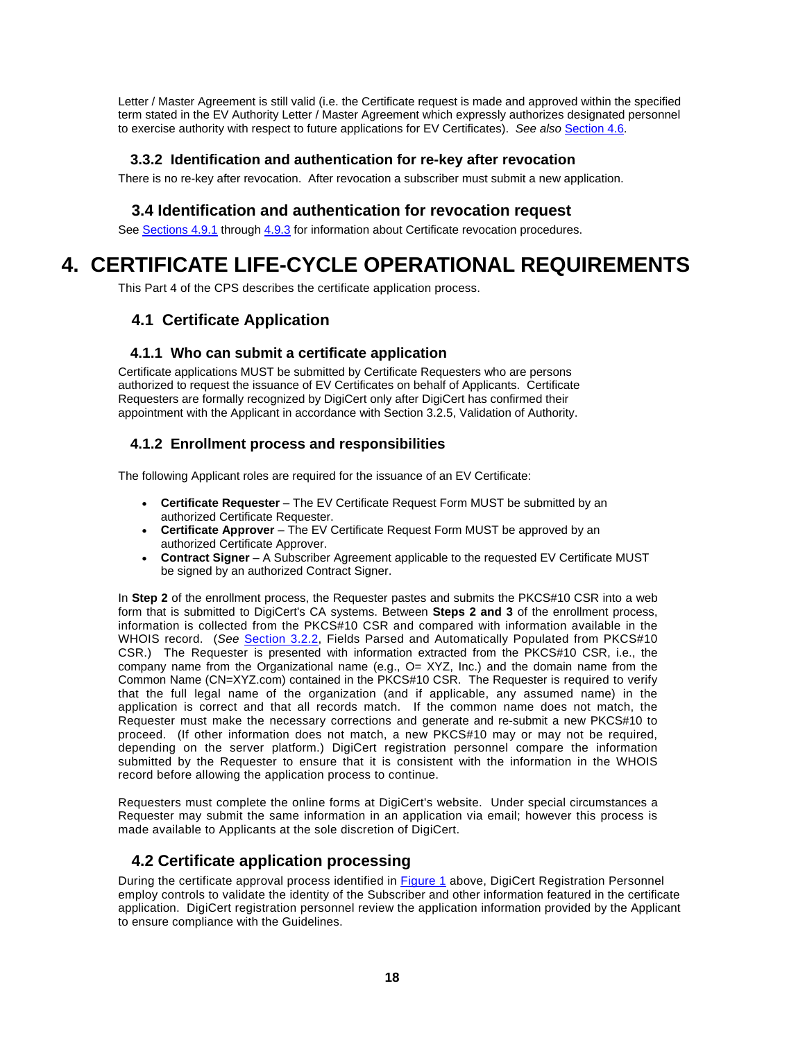Letter / Master Agreement is still valid (i.e. the Certificate request is made and approved within the specified term stated in the EV Authority Letter / Master Agreement which expressly authorizes designated personnel to exercise authority with respect to future applications for EV Certificates). *See also* Section 4.6.

## **3.3.2 Identification and authentication for re-key after revocation**

There is no re-key after revocation. After revocation a subscriber must submit a new application.

# **3.4 Identification and authentication for revocation request**

See Sections 4.9.1 through 4.9.3 for information about Certificate revocation procedures.

# **4. CERTIFICATE LIFE-CYCLE OPERATIONAL REQUIREMENTS**

This Part 4 of the CPS describes the certificate application process.

# **4.1 Certificate Application**

#### **4.1.1 Who can submit a certificate application**

Certificate applications MUST be submitted by Certificate Requesters who are persons authorized to request the issuance of EV Certificates on behalf of Applicants. Certificate Requesters are formally recognized by DigiCert only after DigiCert has confirmed their appointment with the Applicant in accordance with Section 3.2.5, Validation of Authority.

# **4.1.2 Enrollment process and responsibilities**

The following Applicant roles are required for the issuance of an EV Certificate:

- **Certificate Requester** The EV Certificate Request Form MUST be submitted by an authorized Certificate Requester.
- **Certificate Approver** The EV Certificate Request Form MUST be approved by an authorized Certificate Approver.
- **Contract Signer** A Subscriber Agreement applicable to the requested EV Certificate MUST be signed by an authorized Contract Signer.

In **Step 2** of the enrollment process, the Requester pastes and submits the PKCS#10 CSR into a web form that is submitted to DigiCert's CA systems. Between **Steps 2 and 3** of the enrollment process, information is collected from the PKCS#10 CSR and compared with information available in the WHOIS record. (*See* Section 3.2.2, Fields Parsed and Automatically Populated from PKCS#10 CSR.) The Requester is presented with information extracted from the PKCS#10 CSR, i.e., the company name from the Organizational name (e.g., O= XYZ, Inc.) and the domain name from the Common Name (CN=XYZ.com) contained in the PKCS#10 CSR. The Requester is required to verify that the full legal name of the organization (and if applicable, any assumed name) in the application is correct and that all records match. If the common name does not match, the Requester must make the necessary corrections and generate and re-submit a new PKCS#10 to proceed. (If other information does not match, a new PKCS#10 may or may not be required, depending on the server platform.) DigiCert registration personnel compare the information submitted by the Requester to ensure that it is consistent with the information in the WHOIS record before allowing the application process to continue.

Requesters must complete the online forms at DigiCert's website. Under special circumstances a Requester may submit the same information in an application via email; however this process is made available to Applicants at the sole discretion of DigiCert.

# **4.2 Certificate application processing**

During the certificate approval process identified in Figure 1 above, DigiCert Registration Personnel employ controls to validate the identity of the Subscriber and other information featured in the certificate application. DigiCert registration personnel review the application information provided by the Applicant to ensure compliance with the Guidelines.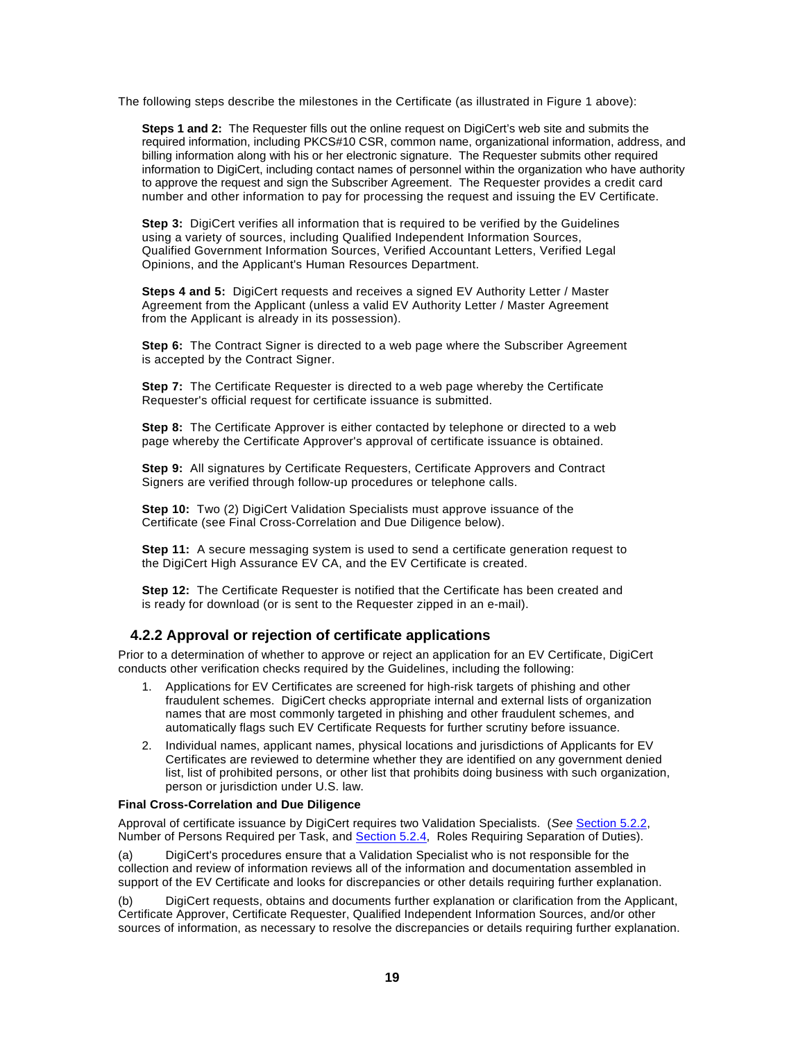The following steps describe the milestones in the Certificate (as illustrated in Figure 1 above):

**Steps 1 and 2:** The Requester fills out the online request on DigiCert's web site and submits the required information, including PKCS#10 CSR, common name, organizational information, address, and billing information along with his or her electronic signature. The Requester submits other required information to DigiCert, including contact names of personnel within the organization who have authority to approve the request and sign the Subscriber Agreement. The Requester provides a credit card number and other information to pay for processing the request and issuing the EV Certificate.

**Step 3:** DigiCert verifies all information that is required to be verified by the Guidelines using a variety of sources, including Qualified Independent Information Sources, Qualified Government Information Sources, Verified Accountant Letters, Verified Legal Opinions, and the Applicant's Human Resources Department.

**Steps 4 and 5:** DigiCert requests and receives a signed EV Authority Letter / Master Agreement from the Applicant (unless a valid EV Authority Letter / Master Agreement from the Applicant is already in its possession).

**Step 6:** The Contract Signer is directed to a web page where the Subscriber Agreement is accepted by the Contract Signer.

**Step 7:** The Certificate Requester is directed to a web page whereby the Certificate Requester's official request for certificate issuance is submitted.

**Step 8:** The Certificate Approver is either contacted by telephone or directed to a web page whereby the Certificate Approver's approval of certificate issuance is obtained.

**Step 9:** All signatures by Certificate Requesters, Certificate Approvers and Contract Signers are verified through follow-up procedures or telephone calls.

**Step 10:** Two (2) DigiCert Validation Specialists must approve issuance of the Certificate (see Final Cross-Correlation and Due Diligence below).

**Step 11:** A secure messaging system is used to send a certificate generation request to the DigiCert High Assurance EV CA, and the EV Certificate is created.

**Step 12:** The Certificate Requester is notified that the Certificate has been created and is ready for download (or is sent to the Requester zipped in an e-mail).

#### **4.2.2 Approval or rejection of certificate applications**

Prior to a determination of whether to approve or reject an application for an EV Certificate, DigiCert conducts other verification checks required by the Guidelines, including the following:

- 1. Applications for EV Certificates are screened for high-risk targets of phishing and other fraudulent schemes. DigiCert checks appropriate internal and external lists of organization names that are most commonly targeted in phishing and other fraudulent schemes, and automatically flags such EV Certificate Requests for further scrutiny before issuance.
- 2. Individual names, applicant names, physical locations and jurisdictions of Applicants for EV Certificates are reviewed to determine whether they are identified on any government denied list, list of prohibited persons, or other list that prohibits doing business with such organization, person or jurisdiction under U.S. law.

#### **Final Cross-Correlation and Due Diligence**

Approval of certificate issuance by DigiCert requires two Validation Specialists. (*See* Section 5.2.2, Number of Persons Required per Task, and Section 5.2.4, Roles Requiring Separation of Duties).

(a) DigiCert's procedures ensure that a Validation Specialist who is not responsible for the collection and review of information reviews all of the information and documentation assembled in support of the EV Certificate and looks for discrepancies or other details requiring further explanation.

(b) DigiCert requests, obtains and documents further explanation or clarification from the Applicant, Certificate Approver, Certificate Requester, Qualified Independent Information Sources, and/or other sources of information, as necessary to resolve the discrepancies or details requiring further explanation.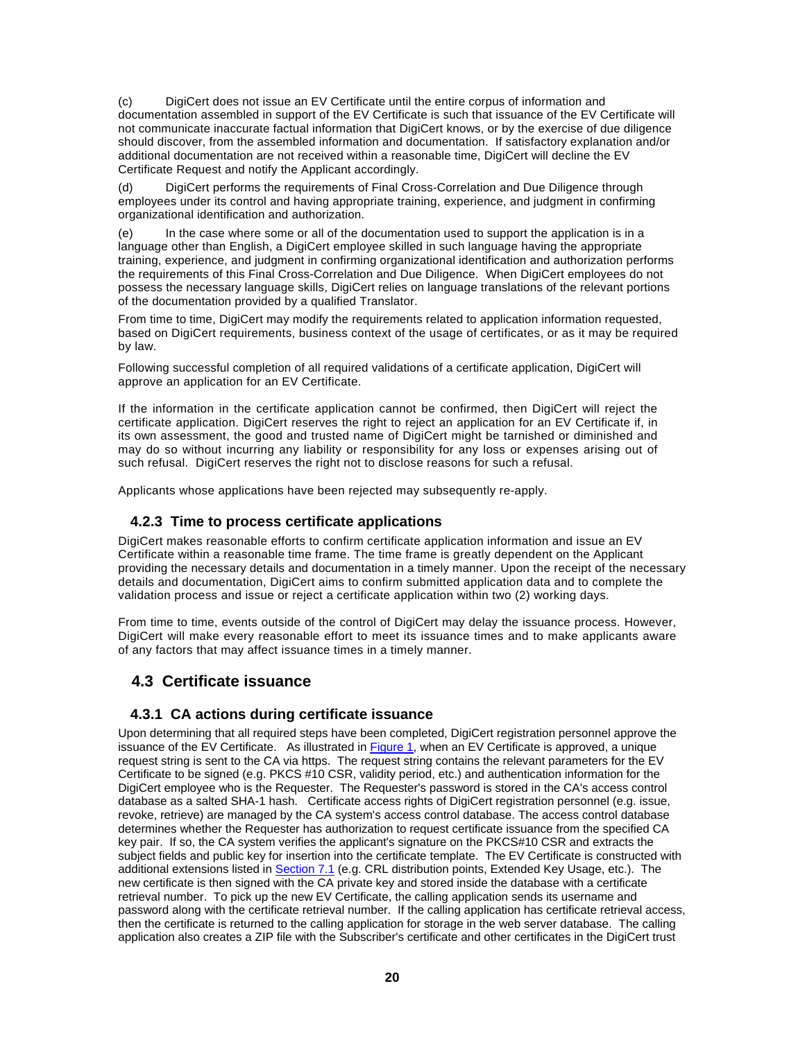(c) DigiCert does not issue an EV Certificate until the entire corpus of information and documentation assembled in support of the EV Certificate is such that issuance of the EV Certificate will not communicate inaccurate factual information that DigiCert knows, or by the exercise of due diligence should discover, from the assembled information and documentation. If satisfactory explanation and/or additional documentation are not received within a reasonable time, DigiCert will decline the EV Certificate Request and notify the Applicant accordingly.

(d) DigiCert performs the requirements of Final Cross-Correlation and Due Diligence through employees under its control and having appropriate training, experience, and judgment in confirming organizational identification and authorization.

(e) In the case where some or all of the documentation used to support the application is in a language other than English, a DigiCert employee skilled in such language having the appropriate training, experience, and judgment in confirming organizational identification and authorization performs the requirements of this Final Cross-Correlation and Due Diligence. When DigiCert employees do not possess the necessary language skills, DigiCert relies on language translations of the relevant portions of the documentation provided by a qualified Translator.

From time to time, DigiCert may modify the requirements related to application information requested, based on DigiCert requirements, business context of the usage of certificates, or as it may be required by law.

Following successful completion of all required validations of a certificate application, DigiCert will approve an application for an EV Certificate.

If the information in the certificate application cannot be confirmed, then DigiCert will reject the certificate application. DigiCert reserves the right to reject an application for an EV Certificate if, in its own assessment, the good and trusted name of DigiCert might be tarnished or diminished and may do so without incurring any liability or responsibility for any loss or expenses arising out of such refusal. DigiCert reserves the right not to disclose reasons for such a refusal.

Applicants whose applications have been rejected may subsequently re-apply.

#### **4.2.3 Time to process certificate applications**

DigiCert makes reasonable efforts to confirm certificate application information and issue an EV Certificate within a reasonable time frame. The time frame is greatly dependent on the Applicant providing the necessary details and documentation in a timely manner. Upon the receipt of the necessary details and documentation, DigiCert aims to confirm submitted application data and to complete the validation process and issue or reject a certificate application within two (2) working days.

From time to time, events outside of the control of DigiCert may delay the issuance process. However, DigiCert will make every reasonable effort to meet its issuance times and to make applicants aware of any factors that may affect issuance times in a timely manner.

# **4.3 Certificate issuance**

#### **4.3.1 CA actions during certificate issuance**

Upon determining that all required steps have been completed, DigiCert registration personnel approve the issuance of the EV Certificate. As illustrated in Figure 1, when an EV Certificate is approved, a unique request string is sent to the CA via https. The request string contains the relevant parameters for the EV Certificate to be signed (e.g. PKCS #10 CSR, validity period, etc.) and authentication information for the DigiCert employee who is the Requester. The Requester's password is stored in the CA's access control database as a salted SHA-1 hash. Certificate access rights of DigiCert registration personnel (e.g. issue, revoke, retrieve) are managed by the CA system's access control database. The access control database determines whether the Requester has authorization to request certificate issuance from the specified CA key pair. If so, the CA system verifies the applicant's signature on the PKCS#10 CSR and extracts the subject fields and public key for insertion into the certificate template. The EV Certificate is constructed with additional extensions listed in Section 7.1 (e.g. CRL distribution points, Extended Key Usage, etc.). The new certificate is then signed with the CA private key and stored inside the database with a certificate retrieval number. To pick up the new EV Certificate, the calling application sends its username and password along with the certificate retrieval number. If the calling application has certificate retrieval access, then the certificate is returned to the calling application for storage in the web server database. The calling application also creates a ZIP file with the Subscriber's certificate and other certificates in the DigiCert trust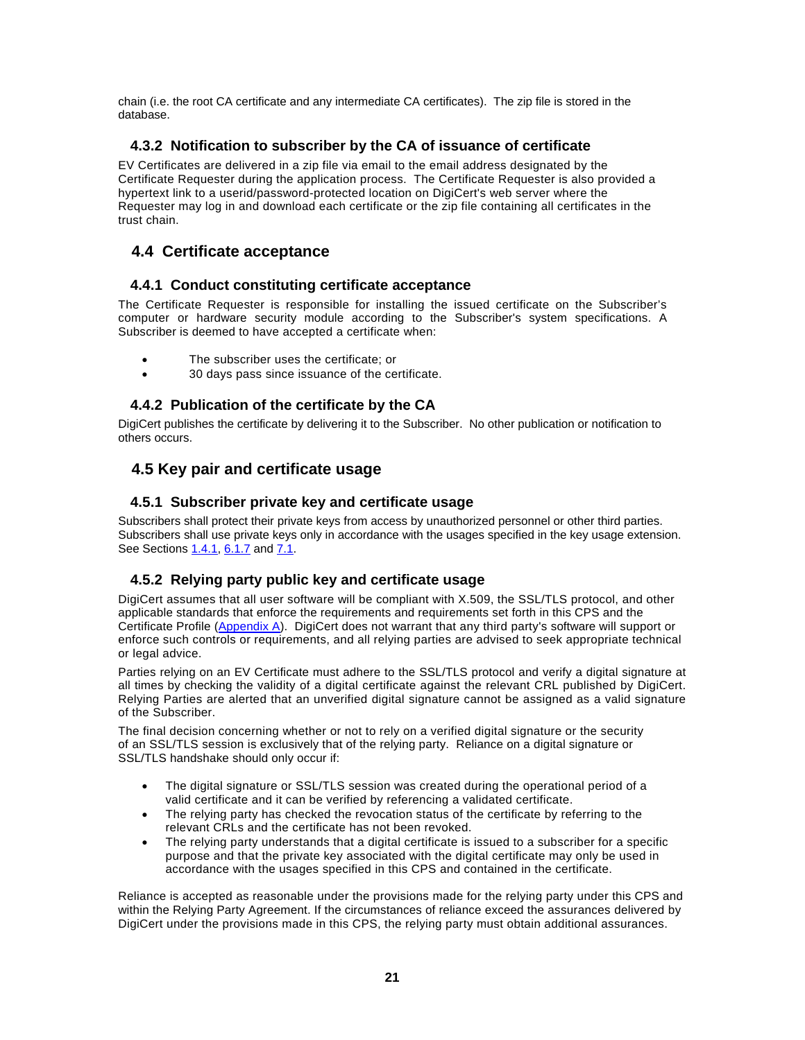chain (i.e. the root CA certificate and any intermediate CA certificates). The zip file is stored in the database.

#### **4.3.2 Notification to subscriber by the CA of issuance of certificate**

EV Certificates are delivered in a zip file via email to the email address designated by the Certificate Requester during the application process. The Certificate Requester is also provided a hypertext link to a userid/password-protected location on DigiCert's web server where the Requester may log in and download each certificate or the zip file containing all certificates in the trust chain.

# **4.4 Certificate acceptance**

#### **4.4.1 Conduct constituting certificate acceptance**

The Certificate Requester is responsible for installing the issued certificate on the Subscriber's computer or hardware security module according to the Subscriber's system specifications. A Subscriber is deemed to have accepted a certificate when:

- The subscriber uses the certificate; or
- 30 days pass since issuance of the certificate.

# **4.4.2 Publication of the certificate by the CA**

DigiCert publishes the certificate by delivering it to the Subscriber. No other publication or notification to others occurs.

# **4.5 Key pair and certificate usage**

#### **4.5.1 Subscriber private key and certificate usage**

Subscribers shall protect their private keys from access by unauthorized personnel or other third parties. Subscribers shall use private keys only in accordance with the usages specified in the key usage extension. See Sections 1.4.1, 6.1.7 and 7.1.

# **4.5.2 Relying party public key and certificate usage**

DigiCert assumes that all user software will be compliant with X.509, the SSL/TLS protocol, and other applicable standards that enforce the requirements and requirements set forth in this CPS and the Certificate Profile (Appendix A). DigiCert does not warrant that any third party's software will support or enforce such controls or requirements, and all relying parties are advised to seek appropriate technical or legal advice.

Parties relying on an EV Certificate must adhere to the SSL/TLS protocol and verify a digital signature at all times by checking the validity of a digital certificate against the relevant CRL published by DigiCert. Relying Parties are alerted that an unverified digital signature cannot be assigned as a valid signature of the Subscriber.

The final decision concerning whether or not to rely on a verified digital signature or the security of an SSL/TLS session is exclusively that of the relying party. Reliance on a digital signature or SSL/TLS handshake should only occur if:

- The digital signature or SSL/TLS session was created during the operational period of a valid certificate and it can be verified by referencing a validated certificate.
- The relying party has checked the revocation status of the certificate by referring to the relevant CRLs and the certificate has not been revoked.
- The relying party understands that a digital certificate is issued to a subscriber for a specific purpose and that the private key associated with the digital certificate may only be used in accordance with the usages specified in this CPS and contained in the certificate.

Reliance is accepted as reasonable under the provisions made for the relying party under this CPS and within the Relying Party Agreement. If the circumstances of reliance exceed the assurances delivered by DigiCert under the provisions made in this CPS, the relying party must obtain additional assurances.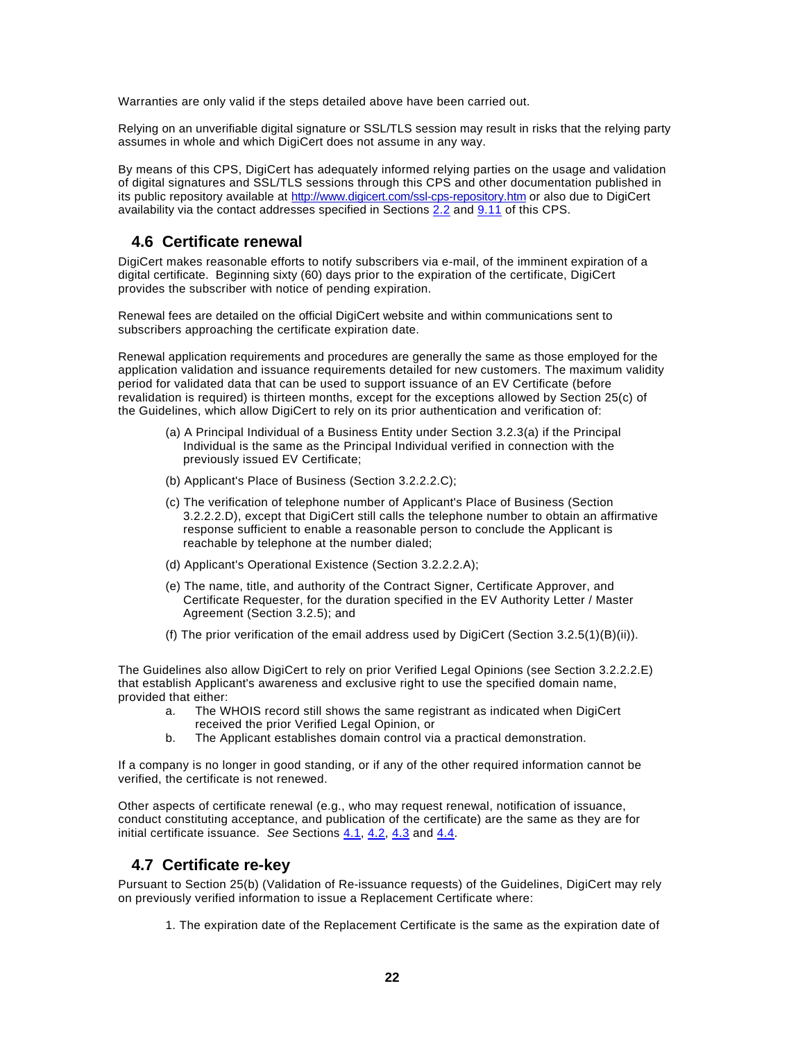Warranties are only valid if the steps detailed above have been carried out.

Relying on an unverifiable digital signature or SSL/TLS session may result in risks that the relying party assumes in whole and which DigiCert does not assume in any way.

By means of this CPS, DigiCert has adequately informed relying parties on the usage and validation of digital signatures and SSL/TLS sessions through this CPS and other documentation published in its public repository available at http://www.digicert.com/ssl-cps-repository.htm or also due to DigiCert availability via the contact addresses specified in Sections  $2.2$  and  $9.11$  of this CPS.

# **4.6 Certificate renewal**

DigiCert makes reasonable efforts to notify subscribers via e-mail, of the imminent expiration of a digital certificate. Beginning sixty (60) days prior to the expiration of the certificate, DigiCert provides the subscriber with notice of pending expiration.

Renewal fees are detailed on the official DigiCert website and within communications sent to subscribers approaching the certificate expiration date.

Renewal application requirements and procedures are generally the same as those employed for the application validation and issuance requirements detailed for new customers. The maximum validity period for validated data that can be used to support issuance of an EV Certificate (before revalidation is required) is thirteen months, except for the exceptions allowed by Section 25(c) of the Guidelines, which allow DigiCert to rely on its prior authentication and verification of:

- (a) A Principal Individual of a Business Entity under Section 3.2.3(a) if the Principal Individual is the same as the Principal Individual verified in connection with the previously issued EV Certificate;
- (b) Applicant's Place of Business (Section 3.2.2.2.C);
- (c) The verification of telephone number of Applicant's Place of Business (Section 3.2.2.2.D), except that DigiCert still calls the telephone number to obtain an affirmative response sufficient to enable a reasonable person to conclude the Applicant is reachable by telephone at the number dialed;
- (d) Applicant's Operational Existence (Section 3.2.2.2.A);
- (e) The name, title, and authority of the Contract Signer, Certificate Approver, and Certificate Requester, for the duration specified in the EV Authority Letter / Master Agreement (Section 3.2.5); and
- (f) The prior verification of the email address used by DigiCert (Section 3.2.5(1)(B)(ii)).

The Guidelines also allow DigiCert to rely on prior Verified Legal Opinions (see Section 3.2.2.2.E) that establish Applicant's awareness and exclusive right to use the specified domain name, provided that either:

- a. The WHOIS record still shows the same registrant as indicated when DigiCert
	- received the prior Verified Legal Opinion, or
- b. The Applicant establishes domain control via a practical demonstration.

If a company is no longer in good standing, or if any of the other required information cannot be verified, the certificate is not renewed.

Other aspects of certificate renewal (e.g., who may request renewal, notification of issuance, conduct constituting acceptance, and publication of the certificate) are the same as they are for initial certificate issuance. *See* Sections 4.1, 4.2, 4.3 and 4.4.

# **4.7 Certificate re-key**

Pursuant to Section 25(b) (Validation of Re-issuance requests) of the Guidelines, DigiCert may rely on previously verified information to issue a Replacement Certificate where:

1. The expiration date of the Replacement Certificate is the same as the expiration date of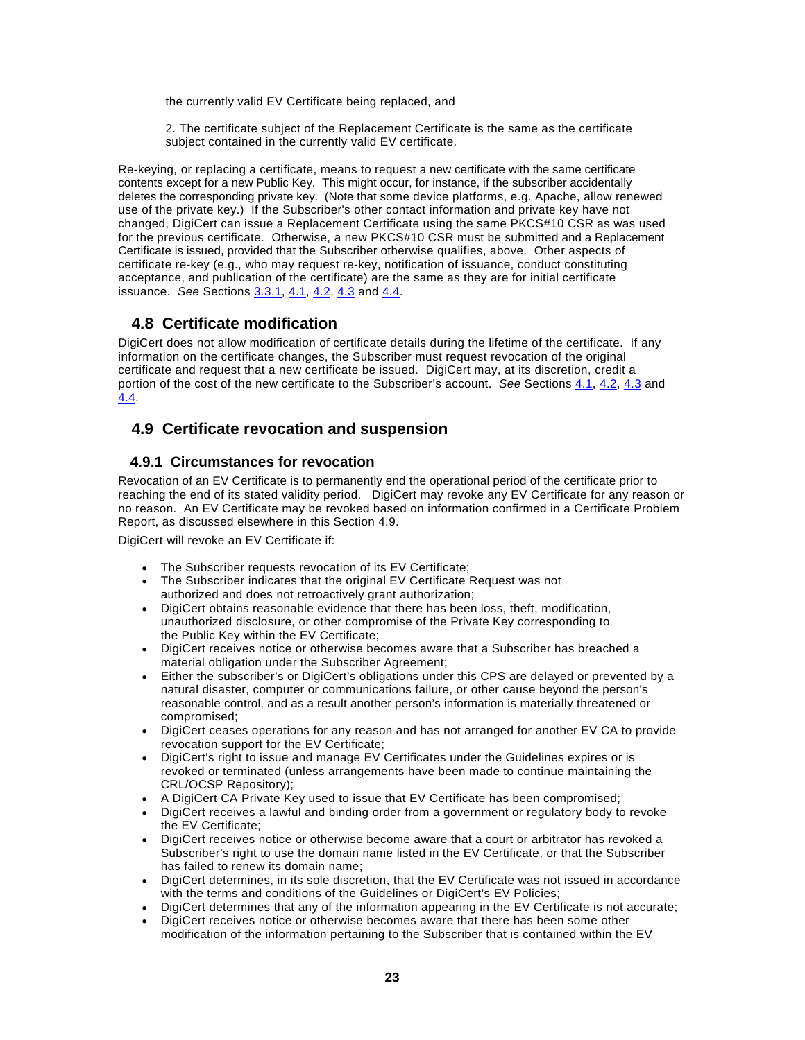the currently valid EV Certificate being replaced, and

2. The certificate subject of the Replacement Certificate is the same as the certificate subject contained in the currently valid EV certificate.

Re-keying, or replacing a certificate, means to request a new certificate with the same certificate contents except for a new Public Key. This might occur, for instance, if the subscriber accidentally deletes the corresponding private key. (Note that some device platforms, e.g. Apache, allow renewed use of the private key.) If the Subscriber's other contact information and private key have not changed, DigiCert can issue a Replacement Certificate using the same PKCS#10 CSR as was used for the previous certificate. Otherwise, a new PKCS#10 CSR must be submitted and a Replacement Certificate is issued, provided that the Subscriber otherwise qualifies, above. Other aspects of certificate re-key (e.g., who may request re-key, notification of issuance, conduct constituting acceptance, and publication of the certificate) are the same as they are for initial certificate issuance. *See* Sections 3.3.1, 4.1, 4.2, 4.3 and 4.4.

# **4.8 Certificate modification**

DigiCert does not allow modification of certificate details during the lifetime of the certificate. If any information on the certificate changes, the Subscriber must request revocation of the original certificate and request that a new certificate be issued. DigiCert may, at its discretion, credit a portion of the cost of the new certificate to the Subscriber's account. *See* Sections 4.1, 4.2, 4.3 and 4.4.

# **4.9 Certificate revocation and suspension**

#### **4.9.1 Circumstances for revocation**

Revocation of an EV Certificate is to permanently end the operational period of the certificate prior to reaching the end of its stated validity period. DigiCert may revoke any EV Certificate for any reason or no reason. An EV Certificate may be revoked based on information confirmed in a Certificate Problem Report, as discussed elsewhere in this Section 4.9.

DigiCert will revoke an EV Certificate if:

- The Subscriber requests revocation of its EV Certificate;
- The Subscriber indicates that the original EV Certificate Request was not authorized and does not retroactively grant authorization;
- DigiCert obtains reasonable evidence that there has been loss, theft, modification, unauthorized disclosure, or other compromise of the Private Key corresponding to the Public Key within the EV Certificate;
- DigiCert receives notice or otherwise becomes aware that a Subscriber has breached a material obligation under the Subscriber Agreement;
- Either the subscriber's or DigiCert's obligations under this CPS are delayed or prevented by a natural disaster, computer or communications failure, or other cause beyond the person's reasonable control, and as a result another person's information is materially threatened or compromised;
- DigiCert ceases operations for any reason and has not arranged for another EV CA to provide revocation support for the EV Certificate;
- DigiCert's right to issue and manage EV Certificates under the Guidelines expires or is revoked or terminated (unless arrangements have been made to continue maintaining the CRL/OCSP Repository);
- A DigiCert CA Private Key used to issue that EV Certificate has been compromised;
- DigiCert receives a lawful and binding order from a government or regulatory body to revoke the EV Certificate;
- DigiCert receives notice or otherwise become aware that a court or arbitrator has revoked a Subscriber's right to use the domain name listed in the EV Certificate, or that the Subscriber has failed to renew its domain name;
- DigiCert determines, in its sole discretion, that the EV Certificate was not issued in accordance with the terms and conditions of the Guidelines or DigiCert's EV Policies;
- DigiCert determines that any of the information appearing in the EV Certificate is not accurate;
- DigiCert receives notice or otherwise becomes aware that there has been some other modification of the information pertaining to the Subscriber that is contained within the EV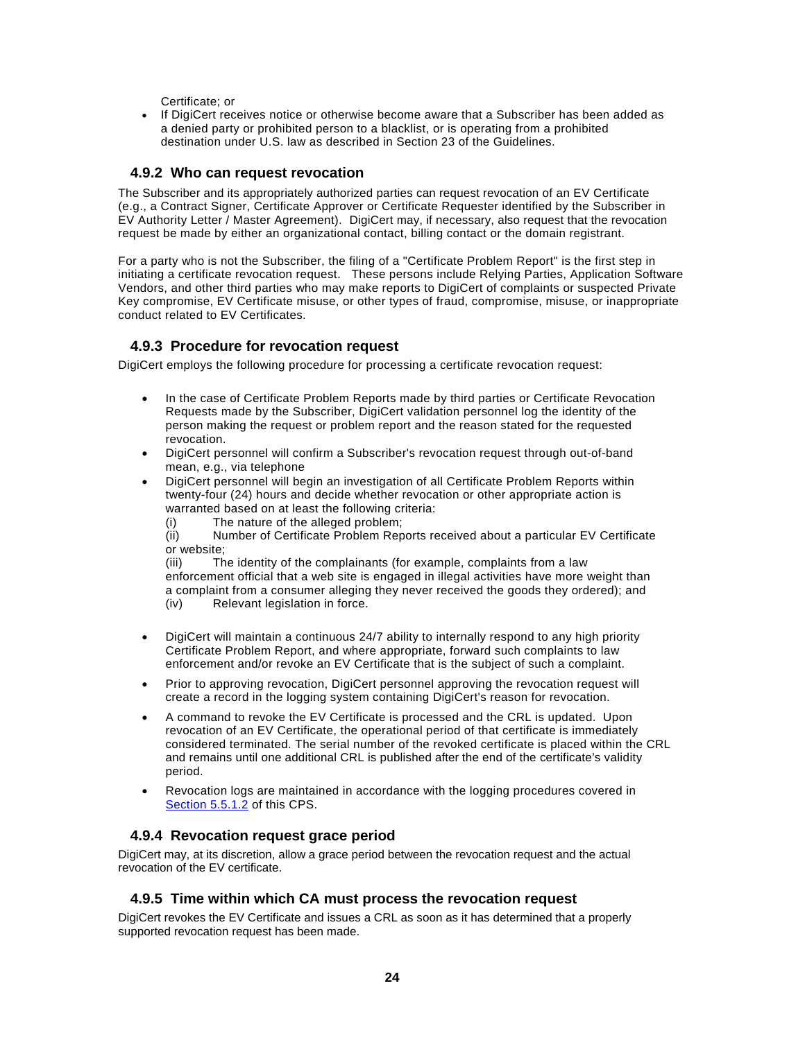Certificate; or

• If DigiCert receives notice or otherwise become aware that a Subscriber has been added as a denied party or prohibited person to a blacklist, or is operating from a prohibited destination under U.S. law as described in Section 23 of the Guidelines.

#### **4.9.2 Who can request revocation**

The Subscriber and its appropriately authorized parties can request revocation of an EV Certificate (e.g., a Contract Signer, Certificate Approver or Certificate Requester identified by the Subscriber in EV Authority Letter / Master Agreement). DigiCert may, if necessary, also request that the revocation request be made by either an organizational contact, billing contact or the domain registrant.

For a party who is not the Subscriber, the filing of a "Certificate Problem Report" is the first step in initiating a certificate revocation request. These persons include Relying Parties, Application Software Vendors, and other third parties who may make reports to DigiCert of complaints or suspected Private Key compromise, EV Certificate misuse, or other types of fraud, compromise, misuse, or inappropriate conduct related to EV Certificates.

#### **4.9.3 Procedure for revocation request**

DigiCert employs the following procedure for processing a certificate revocation request:

- In the case of Certificate Problem Reports made by third parties or Certificate Revocation Requests made by the Subscriber, DigiCert validation personnel log the identity of the person making the request or problem report and the reason stated for the requested revocation.
- DigiCert personnel will confirm a Subscriber's revocation request through out-of-band mean, e.g., via telephone
- DigiCert personnel will begin an investigation of all Certificate Problem Reports within twenty-four (24) hours and decide whether revocation or other appropriate action is warranted based on at least the following criteria:
	- (i) The nature of the alleged problem;

(ii) Number of Certificate Problem Reports received about a particular EV Certificate or website;

(iii) The identity of the complainants (for example, complaints from a law enforcement official that a web site is engaged in illegal activities have more weight than a complaint from a consumer alleging they never received the goods they ordered); and (iv) Relevant legislation in force.

- DigiCert will maintain a continuous 24/7 ability to internally respond to any high priority Certificate Problem Report, and where appropriate, forward such complaints to law enforcement and/or revoke an EV Certificate that is the subject of such a complaint.
- Prior to approving revocation, DigiCert personnel approving the revocation request will create a record in the logging system containing DigiCert's reason for revocation.
- A command to revoke the EV Certificate is processed and the CRL is updated. Upon revocation of an EV Certificate, the operational period of that certificate is immediately considered terminated. The serial number of the revoked certificate is placed within the CRL and remains until one additional CRL is published after the end of the certificate's validity period.
- Revocation logs are maintained in accordance with the logging procedures covered in Section 5.5.1.2 of this CPS.

#### **4.9.4 Revocation request grace period**

DigiCert may, at its discretion, allow a grace period between the revocation request and the actual revocation of the EV certificate.

#### **4.9.5 Time within which CA must process the revocation request**

DigiCert revokes the EV Certificate and issues a CRL as soon as it has determined that a properly supported revocation request has been made.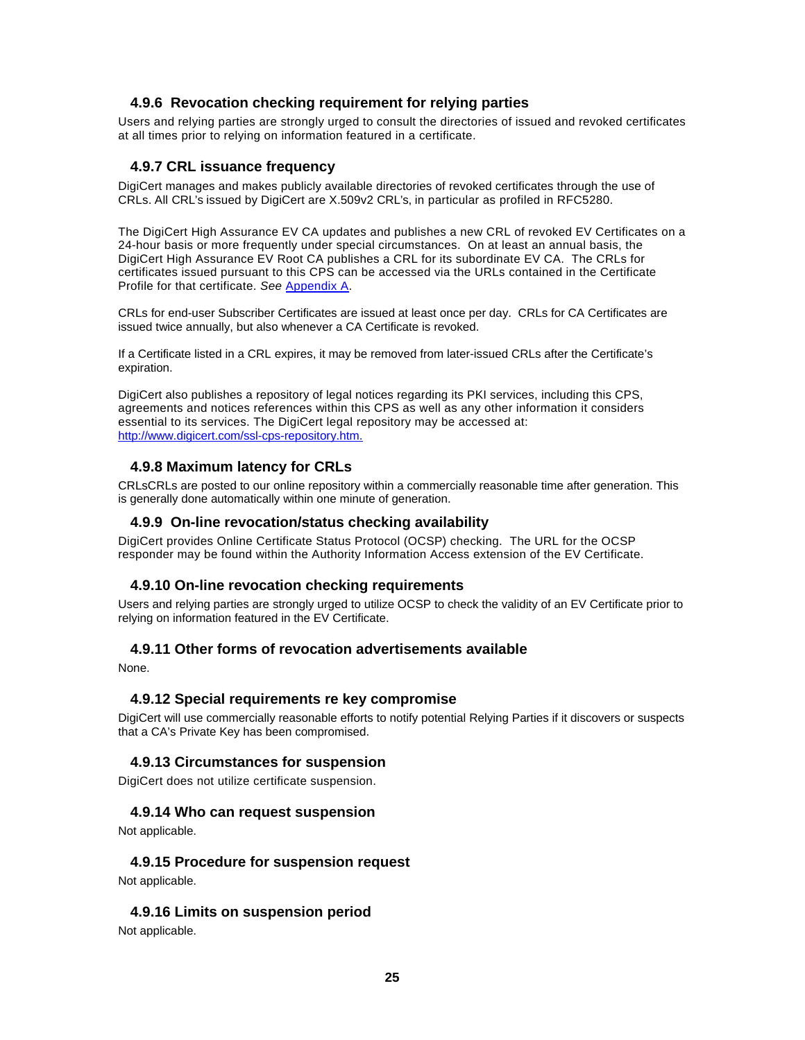#### **4.9.6 Revocation checking requirement for relying parties**

Users and relying parties are strongly urged to consult the directories of issued and revoked certificates at all times prior to relying on information featured in a certificate.

#### **4.9.7 CRL issuance frequency**

DigiCert manages and makes publicly available directories of revoked certificates through the use of CRLs. All CRL's issued by DigiCert are X.509v2 CRL's, in particular as profiled in RFC5280.

The DigiCert High Assurance EV CA updates and publishes a new CRL of revoked EV Certificates on a 24-hour basis or more frequently under special circumstances. On at least an annual basis, the DigiCert High Assurance EV Root CA publishes a CRL for its subordinate EV CA. The CRLs for certificates issued pursuant to this CPS can be accessed via the URLs contained in the Certificate Profile for that certificate. *See* Appendix A.

CRLs for end-user Subscriber Certificates are issued at least once per day. CRLs for CA Certificates are issued twice annually, but also whenever a CA Certificate is revoked.

If a Certificate listed in a CRL expires, it may be removed from later-issued CRLs after the Certificate's expiration.

DigiCert also publishes a repository of legal notices regarding its PKI services, including this CPS, agreements and notices references within this CPS as well as any other information it considers essential to its services. The DigiCert legal repository may be accessed at: http://www.digicert.com/ssl-cps-repository.htm.

#### **4.9.8 Maximum latency for CRLs**

CRLsCRLs are posted to our online repository within a commercially reasonable time after generation. This is generally done automatically within one minute of generation.

#### **4.9.9 On-line revocation/status checking availability**

DigiCert provides Online Certificate Status Protocol (OCSP) checking. The URL for the OCSP responder may be found within the Authority Information Access extension of the EV Certificate.

#### **4.9.10 On-line revocation checking requirements**

Users and relying parties are strongly urged to utilize OCSP to check the validity of an EV Certificate prior to relying on information featured in the EV Certificate.

#### **4.9.11 Other forms of revocation advertisements available**

None.

#### **4.9.12 Special requirements re key compromise**

DigiCert will use commercially reasonable efforts to notify potential Relying Parties if it discovers or suspects that a CA's Private Key has been compromised.

#### **4.9.13 Circumstances for suspension**

DigiCert does not utilize certificate suspension.

#### **4.9.14 Who can request suspension**

Not applicable.

#### **4.9.15 Procedure for suspension request**

Not applicable.

#### **4.9.16 Limits on suspension period**

Not applicable.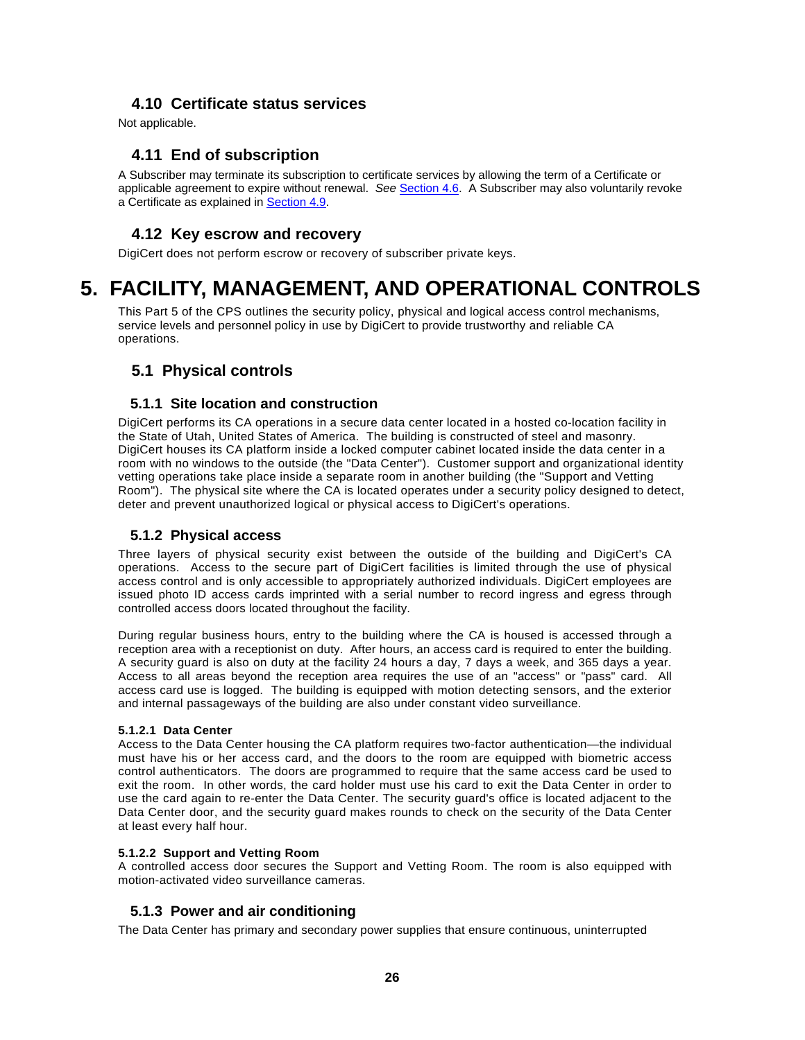# **4.10 Certificate status services**

Not applicable.

# **4.11 End of subscription**

A Subscriber may terminate its subscription to certificate services by allowing the term of a Certificate or applicable agreement to expire without renewal. *See* Section 4.6. A Subscriber may also voluntarily revoke a Certificate as explained in Section 4.9.

## **4.12 Key escrow and recovery**

DigiCert does not perform escrow or recovery of subscriber private keys.

# **5. FACILITY, MANAGEMENT, AND OPERATIONAL CONTROLS**

This Part 5 of the CPS outlines the security policy, physical and logical access control mechanisms, service levels and personnel policy in use by DigiCert to provide trustworthy and reliable CA operations.

# **5.1 Physical controls**

#### **5.1.1 Site location and construction**

DigiCert performs its CA operations in a secure data center located in a hosted co-location facility in the State of Utah, United States of America. The building is constructed of steel and masonry. DigiCert houses its CA platform inside a locked computer cabinet located inside the data center in a room with no windows to the outside (the "Data Center"). Customer support and organizational identity vetting operations take place inside a separate room in another building (the "Support and Vetting Room"). The physical site where the CA is located operates under a security policy designed to detect, deter and prevent unauthorized logical or physical access to DigiCert's operations.

#### **5.1.2 Physical access**

Three layers of physical security exist between the outside of the building and DigiCert's CA operations. Access to the secure part of DigiCert facilities is limited through the use of physical access control and is only accessible to appropriately authorized individuals. DigiCert employees are issued photo ID access cards imprinted with a serial number to record ingress and egress through controlled access doors located throughout the facility.

During regular business hours, entry to the building where the CA is housed is accessed through a reception area with a receptionist on duty. After hours, an access card is required to enter the building. A security guard is also on duty at the facility 24 hours a day, 7 days a week, and 365 days a year. Access to all areas beyond the reception area requires the use of an "access" or "pass" card. All access card use is logged. The building is equipped with motion detecting sensors, and the exterior and internal passageways of the building are also under constant video surveillance.

#### **5.1.2.1 Data Center**

Access to the Data Center housing the CA platform requires two-factor authentication—the individual must have his or her access card, and the doors to the room are equipped with biometric access control authenticators. The doors are programmed to require that the same access card be used to exit the room. In other words, the card holder must use his card to exit the Data Center in order to use the card again to re-enter the Data Center. The security guard's office is located adjacent to the Data Center door, and the security guard makes rounds to check on the security of the Data Center at least every half hour.

#### **5.1.2.2 Support and Vetting Room**

A controlled access door secures the Support and Vetting Room. The room is also equipped with motion-activated video surveillance cameras.

#### **5.1.3 Power and air conditioning**

The Data Center has primary and secondary power supplies that ensure continuous, uninterrupted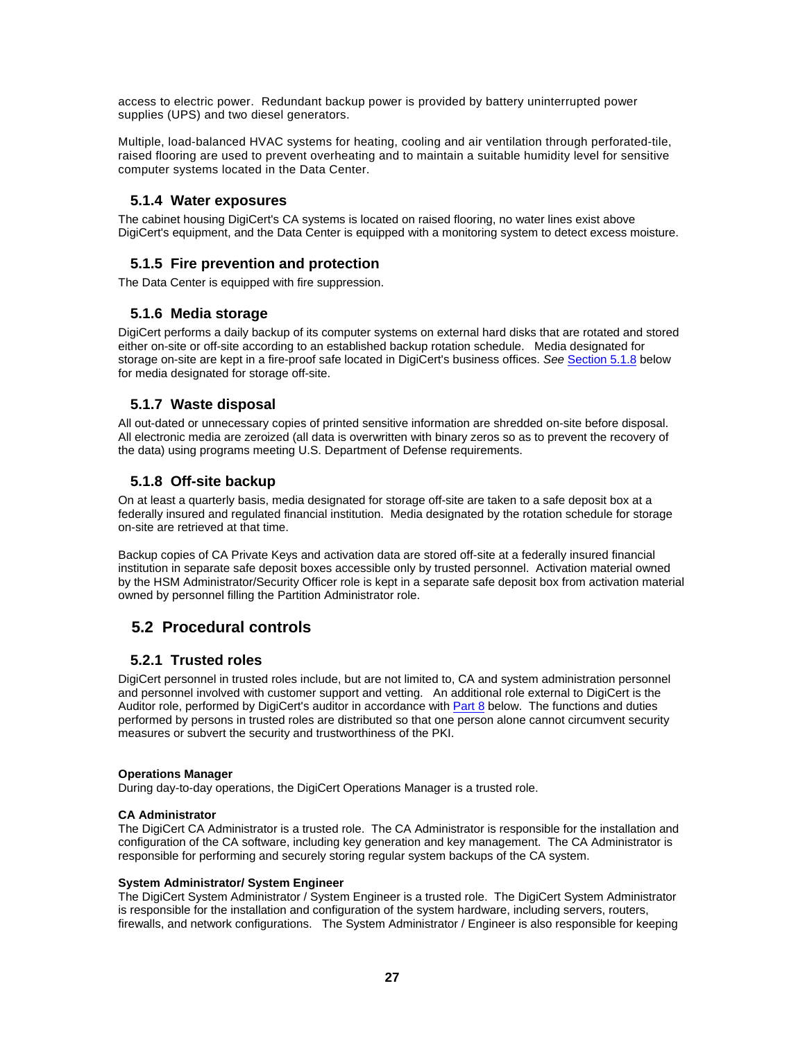access to electric power. Redundant backup power is provided by battery uninterrupted power supplies (UPS) and two diesel generators.

Multiple, load-balanced HVAC systems for heating, cooling and air ventilation through perforated-tile, raised flooring are used to prevent overheating and to maintain a suitable humidity level for sensitive computer systems located in the Data Center.

#### **5.1.4 Water exposures**

The cabinet housing DigiCert's CA systems is located on raised flooring, no water lines exist above DigiCert's equipment, and the Data Center is equipped with a monitoring system to detect excess moisture.

# **5.1.5 Fire prevention and protection**

The Data Center is equipped with fire suppression.

#### **5.1.6 Media storage**

DigiCert performs a daily backup of its computer systems on external hard disks that are rotated and stored either on-site or off-site according to an established backup rotation schedule. Media designated for storage on-site are kept in a fire-proof safe located in DigiCert's business offices. *See* Section 5.1.8 below for media designated for storage off-site.

#### **5.1.7 Waste disposal**

All out-dated or unnecessary copies of printed sensitive information are shredded on-site before disposal. All electronic media are zeroized (all data is overwritten with binary zeros so as to prevent the recovery of the data) using programs meeting U.S. Department of Defense requirements.

#### **5.1.8 Off-site backup**

On at least a quarterly basis, media designated for storage off-site are taken to a safe deposit box at a federally insured and regulated financial institution. Media designated by the rotation schedule for storage on-site are retrieved at that time.

Backup copies of CA Private Keys and activation data are stored off-site at a federally insured financial institution in separate safe deposit boxes accessible only by trusted personnel. Activation material owned by the HSM Administrator/Security Officer role is kept in a separate safe deposit box from activation material owned by personnel filling the Partition Administrator role.

# **5.2 Procedural controls**

#### **5.2.1 Trusted roles**

DigiCert personnel in trusted roles include, but are not limited to, CA and system administration personnel and personnel involved with customer support and vetting. An additional role external to DigiCert is the Auditor role, performed by DigiCert's auditor in accordance with Part 8 below. The functions and duties performed by persons in trusted roles are distributed so that one person alone cannot circumvent security measures or subvert the security and trustworthiness of the PKI.

#### **Operations Manager**

During day-to-day operations, the DigiCert Operations Manager is a trusted role.

#### **CA Administrator**

The DigiCert CA Administrator is a trusted role. The CA Administrator is responsible for the installation and configuration of the CA software, including key generation and key management. The CA Administrator is responsible for performing and securely storing regular system backups of the CA system.

#### **System Administrator/ System Engineer**

The DigiCert System Administrator / System Engineer is a trusted role. The DigiCert System Administrator is responsible for the installation and configuration of the system hardware, including servers, routers, firewalls, and network configurations. The System Administrator / Engineer is also responsible for keeping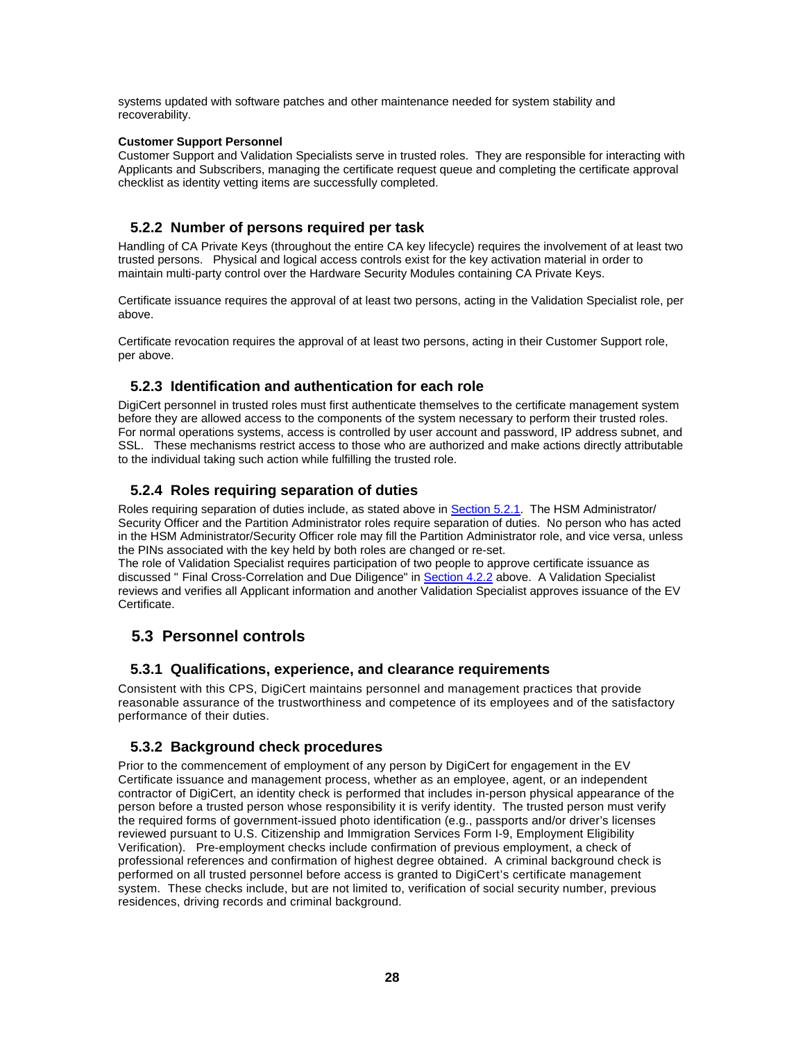systems updated with software patches and other maintenance needed for system stability and recoverability.

#### **Customer Support Personnel**

Customer Support and Validation Specialists serve in trusted roles. They are responsible for interacting with Applicants and Subscribers, managing the certificate request queue and completing the certificate approval checklist as identity vetting items are successfully completed.

## **5.2.2 Number of persons required per task**

Handling of CA Private Keys (throughout the entire CA key lifecycle) requires the involvement of at least two trusted persons. Physical and logical access controls exist for the key activation material in order to maintain multi-party control over the Hardware Security Modules containing CA Private Keys.

Certificate issuance requires the approval of at least two persons, acting in the Validation Specialist role, per above.

Certificate revocation requires the approval of at least two persons, acting in their Customer Support role, per above.

#### **5.2.3 Identification and authentication for each role**

DigiCert personnel in trusted roles must first authenticate themselves to the certificate management system before they are allowed access to the components of the system necessary to perform their trusted roles. For normal operations systems, access is controlled by user account and password, IP address subnet, and SSL. These mechanisms restrict access to those who are authorized and make actions directly attributable to the individual taking such action while fulfilling the trusted role.

#### **5.2.4 Roles requiring separation of duties**

Roles requiring separation of duties include, as stated above in Section 5.2.1. The HSM Administrator/ Security Officer and the Partition Administrator roles require separation of duties. No person who has acted in the HSM Administrator/Security Officer role may fill the Partition Administrator role, and vice versa, unless the PINs associated with the key held by both roles are changed or re-set.

The role of Validation Specialist requires participation of two people to approve certificate issuance as discussed " Final Cross-Correlation and Due Diligence" in Section 4.2.2 above. A Validation Specialist reviews and verifies all Applicant information and another Validation Specialist approves issuance of the EV Certificate.

# **5.3 Personnel controls**

#### **5.3.1 Qualifications, experience, and clearance requirements**

Consistent with this CPS, DigiCert maintains personnel and management practices that provide reasonable assurance of the trustworthiness and competence of its employees and of the satisfactory performance of their duties.

#### **5.3.2 Background check procedures**

Prior to the commencement of employment of any person by DigiCert for engagement in the EV Certificate issuance and management process, whether as an employee, agent, or an independent contractor of DigiCert, an identity check is performed that includes in-person physical appearance of the person before a trusted person whose responsibility it is verify identity. The trusted person must verify the required forms of government-issued photo identification (e.g., passports and/or driver's licenses reviewed pursuant to U.S. Citizenship and Immigration Services Form I-9, Employment Eligibility Verification). Pre-employment checks include confirmation of previous employment, a check of professional references and confirmation of highest degree obtained. A criminal background check is performed on all trusted personnel before access is granted to DigiCert's certificate management system. These checks include, but are not limited to, verification of social security number, previous residences, driving records and criminal background.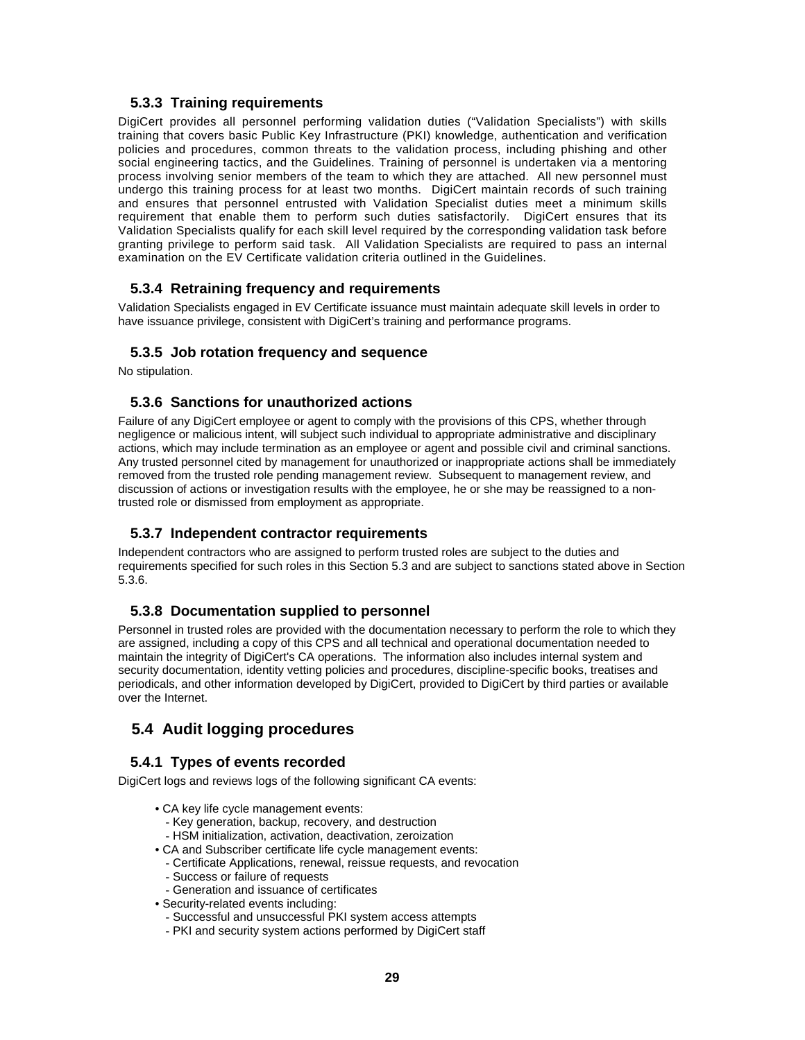#### **5.3.3 Training requirements**

DigiCert provides all personnel performing validation duties ("Validation Specialists") with skills training that covers basic Public Key Infrastructure (PKI) knowledge, authentication and verification policies and procedures, common threats to the validation process, including phishing and other social engineering tactics, and the Guidelines. Training of personnel is undertaken via a mentoring process involving senior members of the team to which they are attached. All new personnel must undergo this training process for at least two months. DigiCert maintain records of such training and ensures that personnel entrusted with Validation Specialist duties meet a minimum skills requirement that enable them to perform such duties satisfactorily. DigiCert ensures that its Validation Specialists qualify for each skill level required by the corresponding validation task before granting privilege to perform said task. All Validation Specialists are required to pass an internal examination on the EV Certificate validation criteria outlined in the Guidelines.

#### **5.3.4 Retraining frequency and requirements**

Validation Specialists engaged in EV Certificate issuance must maintain adequate skill levels in order to have issuance privilege, consistent with DigiCert's training and performance programs.

#### **5.3.5 Job rotation frequency and sequence**

No stipulation.

#### **5.3.6 Sanctions for unauthorized actions**

Failure of any DigiCert employee or agent to comply with the provisions of this CPS, whether through negligence or malicious intent, will subject such individual to appropriate administrative and disciplinary actions, which may include termination as an employee or agent and possible civil and criminal sanctions. Any trusted personnel cited by management for unauthorized or inappropriate actions shall be immediately removed from the trusted role pending management review. Subsequent to management review, and discussion of actions or investigation results with the employee, he or she may be reassigned to a nontrusted role or dismissed from employment as appropriate.

# **5.3.7 Independent contractor requirements**

Independent contractors who are assigned to perform trusted roles are subject to the duties and requirements specified for such roles in this Section 5.3 and are subject to sanctions stated above in Section 5.3.6.

#### **5.3.8 Documentation supplied to personnel**

Personnel in trusted roles are provided with the documentation necessary to perform the role to which they are assigned, including a copy of this CPS and all technical and operational documentation needed to maintain the integrity of DigiCert's CA operations. The information also includes internal system and security documentation, identity vetting policies and procedures, discipline-specific books, treatises and periodicals, and other information developed by DigiCert, provided to DigiCert by third parties or available over the Internet.

# **5.4 Audit logging procedures**

# **5.4.1 Types of events recorded**

DigiCert logs and reviews logs of the following significant CA events:

- CA key life cycle management events:
	- Key generation, backup, recovery, and destruction
	- HSM initialization, activation, deactivation, zeroization
- CA and Subscriber certificate life cycle management events:
	- Certificate Applications, renewal, reissue requests, and revocation
	- Success or failure of requests
	- Generation and issuance of certificates
- Security-related events including:
	- Successful and unsuccessful PKI system access attempts
	- PKI and security system actions performed by DigiCert staff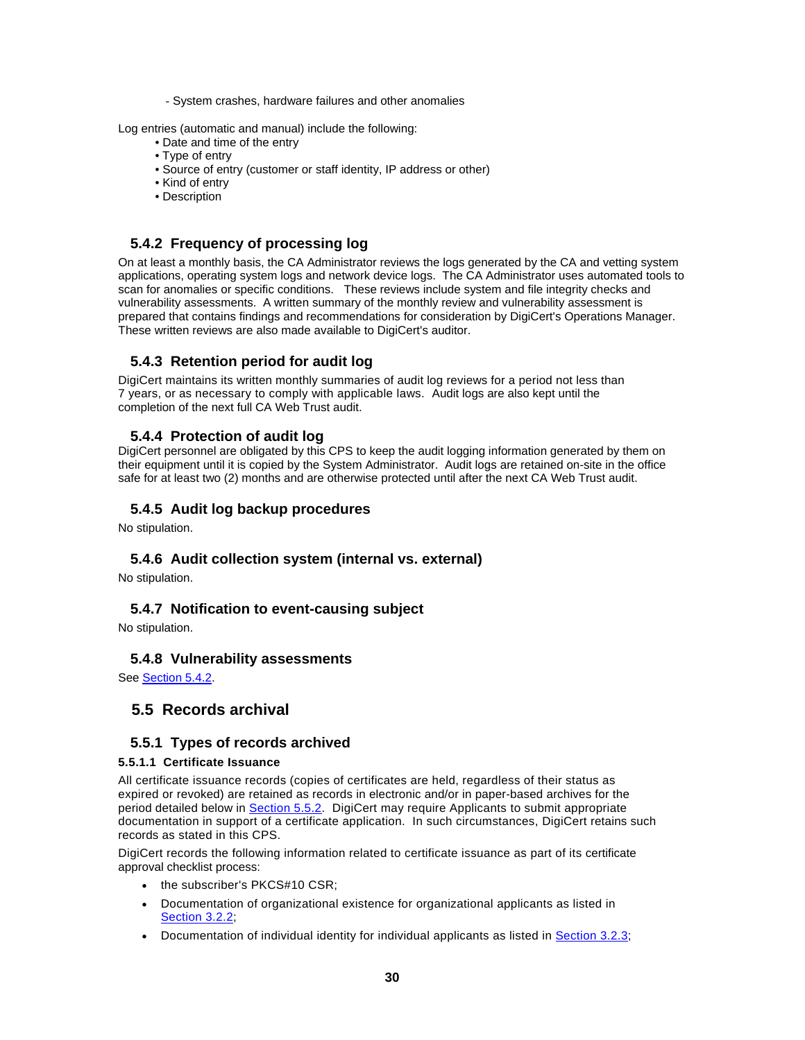- System crashes, hardware failures and other anomalies

Log entries (automatic and manual) include the following:

- Date and time of the entry
- Type of entry
- Source of entry (customer or staff identity, IP address or other)
- Kind of entry
- Description

#### **5.4.2 Frequency of processing log**

On at least a monthly basis, the CA Administrator reviews the logs generated by the CA and vetting system applications, operating system logs and network device logs. The CA Administrator uses automated tools to scan for anomalies or specific conditions. These reviews include system and file integrity checks and vulnerability assessments. A written summary of the monthly review and vulnerability assessment is prepared that contains findings and recommendations for consideration by DigiCert's Operations Manager. These written reviews are also made available to DigiCert's auditor.

#### **5.4.3 Retention period for audit log**

DigiCert maintains its written monthly summaries of audit log reviews for a period not less than 7 years, or as necessary to comply with applicable laws. Audit logs are also kept until the completion of the next full CA Web Trust audit.

#### **5.4.4 Protection of audit log**

DigiCert personnel are obligated by this CPS to keep the audit logging information generated by them on their equipment until it is copied by the System Administrator. Audit logs are retained on-site in the office safe for at least two (2) months and are otherwise protected until after the next CA Web Trust audit.

#### **5.4.5 Audit log backup procedures**

No stipulation.

#### **5.4.6 Audit collection system (internal vs. external)**

No stipulation.

#### **5.4.7 Notification to event-causing subject**

No stipulation.

#### **5.4.8 Vulnerability assessments**

See Section 5.4.2.

# **5.5 Records archival**

#### **5.5.1 Types of records archived**

#### **5.5.1.1 Certificate Issuance**

All certificate issuance records (copies of certificates are held, regardless of their status as expired or revoked) are retained as records in electronic and/or in paper-based archives for the period detailed below in **Section 5.5.2.** DigiCert may require Applicants to submit appropriate documentation in support of a certificate application. In such circumstances, DigiCert retains such records as stated in this CPS.

DigiCert records the following information related to certificate issuance as part of its certificate approval checklist process:

- the subscriber's PKCS#10 CSR:
- Documentation of organizational existence for organizational applicants as listed in **Section 3.2.2;**
- Documentation of individual identity for individual applicants as listed in Section 3.2.3;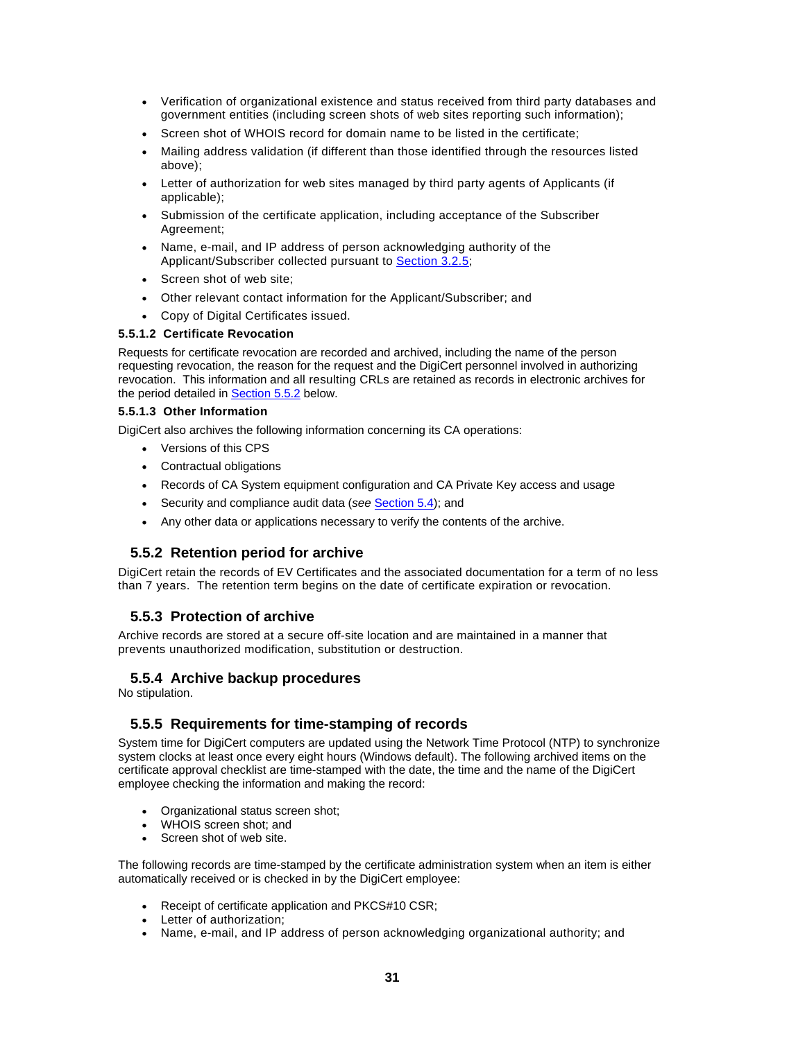- Verification of organizational existence and status received from third party databases and government entities (including screen shots of web sites reporting such information);
- Screen shot of WHOIS record for domain name to be listed in the certificate;
- Mailing address validation (if different than those identified through the resources listed above);
- Letter of authorization for web sites managed by third party agents of Applicants (if applicable);
- Submission of the certificate application, including acceptance of the Subscriber Agreement;
- Name, e-mail, and IP address of person acknowledging authority of the Applicant/Subscriber collected pursuant to Section 3.2.5;
- Screen shot of web site;
- Other relevant contact information for the Applicant/Subscriber; and
- Copy of Digital Certificates issued.

#### **5.5.1.2 Certificate Revocation**

Requests for certificate revocation are recorded and archived, including the name of the person requesting revocation, the reason for the request and the DigiCert personnel involved in authorizing revocation. This information and all resulting CRLs are retained as records in electronic archives for the period detailed in **Section 5.5.2** below.

#### **5.5.1.3 Other Information**

DigiCert also archives the following information concerning its CA operations:

- Versions of this CPS
- Contractual obligations
- Records of CA System equipment configuration and CA Private Key access and usage
- Security and compliance audit data (*see* Section 5.4); and
- Any other data or applications necessary to verify the contents of the archive.

#### **5.5.2 Retention period for archive**

DigiCert retain the records of EV Certificates and the associated documentation for a term of no less than 7 years. The retention term begins on the date of certificate expiration or revocation.

#### **5.5.3 Protection of archive**

Archive records are stored at a secure off-site location and are maintained in a manner that prevents unauthorized modification, substitution or destruction.

#### **5.5.4 Archive backup procedures**

No stipulation.

#### **5.5.5 Requirements for time-stamping of records**

System time for DigiCert computers are updated using the Network Time Protocol (NTP) to synchronize system clocks at least once every eight hours (Windows default). The following archived items on the certificate approval checklist are time-stamped with the date, the time and the name of the DigiCert employee checking the information and making the record:

- Organizational status screen shot;
- WHOIS screen shot; and
- Screen shot of web site.

The following records are time-stamped by the certificate administration system when an item is either automatically received or is checked in by the DigiCert employee:

- Receipt of certificate application and PKCS#10 CSR;
- Letter of authorization:
- Name, e-mail, and IP address of person acknowledging organizational authority; and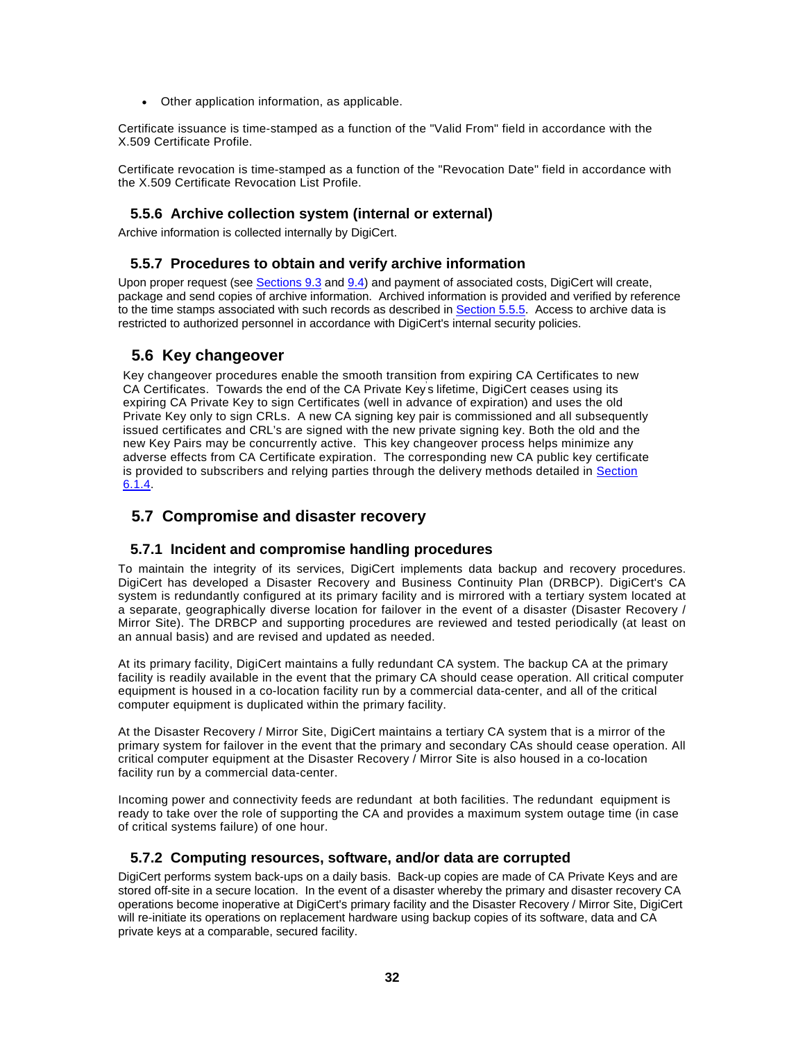Other application information, as applicable.

Certificate issuance is time-stamped as a function of the "Valid From" field in accordance with the X.509 Certificate Profile.

Certificate revocation is time-stamped as a function of the "Revocation Date" field in accordance with the X.509 Certificate Revocation List Profile.

#### **5.5.6 Archive collection system (internal or external)**

Archive information is collected internally by DigiCert.

#### **5.5.7 Procedures to obtain and verify archive information**

Upon proper request (see Sections 9.3 and 9.4) and payment of associated costs, DigiCert will create, package and send copies of archive information. Archived information is provided and verified by reference to the time stamps associated with such records as described in Section 5.5.5. Access to archive data is restricted to authorized personnel in accordance with DigiCert's internal security policies.

# **5.6 Key changeover**

Key changeover procedures enable the smooth transition from expiring CA Certificates to new CA Certificates. Towards the end of the CA Private Key' s lifetime, DigiCert ceases using its expiring CA Private Key to sign Certificates (well in advance of expiration) and uses the old Private Key only to sign CRLs. A new CA signing key pair is commissioned and all subsequently issued certificates and CRL's are signed with the new private signing key. Both the old and the new Key Pairs may be concurrently active. This key changeover process helps minimize any adverse effects from CA Certificate expiration. The corresponding new CA public key certificate is provided to subscribers and relying parties through the delivery methods detailed in Section 6.1.4.

# **5.7 Compromise and disaster recovery**

#### **5.7.1 Incident and compromise handling procedures**

To maintain the integrity of its services, DigiCert implements data backup and recovery procedures. DigiCert has developed a Disaster Recovery and Business Continuity Plan (DRBCP). DigiCert's CA system is redundantly configured at its primary facility and is mirrored with a tertiary system located at a separate, geographically diverse location for failover in the event of a disaster (Disaster Recovery / Mirror Site). The DRBCP and supporting procedures are reviewed and tested periodically (at least on an annual basis) and are revised and updated as needed.

At its primary facility, DigiCert maintains a fully redundant CA system. The backup CA at the primary facility is readily available in the event that the primary CA should cease operation. All critical computer equipment is housed in a co-location facility run by a commercial data-center, and all of the critical computer equipment is duplicated within the primary facility.

At the Disaster Recovery / Mirror Site, DigiCert maintains a tertiary CA system that is a mirror of the primary system for failover in the event that the primary and secondary CAs should cease operation. All critical computer equipment at the Disaster Recovery / Mirror Site is also housed in a co-location facility run by a commercial data-center.

Incoming power and connectivity feeds are redundant at both facilities. The redundant equipment is ready to take over the role of supporting the CA and provides a maximum system outage time (in case of critical systems failure) of one hour.

#### **5.7.2 Computing resources, software, and/or data are corrupted**

DigiCert performs system back-ups on a daily basis. Back-up copies are made of CA Private Keys and are stored off-site in a secure location. In the event of a disaster whereby the primary and disaster recovery CA operations become inoperative at DigiCert's primary facility and the Disaster Recovery / Mirror Site, DigiCert will re-initiate its operations on replacement hardware using backup copies of its software, data and CA private keys at a comparable, secured facility.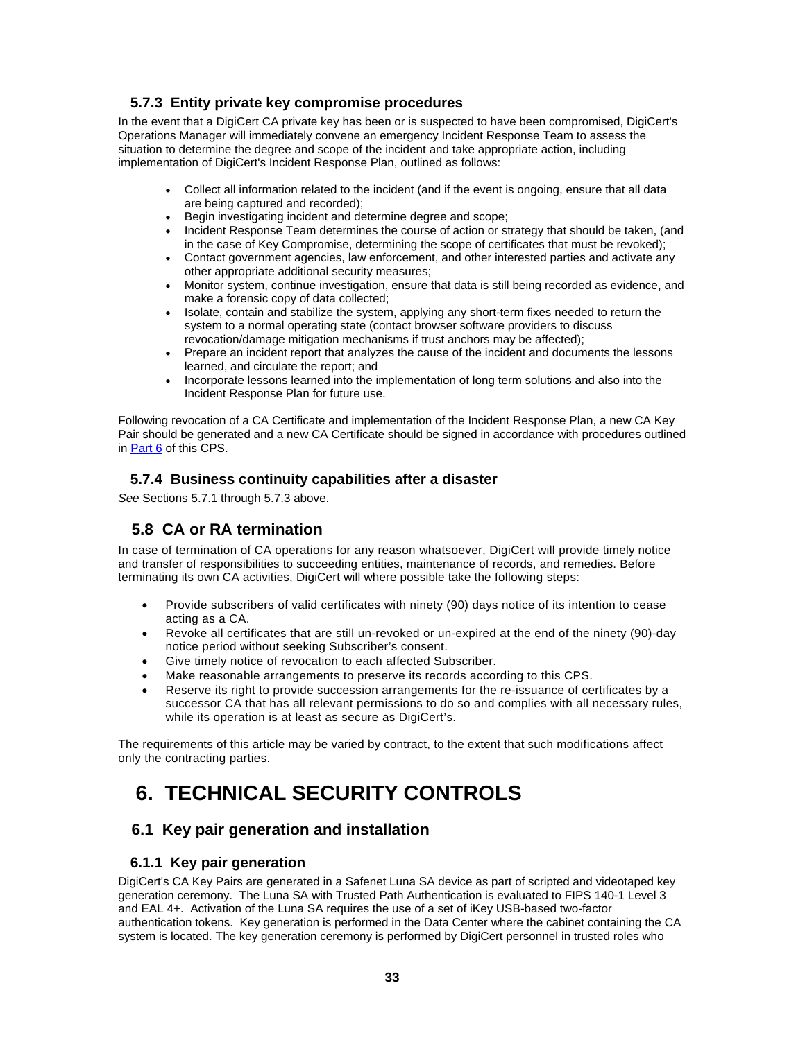#### **5.7.3 Entity private key compromise procedures**

In the event that a DigiCert CA private key has been or is suspected to have been compromised, DigiCert's Operations Manager will immediately convene an emergency Incident Response Team to assess the situation to determine the degree and scope of the incident and take appropriate action, including implementation of DigiCert's Incident Response Plan, outlined as follows:

- Collect all information related to the incident (and if the event is ongoing, ensure that all data are being captured and recorded);
- Begin investigating incident and determine degree and scope;
- Incident Response Team determines the course of action or strategy that should be taken, (and in the case of Key Compromise, determining the scope of certificates that must be revoked);
- Contact government agencies, law enforcement, and other interested parties and activate any other appropriate additional security measures;
- Monitor system, continue investigation, ensure that data is still being recorded as evidence, and make a forensic copy of data collected;
- Isolate, contain and stabilize the system, applying any short-term fixes needed to return the system to a normal operating state (contact browser software providers to discuss revocation/damage mitigation mechanisms if trust anchors may be affected);
- Prepare an incident report that analyzes the cause of the incident and documents the lessons learned, and circulate the report; and
- Incorporate lessons learned into the implementation of long term solutions and also into the Incident Response Plan for future use.

Following revocation of a CA Certificate and implementation of the Incident Response Plan, a new CA Key Pair should be generated and a new CA Certificate should be signed in accordance with procedures outlined in Part 6 of this CPS.

#### **5.7.4 Business continuity capabilities after a disaster**

*See* Sections 5.7.1 through 5.7.3 above.

# **5.8 CA or RA termination**

In case of termination of CA operations for any reason whatsoever, DigiCert will provide timely notice and transfer of responsibilities to succeeding entities, maintenance of records, and remedies. Before terminating its own CA activities, DigiCert will where possible take the following steps:

- Provide subscribers of valid certificates with ninety (90) days notice of its intention to cease acting as a CA.
- Revoke all certificates that are still un-revoked or un-expired at the end of the ninety (90)-day notice period without seeking Subscriber's consent.
- Give timely notice of revocation to each affected Subscriber.
- Make reasonable arrangements to preserve its records according to this CPS.
- Reserve its right to provide succession arrangements for the re-issuance of certificates by a successor CA that has all relevant permissions to do so and complies with all necessary rules, while its operation is at least as secure as DigiCert's.

The requirements of this article may be varied by contract, to the extent that such modifications affect only the contracting parties.

# **6. TECHNICAL SECURITY CONTROLS**

# **6.1 Key pair generation and installation**

#### **6.1.1 Key pair generation**

DigiCert's CA Key Pairs are generated in a Safenet Luna SA device as part of scripted and videotaped key generation ceremony. The Luna SA with Trusted Path Authentication is evaluated to FIPS 140-1 Level 3 and EAL 4+. Activation of the Luna SA requires the use of a set of iKey USB-based two-factor authentication tokens. Key generation is performed in the Data Center where the cabinet containing the CA system is located. The key generation ceremony is performed by DigiCert personnel in trusted roles who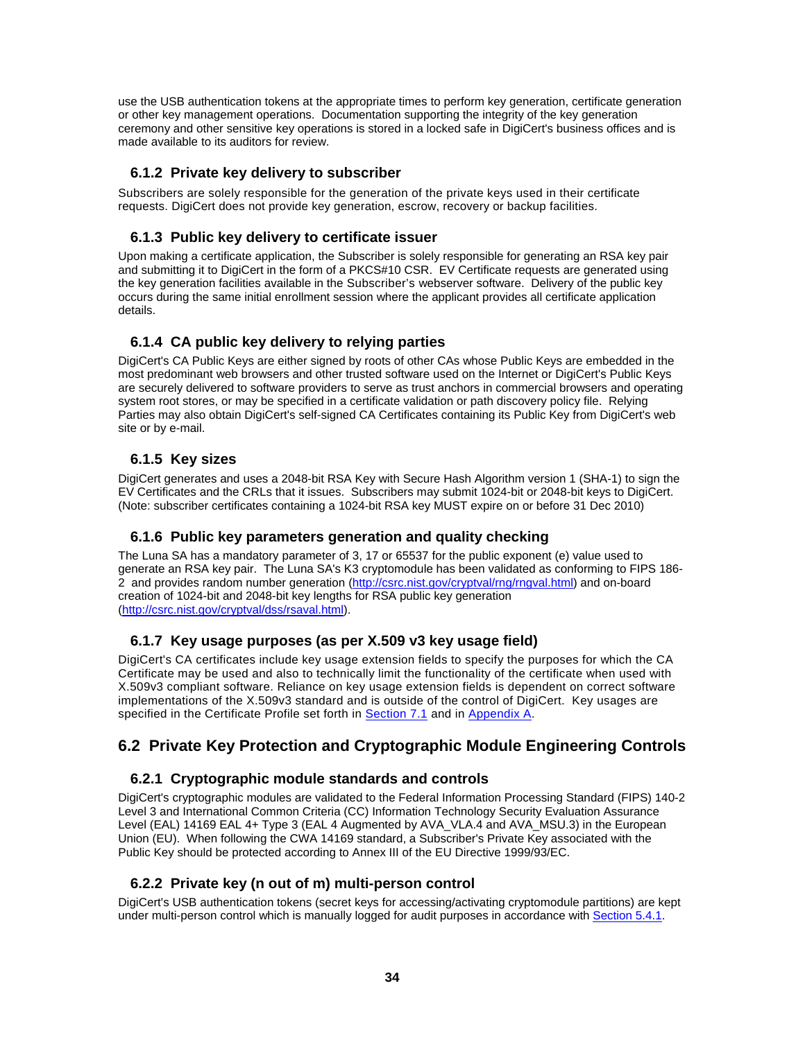use the USB authentication tokens at the appropriate times to perform key generation, certificate generation or other key management operations. Documentation supporting the integrity of the key generation ceremony and other sensitive key operations is stored in a locked safe in DigiCert's business offices and is made available to its auditors for review.

#### **6.1.2 Private key delivery to subscriber**

Subscribers are solely responsible for the generation of the private keys used in their certificate requests. DigiCert does not provide key generation, escrow, recovery or backup facilities.

#### **6.1.3 Public key delivery to certificate issuer**

Upon making a certificate application, the Subscriber is solely responsible for generating an RSA key pair and submitting it to DigiCert in the form of a PKCS#10 CSR. EV Certificate requests are generated using the key generation facilities available in the Subscriber's webserver software. Delivery of the public key occurs during the same initial enrollment session where the applicant provides all certificate application details.

# **6.1.4 CA public key delivery to relying parties**

DigiCert's CA Public Keys are either signed by roots of other CAs whose Public Keys are embedded in the most predominant web browsers and other trusted software used on the Internet or DigiCert's Public Keys are securely delivered to software providers to serve as trust anchors in commercial browsers and operating system root stores, or may be specified in a certificate validation or path discovery policy file. Relying Parties may also obtain DigiCert's self-signed CA Certificates containing its Public Key from DigiCert's web site or by e-mail.

#### **6.1.5 Key sizes**

DigiCert generates and uses a 2048-bit RSA Key with Secure Hash Algorithm version 1 (SHA-1) to sign the EV Certificates and the CRLs that it issues. Subscribers may submit 1024-bit or 2048-bit keys to DigiCert. (Note: subscriber certificates containing a 1024-bit RSA key MUST expire on or before 31 Dec 2010)

# **6.1.6 Public key parameters generation and quality checking**

The Luna SA has a mandatory parameter of 3, 17 or 65537 for the public exponent (e) value used to generate an RSA key pair. The Luna SA's K3 cryptomodule has been validated as conforming to FIPS 186- 2 and provides random number generation (http://csrc.nist.gov/cryptval/rng/rngval.html) and on-board creation of 1024-bit and 2048-bit key lengths for RSA public key generation (http://csrc.nist.gov/cryptval/dss/rsaval.html).

# **6.1.7 Key usage purposes (as per X.509 v3 key usage field)**

DigiCert's CA certificates include key usage extension fields to specify the purposes for which the CA Certificate may be used and also to technically limit the functionality of the certificate when used with X.509v3 compliant software. Reliance on key usage extension fields is dependent on correct software implementations of the X.509v3 standard and is outside of the control of DigiCert. Key usages are specified in the Certificate Profile set forth in Section 7.1 and in Appendix A.

# **6.2 Private Key Protection and Cryptographic Module Engineering Controls**

# **6.2.1 Cryptographic module standards and controls**

DigiCert's cryptographic modules are validated to the Federal Information Processing Standard (FIPS) 140-2 Level 3 and International Common Criteria (CC) Information Technology Security Evaluation Assurance Level (EAL) 14169 EAL 4+ Type 3 (EAL 4 Augmented by AVA\_VLA.4 and AVA\_MSU.3) in the European Union (EU). When following the CWA 14169 standard, a Subscriber's Private Key associated with the Public Key should be protected according to Annex III of the EU Directive 1999/93/EC.

#### **6.2.2 Private key (n out of m) multi-person control**

DigiCert's USB authentication tokens (secret keys for accessing/activating cryptomodule partitions) are kept under multi-person control which is manually logged for audit purposes in accordance with Section 5.4.1.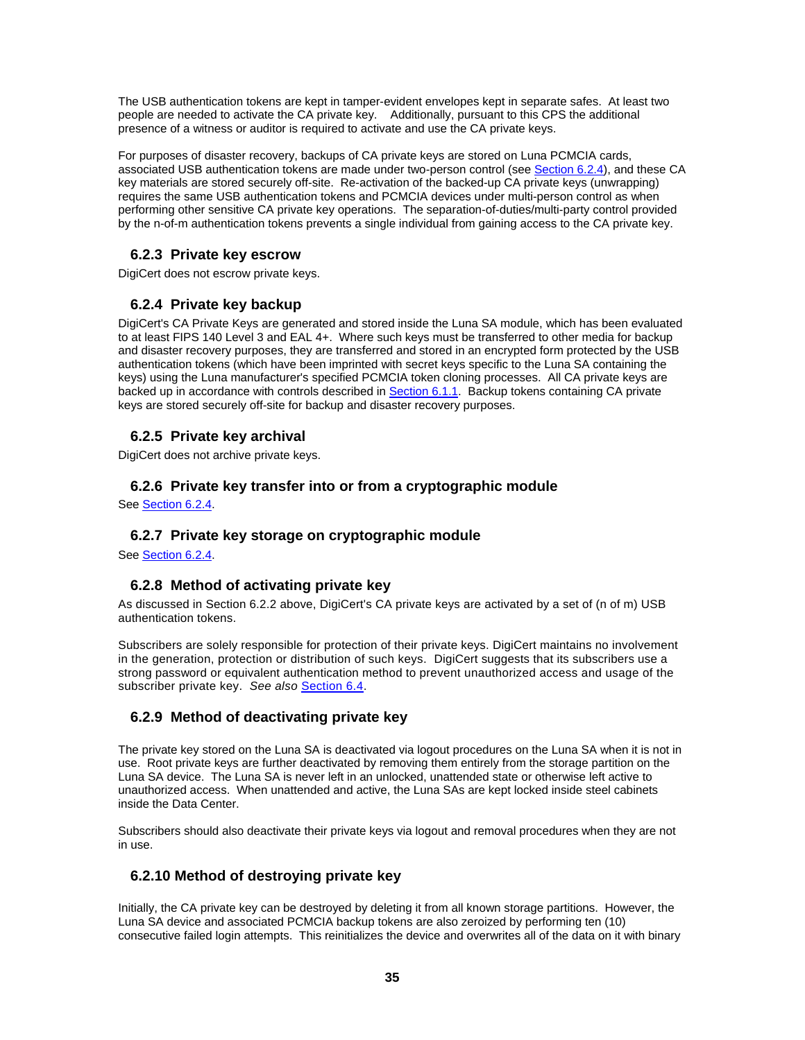The USB authentication tokens are kept in tamper-evident envelopes kept in separate safes. At least two people are needed to activate the CA private key. Additionally, pursuant to this CPS the additional presence of a witness or auditor is required to activate and use the CA private keys.

For purposes of disaster recovery, backups of CA private keys are stored on Luna PCMCIA cards, associated USB authentication tokens are made under two-person control (see Section 6.2.4), and these CA key materials are stored securely off-site. Re-activation of the backed-up CA private keys (unwrapping) requires the same USB authentication tokens and PCMCIA devices under multi-person control as when performing other sensitive CA private key operations. The separation-of-duties/multi-party control provided by the n-of-m authentication tokens prevents a single individual from gaining access to the CA private key.

## **6.2.3 Private key escrow**

DigiCert does not escrow private keys.

# **6.2.4 Private key backup**

DigiCert's CA Private Keys are generated and stored inside the Luna SA module, which has been evaluated to at least FIPS 140 Level 3 and EAL 4+. Where such keys must be transferred to other media for backup and disaster recovery purposes, they are transferred and stored in an encrypted form protected by the USB authentication tokens (which have been imprinted with secret keys specific to the Luna SA containing the keys) using the Luna manufacturer's specified PCMCIA token cloning processes. All CA private keys are backed up in accordance with controls described in Section 6.1.1. Backup tokens containing CA private keys are stored securely off-site for backup and disaster recovery purposes.

# **6.2.5 Private key archival**

DigiCert does not archive private keys.

#### **6.2.6 Private key transfer into or from a cryptographic module**

See Section 6.2.4.

#### **6.2.7 Private key storage on cryptographic module**

See Section 6.2.4.

#### **6.2.8 Method of activating private key**

As discussed in Section 6.2.2 above, DigiCert's CA private keys are activated by a set of (n of m) USB authentication tokens.

Subscribers are solely responsible for protection of their private keys. DigiCert maintains no involvement in the generation, protection or distribution of such keys. DigiCert suggests that its subscribers use a strong password or equivalent authentication method to prevent unauthorized access and usage of the subscriber private key. *See also* Section 6.4.

#### **6.2.9 Method of deactivating private key**

The private key stored on the Luna SA is deactivated via logout procedures on the Luna SA when it is not in use. Root private keys are further deactivated by removing them entirely from the storage partition on the Luna SA device. The Luna SA is never left in an unlocked, unattended state or otherwise left active to unauthorized access. When unattended and active, the Luna SAs are kept locked inside steel cabinets inside the Data Center.

Subscribers should also deactivate their private keys via logout and removal procedures when they are not in use.

# **6.2.10 Method of destroying private key**

Initially, the CA private key can be destroyed by deleting it from all known storage partitions. However, the Luna SA device and associated PCMCIA backup tokens are also zeroized by performing ten (10) consecutive failed login attempts. This reinitializes the device and overwrites all of the data on it with binary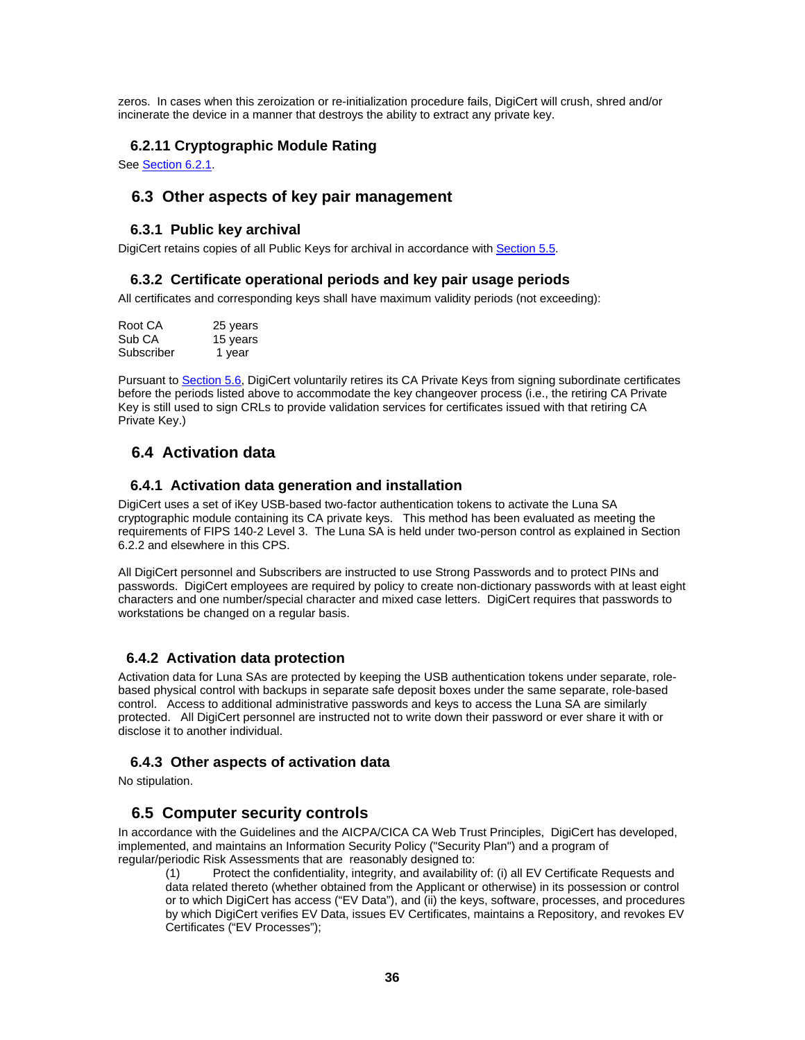zeros. In cases when this zeroization or re-initialization procedure fails, DigiCert will crush, shred and/or incinerate the device in a manner that destroys the ability to extract any private key.

#### **6.2.11 Cryptographic Module Rating**

See Section 6.2.1.

#### **6.3 Other aspects of key pair management**

#### **6.3.1 Public key archival**

DigiCert retains copies of all Public Keys for archival in accordance with Section 5.5.

#### **6.3.2 Certificate operational periods and key pair usage periods**

All certificates and corresponding keys shall have maximum validity periods (not exceeding):

| Root CA    | 25 years |
|------------|----------|
| Sub CA     | 15 years |
| Subscriber | 1 year   |

Pursuant to Section 5.6, DigiCert voluntarily retires its CA Private Keys from signing subordinate certificates before the periods listed above to accommodate the key changeover process (i.e., the retiring CA Private Key is still used to sign CRLs to provide validation services for certificates issued with that retiring CA Private Key.)

# **6.4 Activation data**

#### **6.4.1 Activation data generation and installation**

DigiCert uses a set of iKey USB-based two-factor authentication tokens to activate the Luna SA cryptographic module containing its CA private keys. This method has been evaluated as meeting the requirements of FIPS 140-2 Level 3. The Luna SA is held under two-person control as explained in Section 6.2.2 and elsewhere in this CPS.

All DigiCert personnel and Subscribers are instructed to use Strong Passwords and to protect PINs and passwords. DigiCert employees are required by policy to create non-dictionary passwords with at least eight characters and one number/special character and mixed case letters. DigiCert requires that passwords to workstations be changed on a regular basis.

#### **6.4.2 Activation data protection**

Activation data for Luna SAs are protected by keeping the USB authentication tokens under separate, rolebased physical control with backups in separate safe deposit boxes under the same separate, role-based control. Access to additional administrative passwords and keys to access the Luna SA are similarly protected. All DigiCert personnel are instructed not to write down their password or ever share it with or disclose it to another individual.

#### **6.4.3 Other aspects of activation data**

No stipulation.

#### **6.5 Computer security controls**

In accordance with the Guidelines and the AICPA/CICA CA Web Trust Principles, DigiCert has developed, implemented, and maintains an Information Security Policy ("Security Plan") and a program of regular/periodic Risk Assessments that are reasonably designed to:

(1) Protect the confidentiality, integrity, and availability of: (i) all EV Certificate Requests and data related thereto (whether obtained from the Applicant or otherwise) in its possession or control or to which DigiCert has access ("EV Data"), and (ii) the keys, software, processes, and procedures by which DigiCert verifies EV Data, issues EV Certificates, maintains a Repository, and revokes EV Certificates ("EV Processes");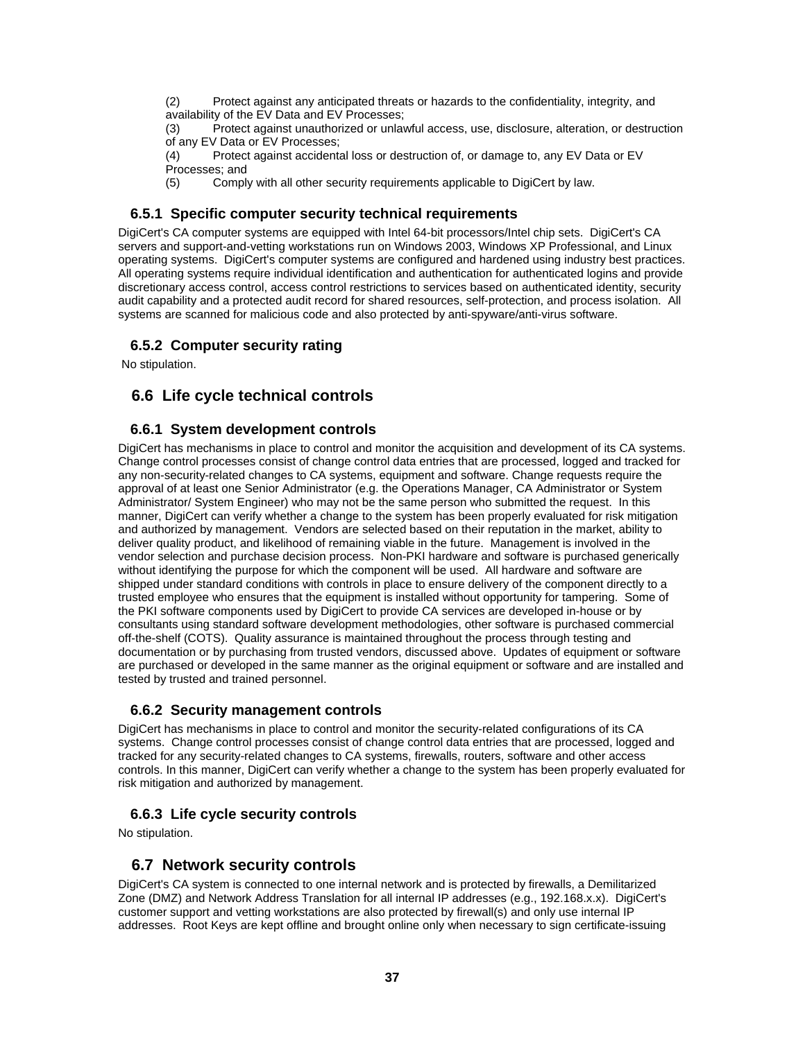(2) Protect against any anticipated threats or hazards to the confidentiality, integrity, and availability of the EV Data and EV Processes;

(3) Protect against unauthorized or unlawful access, use, disclosure, alteration, or destruction of any EV Data or EV Processes;

(4) Protect against accidental loss or destruction of, or damage to, any EV Data or EV Processes; and

(5) Comply with all other security requirements applicable to DigiCert by law.

#### **6.5.1 Specific computer security technical requirements**

DigiCert's CA computer systems are equipped with Intel 64-bit processors/Intel chip sets. DigiCert's CA servers and support-and-vetting workstations run on Windows 2003, Windows XP Professional, and Linux operating systems. DigiCert's computer systems are configured and hardened using industry best practices. All operating systems require individual identification and authentication for authenticated logins and provide discretionary access control, access control restrictions to services based on authenticated identity, security audit capability and a protected audit record for shared resources, self-protection, and process isolation. All systems are scanned for malicious code and also protected by anti-spyware/anti-virus software.

#### **6.5.2 Computer security rating**

No stipulation.

# **6.6 Life cycle technical controls**

#### **6.6.1 System development controls**

DigiCert has mechanisms in place to control and monitor the acquisition and development of its CA systems. Change control processes consist of change control data entries that are processed, logged and tracked for any non-security-related changes to CA systems, equipment and software. Change requests require the approval of at least one Senior Administrator (e.g. the Operations Manager, CA Administrator or System Administrator/ System Engineer) who may not be the same person who submitted the request. In this manner, DigiCert can verify whether a change to the system has been properly evaluated for risk mitigation and authorized by management. Vendors are selected based on their reputation in the market, ability to deliver quality product, and likelihood of remaining viable in the future. Management is involved in the vendor selection and purchase decision process. Non-PKI hardware and software is purchased generically without identifying the purpose for which the component will be used. All hardware and software are shipped under standard conditions with controls in place to ensure delivery of the component directly to a trusted employee who ensures that the equipment is installed without opportunity for tampering. Some of the PKI software components used by DigiCert to provide CA services are developed in-house or by consultants using standard software development methodologies, other software is purchased commercial off-the-shelf (COTS). Quality assurance is maintained throughout the process through testing and documentation or by purchasing from trusted vendors, discussed above. Updates of equipment or software are purchased or developed in the same manner as the original equipment or software and are installed and tested by trusted and trained personnel.

#### **6.6.2 Security management controls**

DigiCert has mechanisms in place to control and monitor the security-related configurations of its CA systems. Change control processes consist of change control data entries that are processed, logged and tracked for any security-related changes to CA systems, firewalls, routers, software and other access controls. In this manner, DigiCert can verify whether a change to the system has been properly evaluated for risk mitigation and authorized by management.

#### **6.6.3 Life cycle security controls**

No stipulation.

#### **6.7 Network security controls**

DigiCert's CA system is connected to one internal network and is protected by firewalls, a Demilitarized Zone (DMZ) and Network Address Translation for all internal IP addresses (e.g., 192.168.x.x). DigiCert's customer support and vetting workstations are also protected by firewall(s) and only use internal IP addresses. Root Keys are kept offline and brought online only when necessary to sign certificate-issuing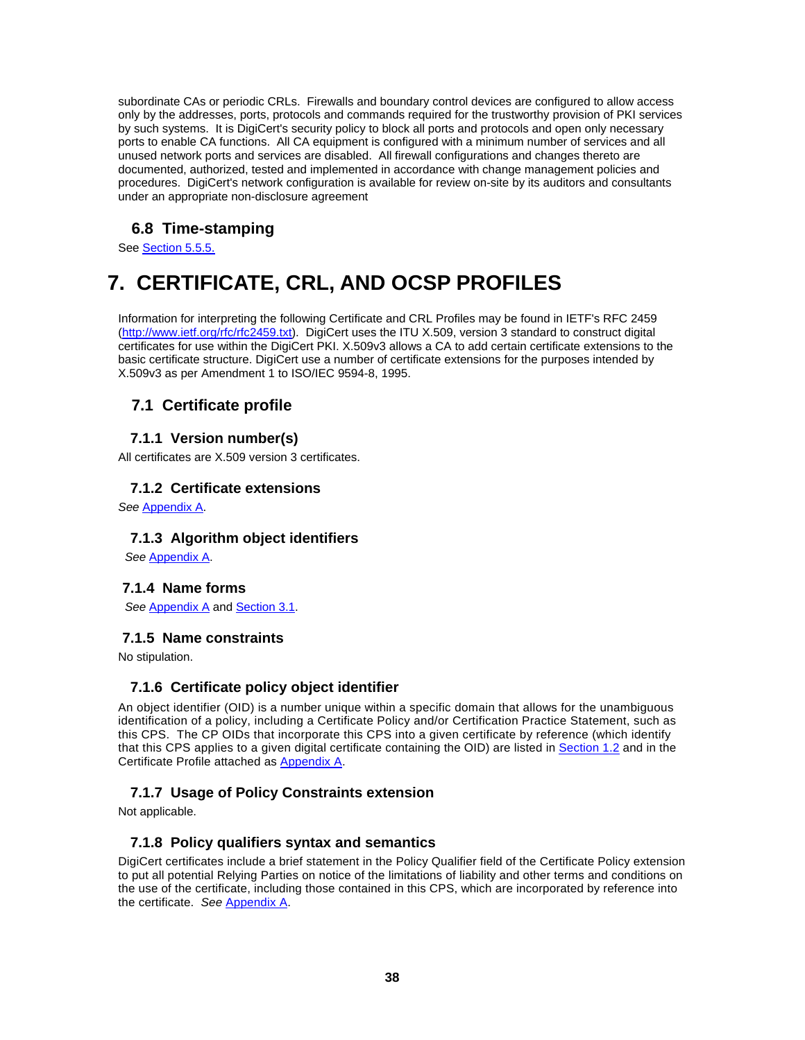subordinate CAs or periodic CRLs. Firewalls and boundary control devices are configured to allow access only by the addresses, ports, protocols and commands required for the trustworthy provision of PKI services by such systems. It is DigiCert's security policy to block all ports and protocols and open only necessary ports to enable CA functions. All CA equipment is configured with a minimum number of services and all unused network ports and services are disabled. All firewall configurations and changes thereto are documented, authorized, tested and implemented in accordance with change management policies and procedures. DigiCert's network configuration is available for review on-site by its auditors and consultants under an appropriate non-disclosure agreement

# **6.8 Time-stamping**

See Section 5.5.5.

# **7. CERTIFICATE, CRL, AND OCSP PROFILES**

Information for interpreting the following Certificate and CRL Profiles may be found in IETF's RFC 2459 (http://www.ietf.org/rfc/rfc2459.txt). DigiCert uses the ITU X.509, version 3 standard to construct digital certificates for use within the DigiCert PKI. X.509v3 allows a CA to add certain certificate extensions to the basic certificate structure. DigiCert use a number of certificate extensions for the purposes intended by X.509v3 as per Amendment 1 to ISO/IEC 9594-8, 1995.

# **7.1 Certificate profile**

#### **7.1.1 Version number(s)**

All certificates are X.509 version 3 certificates.

#### **7.1.2 Certificate extensions**

*See* Appendix A.

#### **7.1.3 Algorithm object identifiers**

*See* Appendix A.

#### **7.1.4 Name forms**

*See* Appendix A and Section 3.1.

#### **7.1.5 Name constraints**

No stipulation.

#### **7.1.6 Certificate policy object identifier**

An object identifier (OID) is a number unique within a specific domain that allows for the unambiguous identification of a policy, including a Certificate Policy and/or Certification Practice Statement, such as this CPS. The CP OIDs that incorporate this CPS into a given certificate by reference (which identify that this CPS applies to a given digital certificate containing the OID) are listed in Section 1.2 and in the Certificate Profile attached as Appendix A.

# **7.1.7 Usage of Policy Constraints extension**

Not applicable.

#### **7.1.8 Policy qualifiers syntax and semantics**

DigiCert certificates include a brief statement in the Policy Qualifier field of the Certificate Policy extension to put all potential Relying Parties on notice of the limitations of liability and other terms and conditions on the use of the certificate, including those contained in this CPS, which are incorporated by reference into the certificate. *See* Appendix A.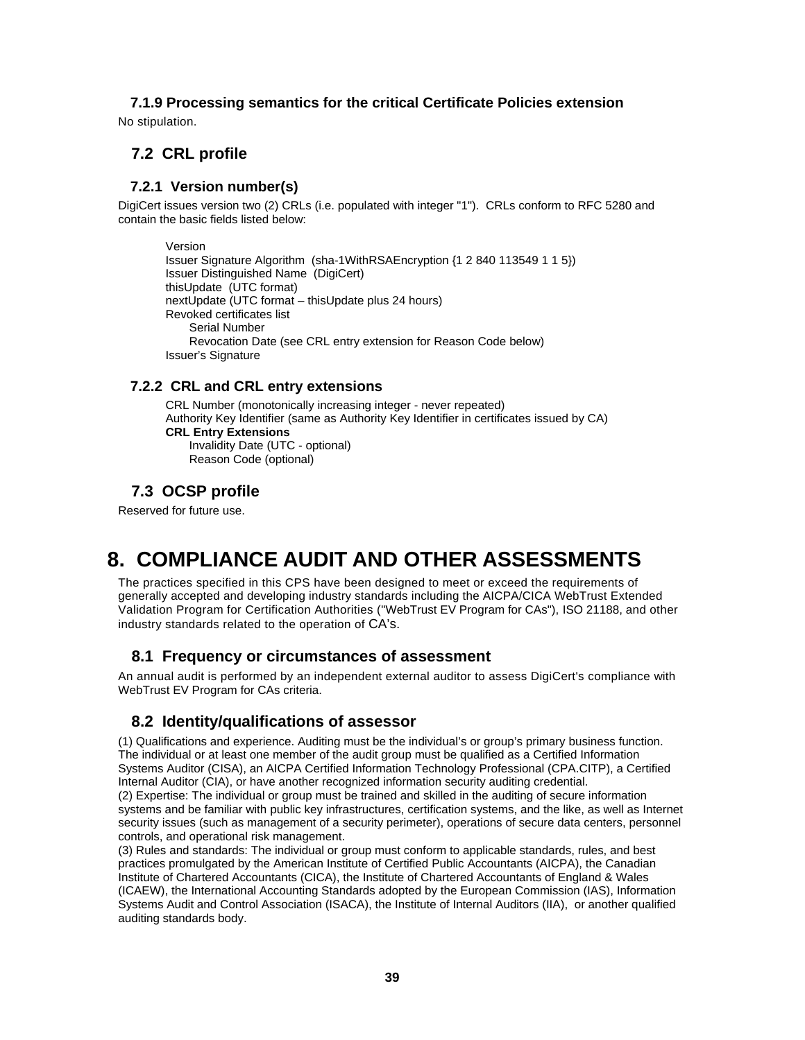# **7.1.9 Processing semantics for the critical Certificate Policies extension**

No stipulation.

# **7.2 CRL profile**

#### **7.2.1 Version number(s)**

DigiCert issues version two (2) CRLs (i.e. populated with integer "1"). CRLs conform to RFC 5280 and contain the basic fields listed below:

Version Issuer Signature Algorithm (sha-1WithRSAEncryption {1 2 840 113549 1 1 5}) Issuer Distinguished Name (DigiCert) thisUpdate (UTC format) nextUpdate (UTC format – thisUpdate plus 24 hours) Revoked certificates list Serial Number Revocation Date (see CRL entry extension for Reason Code below) Issuer's Signature

#### **7.2.2 CRL and CRL entry extensions**

CRL Number (monotonically increasing integer - never repeated) Authority Key Identifier (same as Authority Key Identifier in certificates issued by CA) **CRL Entry Extensions**  Invalidity Date (UTC - optional)

# Reason Code (optional)

# **7.3 OCSP profile**

Reserved for future use.

# **8. COMPLIANCE AUDIT AND OTHER ASSESSMENTS**

The practices specified in this CPS have been designed to meet or exceed the requirements of generally accepted and developing industry standards including the AICPA/CICA WebTrust Extended Validation Program for Certification Authorities ("WebTrust EV Program for CAs"), ISO 21188, and other industry standards related to the operation of CA's.

# **8.1 Frequency or circumstances of assessment**

An annual audit is performed by an independent external auditor to assess DigiCert's compliance with WebTrust EV Program for CAs criteria.

# **8.2 Identity/qualifications of assessor**

(1) Qualifications and experience. Auditing must be the individual's or group's primary business function. The individual or at least one member of the audit group must be qualified as a Certified Information Systems Auditor (CISA), an AICPA Certified Information Technology Professional (CPA.CITP), a Certified Internal Auditor (CIA), or have another recognized information security auditing credential. (2) Expertise: The individual or group must be trained and skilled in the auditing of secure information systems and be familiar with public key infrastructures, certification systems, and the like, as well as Internet

security issues (such as management of a security perimeter), operations of secure data centers, personnel controls, and operational risk management.

(3) Rules and standards: The individual or group must conform to applicable standards, rules, and best practices promulgated by the American Institute of Certified Public Accountants (AICPA), the Canadian Institute of Chartered Accountants (CICA), the Institute of Chartered Accountants of England & Wales (ICAEW), the International Accounting Standards adopted by the European Commission (IAS), Information Systems Audit and Control Association (ISACA), the Institute of Internal Auditors (IIA), or another qualified auditing standards body.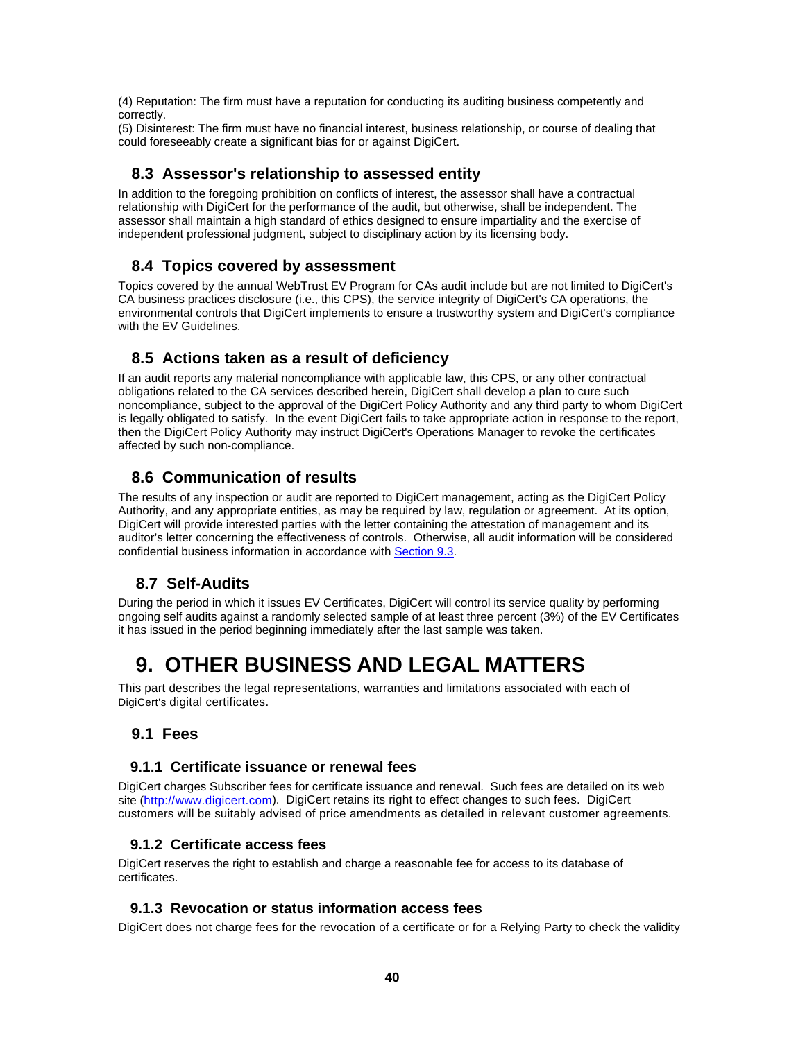(4) Reputation: The firm must have a reputation for conducting its auditing business competently and correctly.

(5) Disinterest: The firm must have no financial interest, business relationship, or course of dealing that could foreseeably create a significant bias for or against DigiCert.

#### **8.3 Assessor's relationship to assessed entity**

In addition to the foregoing prohibition on conflicts of interest, the assessor shall have a contractual relationship with DigiCert for the performance of the audit, but otherwise, shall be independent. The assessor shall maintain a high standard of ethics designed to ensure impartiality and the exercise of independent professional judgment, subject to disciplinary action by its licensing body.

# **8.4 Topics covered by assessment**

Topics covered by the annual WebTrust EV Program for CAs audit include but are not limited to DigiCert's CA business practices disclosure (i.e., this CPS), the service integrity of DigiCert's CA operations, the environmental controls that DigiCert implements to ensure a trustworthy system and DigiCert's compliance with the EV Guidelines.

# **8.5 Actions taken as a result of deficiency**

If an audit reports any material noncompliance with applicable law, this CPS, or any other contractual obligations related to the CA services described herein, DigiCert shall develop a plan to cure such noncompliance, subject to the approval of the DigiCert Policy Authority and any third party to whom DigiCert is legally obligated to satisfy. In the event DigiCert fails to take appropriate action in response to the report, then the DigiCert Policy Authority may instruct DigiCert's Operations Manager to revoke the certificates affected by such non-compliance.

# **8.6 Communication of results**

The results of any inspection or audit are reported to DigiCert management, acting as the DigiCert Policy Authority, and any appropriate entities, as may be required by law, regulation or agreement. At its option, DigiCert will provide interested parties with the letter containing the attestation of management and its auditor's letter concerning the effectiveness of controls. Otherwise, all audit information will be considered confidential business information in accordance with Section 9.3.

# **8.7 Self-Audits**

During the period in which it issues EV Certificates, DigiCert will control its service quality by performing ongoing self audits against a randomly selected sample of at least three percent (3%) of the EV Certificates it has issued in the period beginning immediately after the last sample was taken.

# **9. OTHER BUSINESS AND LEGAL MATTERS**

This part describes the legal representations, warranties and limitations associated with each of DigiCert's digital certificates.

#### **9.1 Fees**

#### **9.1.1 Certificate issuance or renewal fees**

DigiCert charges Subscriber fees for certificate issuance and renewal. Such fees are detailed on its web site (http://www.digicert.com). DigiCert retains its right to effect changes to such fees. DigiCert customers will be suitably advised of price amendments as detailed in relevant customer agreements.

#### **9.1.2 Certificate access fees**

DigiCert reserves the right to establish and charge a reasonable fee for access to its database of certificates.

#### **9.1.3 Revocation or status information access fees**

DigiCert does not charge fees for the revocation of a certificate or for a Relying Party to check the validity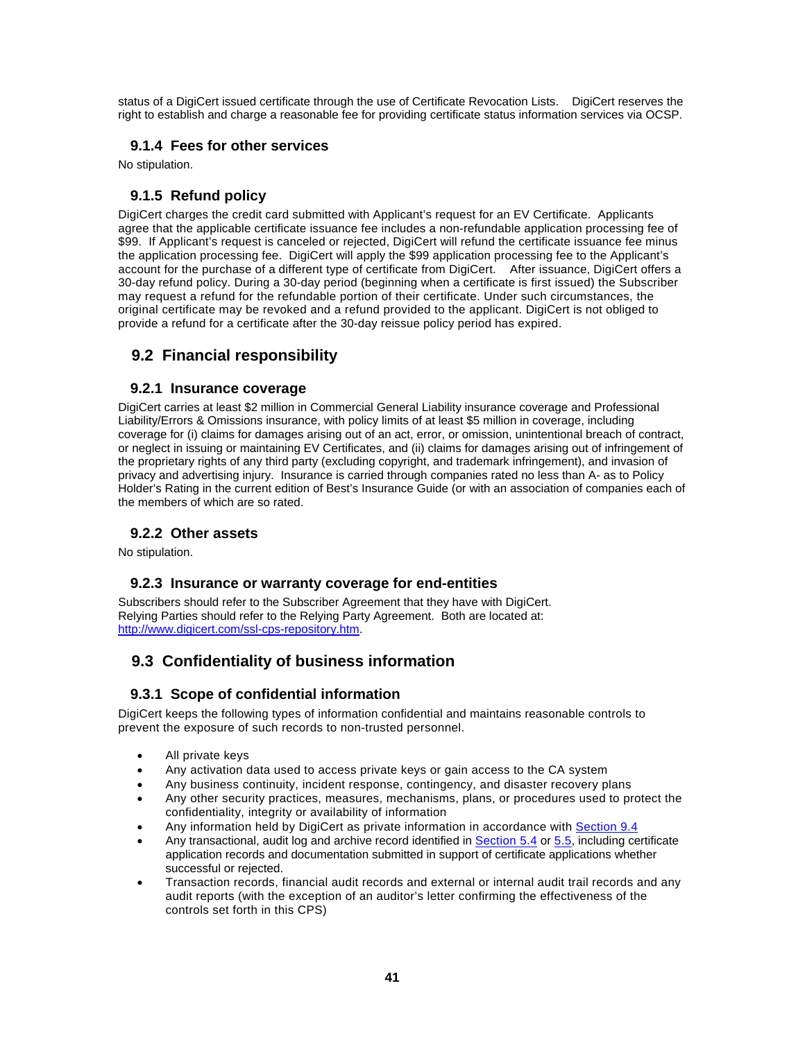status of a DigiCert issued certificate through the use of Certificate Revocation Lists. DigiCert reserves the right to establish and charge a reasonable fee for providing certificate status information services via OCSP.

#### **9.1.4 Fees for other services**

No stipulation.

## **9.1.5 Refund policy**

DigiCert charges the credit card submitted with Applicant's request for an EV Certificate. Applicants agree that the applicable certificate issuance fee includes a non-refundable application processing fee of \$99. If Applicant's request is canceled or rejected, DigiCert will refund the certificate issuance fee minus the application processing fee. DigiCert will apply the \$99 application processing fee to the Applicant's account for the purchase of a different type of certificate from DigiCert. After issuance, DigiCert offers a 30-day refund policy. During a 30-day period (beginning when a certificate is first issued) the Subscriber may request a refund for the refundable portion of their certificate. Under such circumstances, the original certificate may be revoked and a refund provided to the applicant. DigiCert is not obliged to provide a refund for a certificate after the 30-day reissue policy period has expired.

# **9.2 Financial responsibility**

#### **9.2.1 Insurance coverage**

DigiCert carries at least \$2 million in Commercial General Liability insurance coverage and Professional Liability/Errors & Omissions insurance, with policy limits of at least \$5 million in coverage, including coverage for (i) claims for damages arising out of an act, error, or omission, unintentional breach of contract, or neglect in issuing or maintaining EV Certificates, and (ii) claims for damages arising out of infringement of the proprietary rights of any third party (excluding copyright, and trademark infringement), and invasion of privacy and advertising injury. Insurance is carried through companies rated no less than A- as to Policy Holder's Rating in the current edition of Best's Insurance Guide (or with an association of companies each of the members of which are so rated.

#### **9.2.2 Other assets**

No stipulation.

#### **9.2.3 Insurance or warranty coverage for end-entities**

Subscribers should refer to the Subscriber Agreement that they have with DigiCert. Relying Parties should refer to the Relying Party Agreement. Both are located at: http://www.digicert.com/ssl-cps-repository.htm.

# **9.3 Confidentiality of business information**

#### **9.3.1 Scope of confidential information**

DigiCert keeps the following types of information confidential and maintains reasonable controls to prevent the exposure of such records to non-trusted personnel.

- All private keys
- Any activation data used to access private keys or gain access to the CA system
- Any business continuity, incident response, contingency, and disaster recovery plans
- Any other security practices, measures, mechanisms, plans, or procedures used to protect the confidentiality, integrity or availability of information
- Any information held by DigiCert as private information in accordance with Section 9.4
- Any transactional, audit log and archive record identified in Section 5.4 or 5.5, including certificate application records and documentation submitted in support of certificate applications whether successful or rejected.
- Transaction records, financial audit records and external or internal audit trail records and any audit reports (with the exception of an auditor's letter confirming the effectiveness of the controls set forth in this CPS)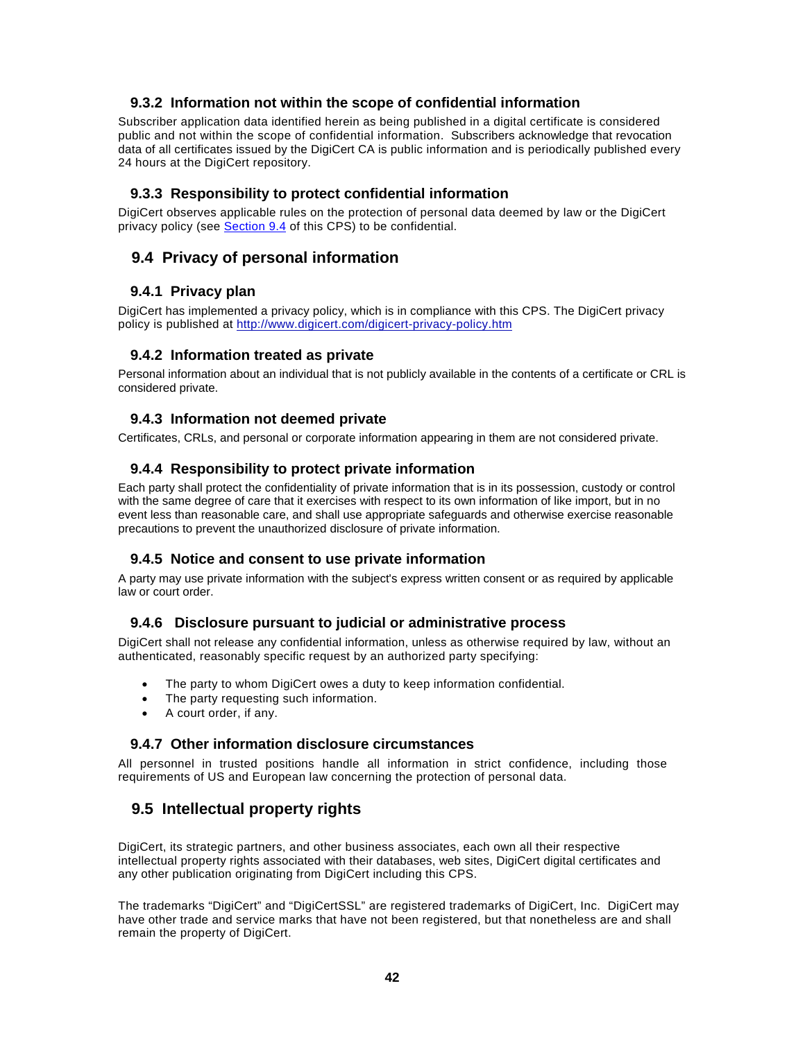#### **9.3.2 Information not within the scope of confidential information**

Subscriber application data identified herein as being published in a digital certificate is considered public and not within the scope of confidential information. Subscribers acknowledge that revocation data of all certificates issued by the DigiCert CA is public information and is periodically published every 24 hours at the DigiCert repository.

#### **9.3.3 Responsibility to protect confidential information**

DigiCert observes applicable rules on the protection of personal data deemed by law or the DigiCert privacy policy (see Section 9.4 of this CPS) to be confidential.

#### **9.4 Privacy of personal information**

#### **9.4.1 Privacy plan**

DigiCert has implemented a privacy policy, which is in compliance with this CPS. The DigiCert privacy policy is published at http://www.digicert.com/digicert-privacy-policy.htm

#### **9.4.2 Information treated as private**

Personal information about an individual that is not publicly available in the contents of a certificate or CRL is considered private.

#### **9.4.3 Information not deemed private**

Certificates, CRLs, and personal or corporate information appearing in them are not considered private.

#### **9.4.4 Responsibility to protect private information**

Each party shall protect the confidentiality of private information that is in its possession, custody or control with the same degree of care that it exercises with respect to its own information of like import, but in no event less than reasonable care, and shall use appropriate safeguards and otherwise exercise reasonable precautions to prevent the unauthorized disclosure of private information.

#### **9.4.5 Notice and consent to use private information**

A party may use private information with the subject's express written consent or as required by applicable law or court order.

#### **9.4.6 Disclosure pursuant to judicial or administrative process**

DigiCert shall not release any confidential information, unless as otherwise required by law, without an authenticated, reasonably specific request by an authorized party specifying:

- The party to whom DigiCert owes a duty to keep information confidential.
- The party requesting such information.
- A court order, if any.

#### **9.4.7 Other information disclosure circumstances**

All personnel in trusted positions handle all information in strict confidence, including those requirements of US and European law concerning the protection of personal data.

# **9.5 Intellectual property rights**

DigiCert, its strategic partners, and other business associates, each own all their respective intellectual property rights associated with their databases, web sites, DigiCert digital certificates and any other publication originating from DigiCert including this CPS.

The trademarks "DigiCert" and "DigiCertSSL" are registered trademarks of DigiCert, Inc. DigiCert may have other trade and service marks that have not been registered, but that nonetheless are and shall remain the property of DigiCert.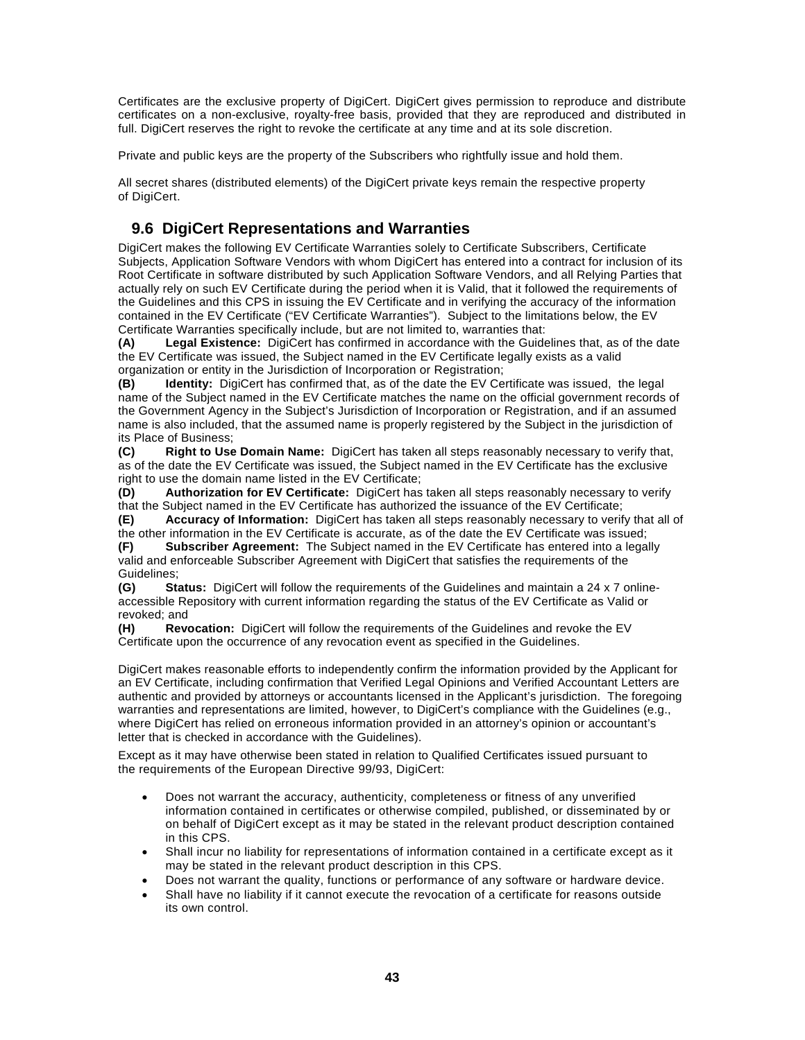Certificates are the exclusive property of DigiCert. DigiCert gives permission to reproduce and distribute certificates on a non-exclusive, royalty-free basis, provided that they are reproduced and distributed in full. DigiCert reserves the right to revoke the certificate at any time and at its sole discretion.

Private and public keys are the property of the Subscribers who rightfully issue and hold them.

All secret shares (distributed elements) of the DigiCert private keys remain the respective property of DigiCert.

# **9.6 DigiCert Representations and Warranties**

DigiCert makes the following EV Certificate Warranties solely to Certificate Subscribers, Certificate Subjects, Application Software Vendors with whom DigiCert has entered into a contract for inclusion of its Root Certificate in software distributed by such Application Software Vendors, and all Relying Parties that actually rely on such EV Certificate during the period when it is Valid, that it followed the requirements of the Guidelines and this CPS in issuing the EV Certificate and in verifying the accuracy of the information contained in the EV Certificate ("EV Certificate Warranties"). Subject to the limitations below, the EV Certificate Warranties specifically include, but are not limited to, warranties that:

**(A) Legal Existence:** DigiCert has confirmed in accordance with the Guidelines that, as of the date the EV Certificate was issued, the Subject named in the EV Certificate legally exists as a valid organization or entity in the Jurisdiction of Incorporation or Registration;

**(B) Identity:** DigiCert has confirmed that, as of the date the EV Certificate was issued, the legal name of the Subject named in the EV Certificate matches the name on the official government records of the Government Agency in the Subject's Jurisdiction of Incorporation or Registration, and if an assumed name is also included, that the assumed name is properly registered by the Subject in the jurisdiction of its Place of Business;

**(C) Right to Use Domain Name:** DigiCert has taken all steps reasonably necessary to verify that, as of the date the EV Certificate was issued, the Subject named in the EV Certificate has the exclusive right to use the domain name listed in the EV Certificate;

**(D) Authorization for EV Certificate:** DigiCert has taken all steps reasonably necessary to verify that the Subject named in the EV Certificate has authorized the issuance of the EV Certificate;

**(E) Accuracy of Information:** DigiCert has taken all steps reasonably necessary to verify that all of the other information in the EV Certificate is accurate, as of the date the EV Certificate was issued;

**(F) Subscriber Agreement:** The Subject named in the EV Certificate has entered into a legally valid and enforceable Subscriber Agreement with DigiCert that satisfies the requirements of the Guidelines;

**(G) Status:** DigiCert will follow the requirements of the Guidelines and maintain a 24 x 7 onlineaccessible Repository with current information regarding the status of the EV Certificate as Valid or revoked; and

**(H) Revocation:** DigiCert will follow the requirements of the Guidelines and revoke the EV Certificate upon the occurrence of any revocation event as specified in the Guidelines.

DigiCert makes reasonable efforts to independently confirm the information provided by the Applicant for an EV Certificate, including confirmation that Verified Legal Opinions and Verified Accountant Letters are authentic and provided by attorneys or accountants licensed in the Applicant's jurisdiction. The foregoing warranties and representations are limited, however, to DigiCert's compliance with the Guidelines (e.g., where DigiCert has relied on erroneous information provided in an attorney's opinion or accountant's letter that is checked in accordance with the Guidelines).

Except as it may have otherwise been stated in relation to Qualified Certificates issued pursuant to the requirements of the European Directive 99/93, DigiCert:

- Does not warrant the accuracy, authenticity, completeness or fitness of any unverified information contained in certificates or otherwise compiled, published, or disseminated by or on behalf of DigiCert except as it may be stated in the relevant product description contained in this CPS.
- Shall incur no liability for representations of information contained in a certificate except as it may be stated in the relevant product description in this CPS.
- Does not warrant the quality, functions or performance of any software or hardware device.
- Shall have no liability if it cannot execute the revocation of a certificate for reasons outside its own control.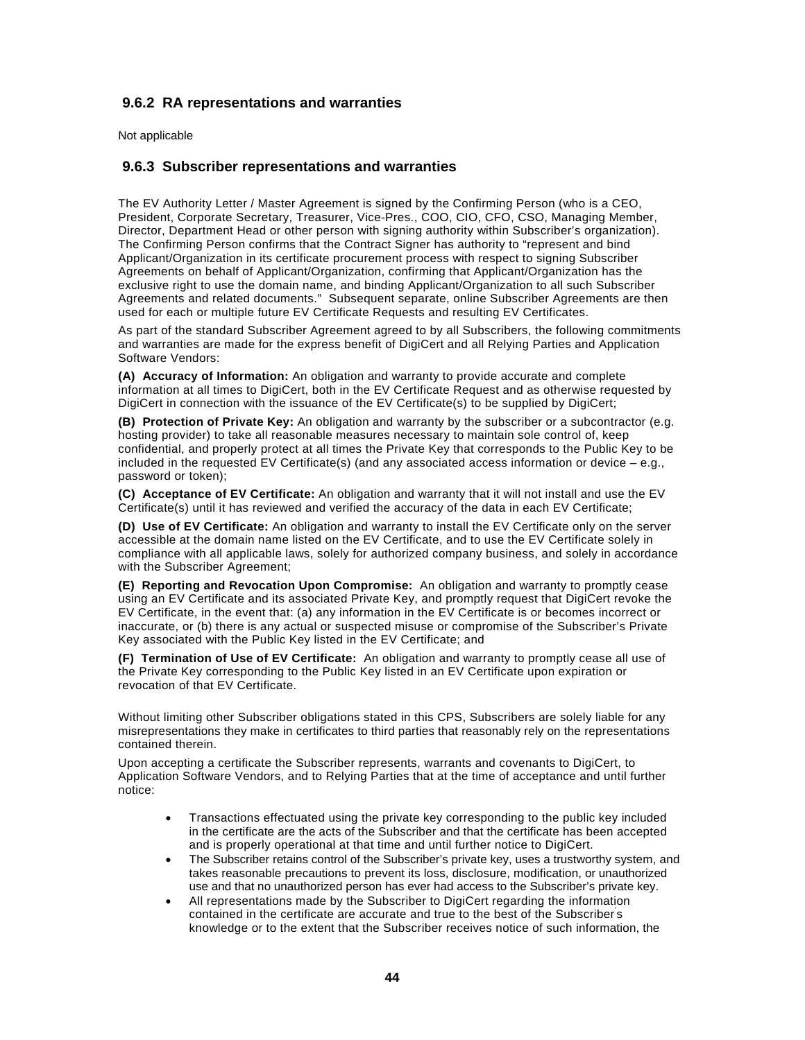#### **9.6.2 RA representations and warranties**

Not applicable

#### **9.6.3 Subscriber representations and warranties**

The EV Authority Letter / Master Agreement is signed by the Confirming Person (who is a CEO, President, Corporate Secretary, Treasurer, Vice-Pres., COO, CIO, CFO, CSO, Managing Member, Director, Department Head or other person with signing authority within Subscriber's organization). The Confirming Person confirms that the Contract Signer has authority to "represent and bind Applicant/Organization in its certificate procurement process with respect to signing Subscriber Agreements on behalf of Applicant/Organization, confirming that Applicant/Organization has the exclusive right to use the domain name, and binding Applicant/Organization to all such Subscriber Agreements and related documents." Subsequent separate, online Subscriber Agreements are then used for each or multiple future EV Certificate Requests and resulting EV Certificates.

As part of the standard Subscriber Agreement agreed to by all Subscribers, the following commitments and warranties are made for the express benefit of DigiCert and all Relying Parties and Application Software Vendors:

**(A) Accuracy of Information:** An obligation and warranty to provide accurate and complete information at all times to DigiCert, both in the EV Certificate Request and as otherwise requested by DigiCert in connection with the issuance of the EV Certificate(s) to be supplied by DigiCert;

**(B) Protection of Private Key:** An obligation and warranty by the subscriber or a subcontractor (e.g. hosting provider) to take all reasonable measures necessary to maintain sole control of, keep confidential, and properly protect at all times the Private Key that corresponds to the Public Key to be included in the requested EV Certificate(s) (and any associated access information or device – e.g., password or token);

**(C) Acceptance of EV Certificate:** An obligation and warranty that it will not install and use the EV Certificate(s) until it has reviewed and verified the accuracy of the data in each EV Certificate;

**(D) Use of EV Certificate:** An obligation and warranty to install the EV Certificate only on the server accessible at the domain name listed on the EV Certificate, and to use the EV Certificate solely in compliance with all applicable laws, solely for authorized company business, and solely in accordance with the Subscriber Agreement;

**(E) Reporting and Revocation Upon Compromise:** An obligation and warranty to promptly cease using an EV Certificate and its associated Private Key, and promptly request that DigiCert revoke the EV Certificate, in the event that: (a) any information in the EV Certificate is or becomes incorrect or inaccurate, or (b) there is any actual or suspected misuse or compromise of the Subscriber's Private Key associated with the Public Key listed in the EV Certificate; and

**(F) Termination of Use of EV Certificate:** An obligation and warranty to promptly cease all use of the Private Key corresponding to the Public Key listed in an EV Certificate upon expiration or revocation of that EV Certificate.

Without limiting other Subscriber obligations stated in this CPS, Subscribers are solely liable for any misrepresentations they make in certificates to third parties that reasonably rely on the representations contained therein.

Upon accepting a certificate the Subscriber represents, warrants and covenants to DigiCert, to Application Software Vendors, and to Relying Parties that at the time of acceptance and until further notice:

- Transactions effectuated using the private key corresponding to the public key included in the certificate are the acts of the Subscriber and that the certificate has been accepted and is properly operational at that time and until further notice to DigiCert.
- The Subscriber retains control of the Subscriber's private key, uses a trustworthy system, and takes reasonable precautions to prevent its loss, disclosure, modification, or unauthorized use and that no unauthorized person has ever had access to the Subscriber's private key.
- All representations made by the Subscriber to DigiCert regarding the information contained in the certificate are accurate and true to the best of the Subscriber' s knowledge or to the extent that the Subscriber receives notice of such information, the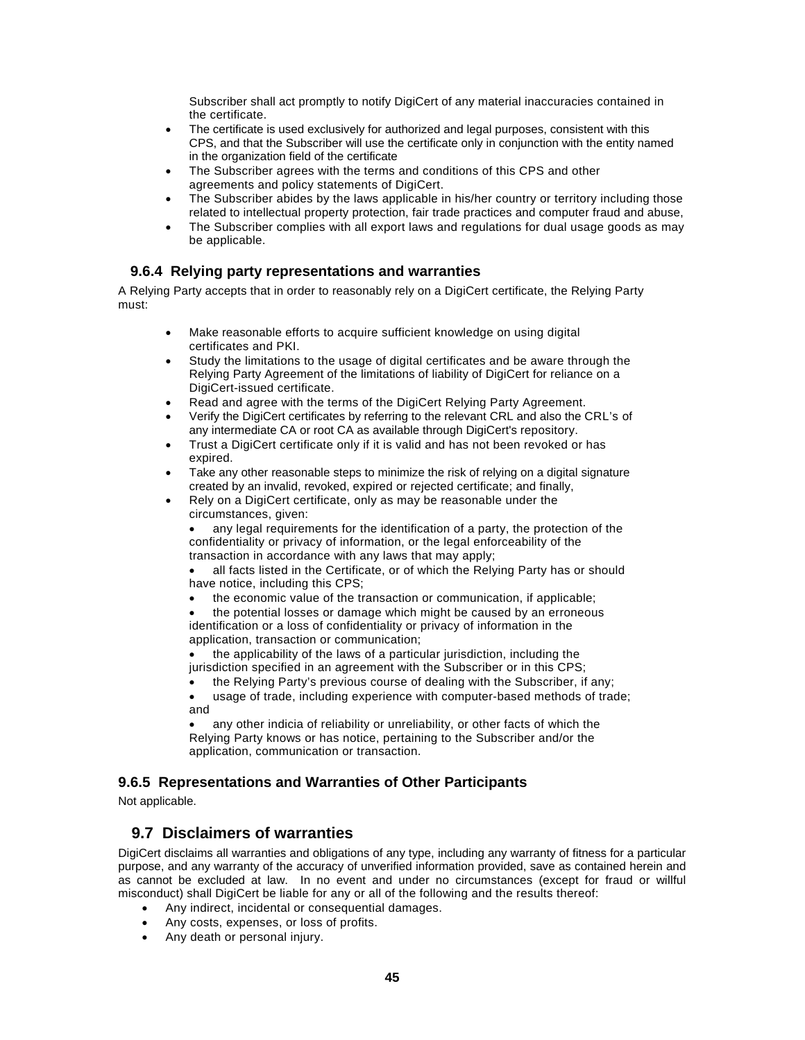Subscriber shall act promptly to notify DigiCert of any material inaccuracies contained in the certificate.

- The certificate is used exclusively for authorized and legal purposes, consistent with this CPS, and that the Subscriber will use the certificate only in conjunction with the entity named in the organization field of the certificate
- The Subscriber agrees with the terms and conditions of this CPS and other agreements and policy statements of DigiCert.
- The Subscriber abides by the laws applicable in his/her country or territory including those related to intellectual property protection, fair trade practices and computer fraud and abuse,
- The Subscriber complies with all export laws and regulations for dual usage goods as may be applicable.

#### **9.6.4 Relying party representations and warranties**

A Relying Party accepts that in order to reasonably rely on a DigiCert certificate, the Relying Party must:

- Make reasonable efforts to acquire sufficient knowledge on using digital certificates and PKI.
- Study the limitations to the usage of digital certificates and be aware through the Relying Party Agreement of the limitations of liability of DigiCert for reliance on a DigiCert-issued certificate.
- Read and agree with the terms of the DigiCert Relying Party Agreement.
- Verify the DigiCert certificates by referring to the relevant CRL and also the CRL's of any intermediate CA or root CA as available through DigiCert's repository.
- Trust a DigiCert certificate only if it is valid and has not been revoked or has expired.
- Take any other reasonable steps to minimize the risk of relying on a digital signature created by an invalid, revoked, expired or rejected certificate; and finally,
- Rely on a DigiCert certificate, only as may be reasonable under the circumstances, given:

 any legal requirements for the identification of a party, the protection of the confidentiality or privacy of information, or the legal enforceability of the transaction in accordance with any laws that may apply;

 all facts listed in the Certificate, or of which the Relying Party has or should have notice, including this CPS;

the economic value of the transaction or communication, if applicable;

 the potential losses or damage which might be caused by an erroneous identification or a loss of confidentiality or privacy of information in the application, transaction or communication;

 the applicability of the laws of a particular jurisdiction, including the jurisdiction specified in an agreement with the Subscriber or in this CPS;

- the Relying Party's previous course of dealing with the Subscriber, if any;
- usage of trade, including experience with computer-based methods of trade; and

 any other indicia of reliability or unreliability, or other facts of which the Relying Party knows or has notice, pertaining to the Subscriber and/or the application, communication or transaction.

#### **9.6.5 Representations and Warranties of Other Participants**

Not applicable.

# **9.7 Disclaimers of warranties**

DigiCert disclaims all warranties and obligations of any type, including any warranty of fitness for a particular purpose, and any warranty of the accuracy of unverified information provided, save as contained herein and as cannot be excluded at law. In no event and under no circumstances (except for fraud or willful misconduct) shall DigiCert be liable for any or all of the following and the results thereof:

- Any indirect, incidental or consequential damages.
- Any costs, expenses, or loss of profits.
- Any death or personal injury.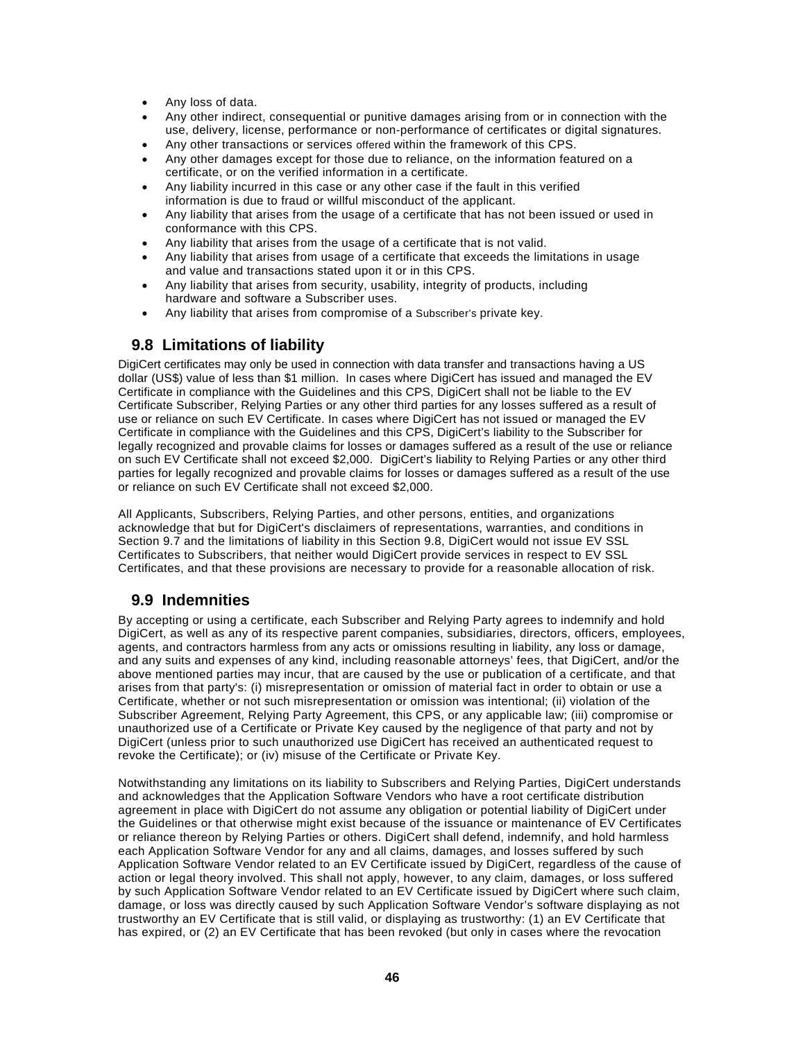- Any loss of data.
- Any other indirect, consequential or punitive damages arising from or in connection with the use, delivery, license, performance or non-performance of certificates or digital signatures.
- Any other transactions or services offered within the framework of this CPS.
- Any other damages except for those due to reliance, on the information featured on a certificate, or on the verified information in a certificate.
- Any liability incurred in this case or any other case if the fault in this verified information is due to fraud or willful misconduct of the applicant.
- Any liability that arises from the usage of a certificate that has not been issued or used in conformance with this CPS.
- Any liability that arises from the usage of a certificate that is not valid.
- Any liability that arises from usage of a certificate that exceeds the limitations in usage and value and transactions stated upon it or in this CPS.
- Any liability that arises from security, usability, integrity of products, including hardware and software a Subscriber uses.
- Any liability that arises from compromise of a Subscriber's private key.

# **9.8 Limitations of liability**

DigiCert certificates may only be used in connection with data transfer and transactions having a US dollar (US\$) value of less than \$1 million. In cases where DigiCert has issued and managed the EV Certificate in compliance with the Guidelines and this CPS, DigiCert shall not be liable to the EV Certificate Subscriber, Relying Parties or any other third parties for any losses suffered as a result of use or reliance on such EV Certificate. In cases where DigiCert has not issued or managed the EV Certificate in compliance with the Guidelines and this CPS, DigiCert's liability to the Subscriber for legally recognized and provable claims for losses or damages suffered as a result of the use or reliance on such EV Certificate shall not exceed \$2,000. DigiCert's liability to Relying Parties or any other third parties for legally recognized and provable claims for losses or damages suffered as a result of the use or reliance on such EV Certificate shall not exceed \$2,000.

All Applicants, Subscribers, Relying Parties, and other persons, entities, and organizations acknowledge that but for DigiCert's disclaimers of representations, warranties, and conditions in Section 9.7 and the limitations of liability in this Section 9.8, DigiCert would not issue EV SSL Certificates to Subscribers, that neither would DigiCert provide services in respect to EV SSL Certificates, and that these provisions are necessary to provide for a reasonable allocation of risk.

# **9.9 Indemnities**

By accepting or using a certificate, each Subscriber and Relying Party agrees to indemnify and hold DigiCert, as well as any of its respective parent companies, subsidiaries, directors, officers, employees, agents, and contractors harmless from any acts or omissions resulting in liability, any loss or damage, and any suits and expenses of any kind, including reasonable attorneys' fees, that DigiCert, and/or the above mentioned parties may incur, that are caused by the use or publication of a certificate, and that arises from that party's: (i) misrepresentation or omission of material fact in order to obtain or use a Certificate, whether or not such misrepresentation or omission was intentional; (ii) violation of the Subscriber Agreement, Relying Party Agreement, this CPS, or any applicable law; (iii) compromise or unauthorized use of a Certificate or Private Key caused by the negligence of that party and not by DigiCert (unless prior to such unauthorized use DigiCert has received an authenticated request to revoke the Certificate); or (iv) misuse of the Certificate or Private Key.

Notwithstanding any limitations on its liability to Subscribers and Relying Parties, DigiCert understands and acknowledges that the Application Software Vendors who have a root certificate distribution agreement in place with DigiCert do not assume any obligation or potential liability of DigiCert under the Guidelines or that otherwise might exist because of the issuance or maintenance of EV Certificates or reliance thereon by Relying Parties or others. DigiCert shall defend, indemnify, and hold harmless each Application Software Vendor for any and all claims, damages, and losses suffered by such Application Software Vendor related to an EV Certificate issued by DigiCert, regardless of the cause of action or legal theory involved. This shall not apply, however, to any claim, damages, or loss suffered by such Application Software Vendor related to an EV Certificate issued by DigiCert where such claim, damage, or loss was directly caused by such Application Software Vendor's software displaying as not trustworthy an EV Certificate that is still valid, or displaying as trustworthy: (1) an EV Certificate that has expired, or (2) an EV Certificate that has been revoked (but only in cases where the revocation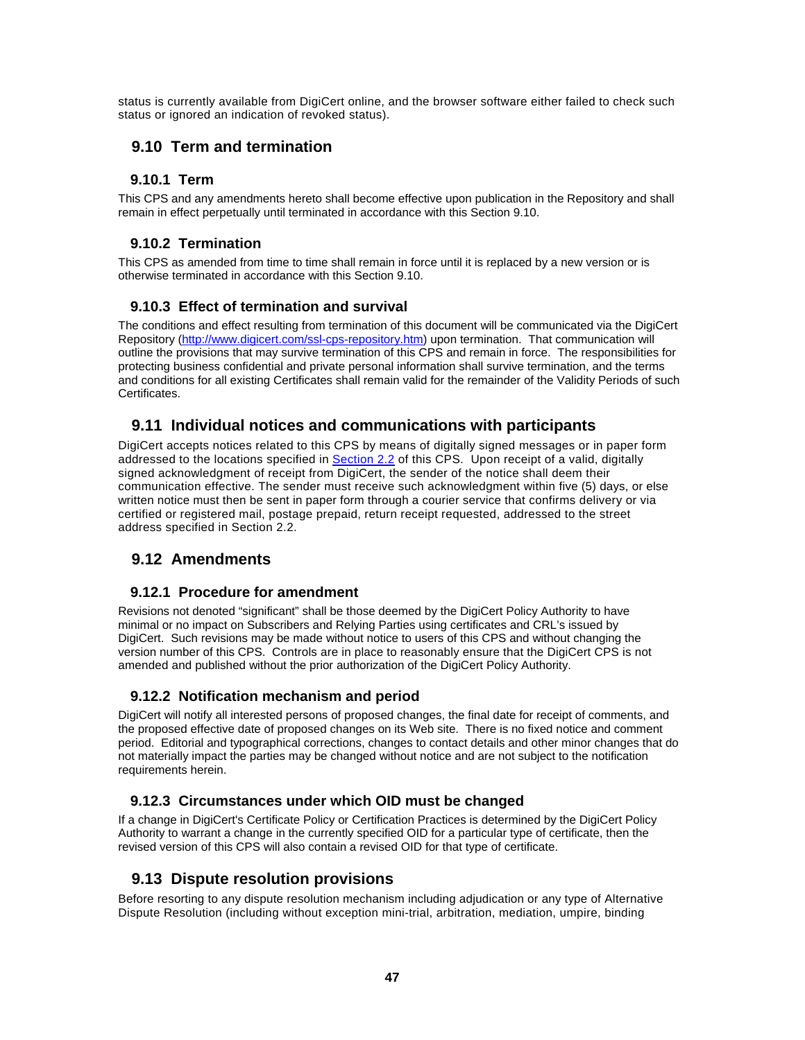status is currently available from DigiCert online, and the browser software either failed to check such status or ignored an indication of revoked status).

# **9.10 Term and termination**

## **9.10.1 Term**

This CPS and any amendments hereto shall become effective upon publication in the Repository and shall remain in effect perpetually until terminated in accordance with this Section 9.10.

#### **9.10.2 Termination**

This CPS as amended from time to time shall remain in force until it is replaced by a new version or is otherwise terminated in accordance with this Section 9.10.

#### **9.10.3 Effect of termination and survival**

The conditions and effect resulting from termination of this document will be communicated via the DigiCert Repository (http://www.digicert.com/ssl-cps-repository.htm) upon termination. That communication will outline the provisions that may survive termination of this CPS and remain in force. The responsibilities for protecting business confidential and private personal information shall survive termination, and the terms and conditions for all existing Certificates shall remain valid for the remainder of the Validity Periods of such Certificates.

# **9.11 Individual notices and communications with participants**

DigiCert accepts notices related to this CPS by means of digitally signed messages or in paper form addressed to the locations specified in Section 2.2 of this CPS. Upon receipt of a valid, digitally signed acknowledgment of receipt from DigiCert, the sender of the notice shall deem their communication effective. The sender must receive such acknowledgment within five (5) days, or else written notice must then be sent in paper form through a courier service that confirms delivery or via certified or registered mail, postage prepaid, return receipt requested, addressed to the street address specified in Section 2.2.

# **9.12 Amendments**

#### **9.12.1 Procedure for amendment**

Revisions not denoted "significant" shall be those deemed by the DigiCert Policy Authority to have minimal or no impact on Subscribers and Relying Parties using certificates and CRL's issued by DigiCert. Such revisions may be made without notice to users of this CPS and without changing the version number of this CPS. Controls are in place to reasonably ensure that the DigiCert CPS is not amended and published without the prior authorization of the DigiCert Policy Authority.

# **9.12.2 Notification mechanism and period**

DigiCert will notify all interested persons of proposed changes, the final date for receipt of comments, and the proposed effective date of proposed changes on its Web site. There is no fixed notice and comment period. Editorial and typographical corrections, changes to contact details and other minor changes that do not materially impact the parties may be changed without notice and are not subject to the notification requirements herein.

#### **9.12.3 Circumstances under which OID must be changed**

If a change in DigiCert's Certificate Policy or Certification Practices is determined by the DigiCert Policy Authority to warrant a change in the currently specified OID for a particular type of certificate, then the revised version of this CPS will also contain a revised OID for that type of certificate.

# **9.13 Dispute resolution provisions**

Before resorting to any dispute resolution mechanism including adjudication or any type of Alternative Dispute Resolution (including without exception mini-trial, arbitration, mediation, umpire, binding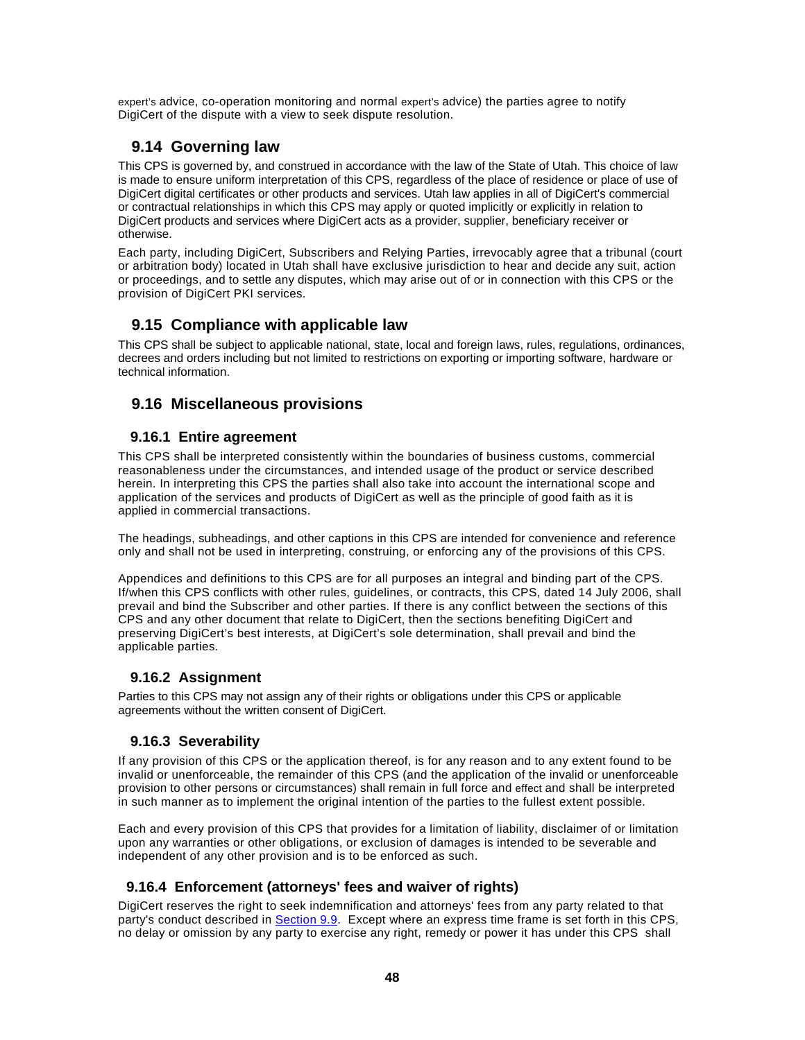expert's advice, co-operation monitoring and normal expert's advice) the parties agree to notify DigiCert of the dispute with a view to seek dispute resolution.

# **9.14 Governing law**

This CPS is governed by, and construed in accordance with the law of the State of Utah. This choice of law is made to ensure uniform interpretation of this CPS, regardless of the place of residence or place of use of DigiCert digital certificates or other products and services. Utah law applies in all of DigiCert's commercial or contractual relationships in which this CPS may apply or quoted implicitly or explicitly in relation to DigiCert products and services where DigiCert acts as a provider, supplier, beneficiary receiver or otherwise.

Each party, including DigiCert, Subscribers and Relying Parties, irrevocably agree that a tribunal (court or arbitration body) located in Utah shall have exclusive jurisdiction to hear and decide any suit, action or proceedings, and to settle any disputes, which may arise out of or in connection with this CPS or the provision of DigiCert PKI services.

# **9.15 Compliance with applicable law**

This CPS shall be subject to applicable national, state, local and foreign laws, rules, regulations, ordinances, decrees and orders including but not limited to restrictions on exporting or importing software, hardware or technical information.

# **9.16 Miscellaneous provisions**

#### **9.16.1 Entire agreement**

This CPS shall be interpreted consistently within the boundaries of business customs, commercial reasonableness under the circumstances, and intended usage of the product or service described herein. In interpreting this CPS the parties shall also take into account the international scope and application of the services and products of DigiCert as well as the principle of good faith as it is applied in commercial transactions.

The headings, subheadings, and other captions in this CPS are intended for convenience and reference only and shall not be used in interpreting, construing, or enforcing any of the provisions of this CPS.

Appendices and definitions to this CPS are for all purposes an integral and binding part of the CPS. If/when this CPS conflicts with other rules, guidelines, or contracts, this CPS, dated 14 July 2006, shall prevail and bind the Subscriber and other parties. If there is any conflict between the sections of this CPS and any other document that relate to DigiCert, then the sections benefiting DigiCert and preserving DigiCert's best interests, at DigiCert's sole determination, shall prevail and bind the applicable parties.

# **9.16.2 Assignment**

Parties to this CPS may not assign any of their rights or obligations under this CPS or applicable agreements without the written consent of DigiCert.

# **9.16.3 Severability**

If any provision of this CPS or the application thereof, is for any reason and to any extent found to be invalid or unenforceable, the remainder of this CPS (and the application of the invalid or unenforceable provision to other persons or circumstances) shall remain in full force and effect and shall be interpreted in such manner as to implement the original intention of the parties to the fullest extent possible.

Each and every provision of this CPS that provides for a limitation of liability, disclaimer of or limitation upon any warranties or other obligations, or exclusion of damages is intended to be severable and independent of any other provision and is to be enforced as such.

# **9.16.4 Enforcement (attorneys' fees and waiver of rights)**

DigiCert reserves the right to seek indemnification and attorneys' fees from any party related to that party's conduct described in Section 9.9. Except where an express time frame is set forth in this CPS, no delay or omission by any party to exercise any right, remedy or power it has under this CPS shall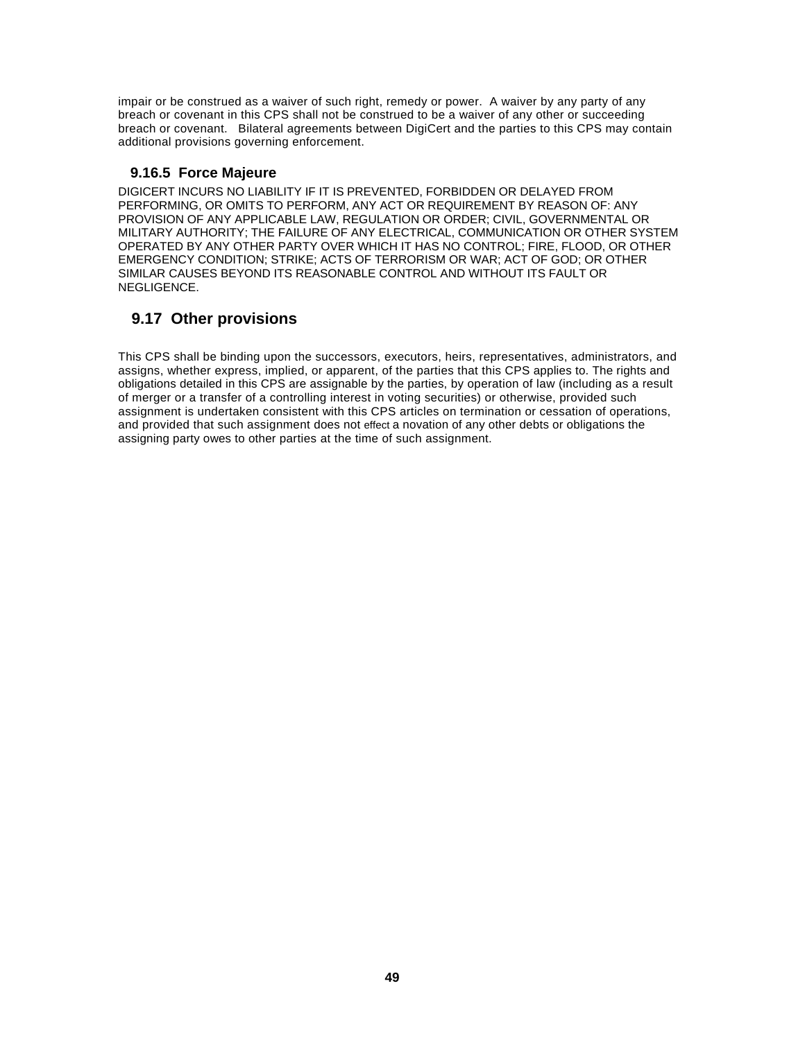impair or be construed as a waiver of such right, remedy or power. A waiver by any party of any breach or covenant in this CPS shall not be construed to be a waiver of any other or succeeding breach or covenant. Bilateral agreements between DigiCert and the parties to this CPS may contain additional provisions governing enforcement.

#### **9.16.5 Force Majeure**

DIGICERT INCURS NO LIABILITY IF IT IS PREVENTED, FORBIDDEN OR DELAYED FROM PERFORMING, OR OMITS TO PERFORM, ANY ACT OR REQUIREMENT BY REASON OF: ANY PROVISION OF ANY APPLICABLE LAW, REGULATION OR ORDER; CIVIL, GOVERNMENTAL OR MILITARY AUTHORITY; THE FAILURE OF ANY ELECTRICAL, COMMUNICATION OR OTHER SYSTEM OPERATED BY ANY OTHER PARTY OVER WHICH IT HAS NO CONTROL; FIRE, FLOOD, OR OTHER EMERGENCY CONDITION; STRIKE; ACTS OF TERRORISM OR WAR; ACT OF GOD; OR OTHER SIMILAR CAUSES BEYOND ITS REASONABLE CONTROL AND WITHOUT ITS FAULT OR NEGLIGENCE.

# **9.17 Other provisions**

This CPS shall be binding upon the successors, executors, heirs, representatives, administrators, and assigns, whether express, implied, or apparent, of the parties that this CPS applies to. The rights and obligations detailed in this CPS are assignable by the parties, by operation of law (including as a result of merger or a transfer of a controlling interest in voting securities) or otherwise, provided such assignment is undertaken consistent with this CPS articles on termination or cessation of operations, and provided that such assignment does not effect a novation of any other debts or obligations the assigning party owes to other parties at the time of such assignment.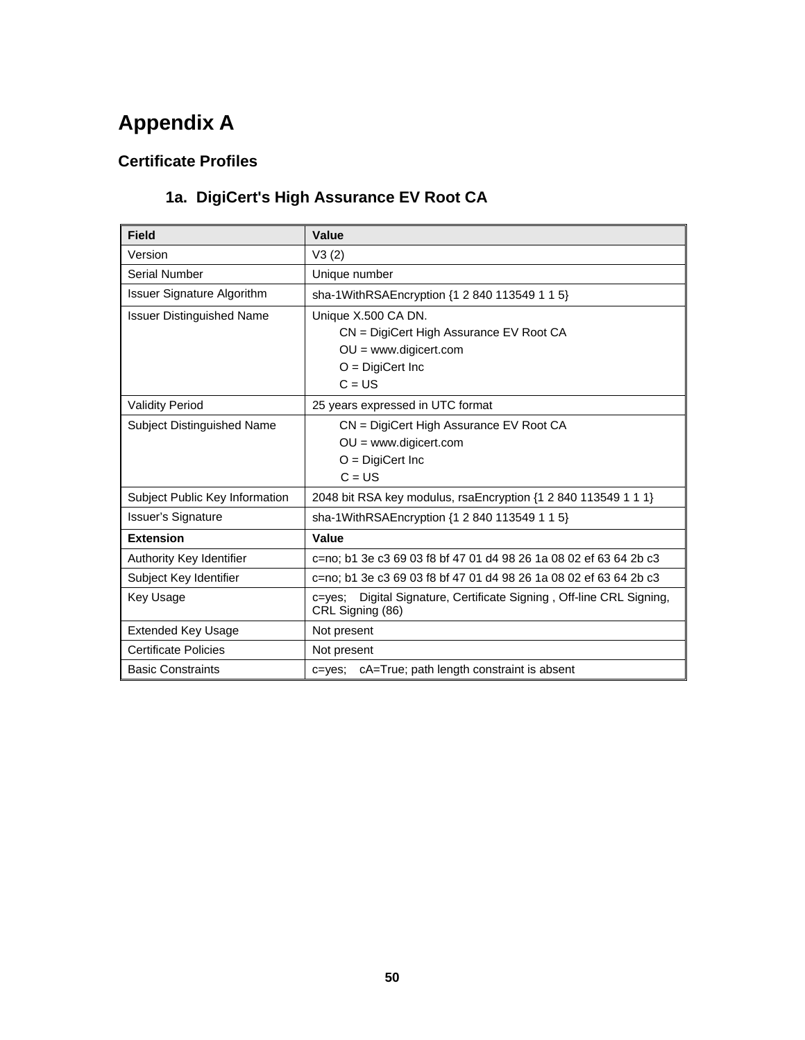# **Appendix A**

# **Certificate Profiles**

# **1a. DigiCert's High Assurance EV Root CA**

| <b>Field</b>                     | Value                                                                                              |  |
|----------------------------------|----------------------------------------------------------------------------------------------------|--|
| Version                          | V3(2)                                                                                              |  |
| Serial Number                    | Unique number                                                                                      |  |
| Issuer Signature Algorithm       | sha-1WithRSAEncryption {1 2 840 113549 1 1 5}                                                      |  |
| <b>Issuer Distinguished Name</b> | Unique X.500 CA DN.                                                                                |  |
|                                  | CN = DigiCert High Assurance EV Root CA                                                            |  |
|                                  | $OU = www.digicert.com$                                                                            |  |
|                                  | $O = DigitCert \, Inc$                                                                             |  |
|                                  | $C = US$                                                                                           |  |
| <b>Validity Period</b>           | 25 years expressed in UTC format                                                                   |  |
| Subject Distinguished Name       | CN = DigiCert High Assurance EV Root CA                                                            |  |
|                                  | $OU = www.digicert.com$                                                                            |  |
|                                  | $O =$ DigiCert Inc                                                                                 |  |
|                                  | $C = US$                                                                                           |  |
| Subject Public Key Information   | 2048 bit RSA key modulus, rsaEncryption {1 2 840 113549 1 1 1}                                     |  |
| <b>Issuer's Signature</b>        | sha-1WithRSAEncryption {1 2 840 113549 1 1 5}                                                      |  |
| <b>Extension</b>                 | Value                                                                                              |  |
| Authority Key Identifier         | c=no; b1 3e c3 69 03 f8 bf 47 01 d4 98 26 1a 08 02 ef 63 64 2b c3                                  |  |
| Subject Key Identifier           | c=no: b1 3e c3 69 03 f8 bf 47 01 d4 98 26 1a 08 02 ef 63 64 2b c3                                  |  |
| Key Usage                        | Digital Signature, Certificate Signing, Off-line CRL Signing,<br>$c = v e s$ ;<br>CRL Signing (86) |  |
| <b>Extended Key Usage</b>        | Not present                                                                                        |  |
| <b>Certificate Policies</b>      | Not present                                                                                        |  |
| <b>Basic Constraints</b>         | c=yes; cA=True; path length constraint is absent                                                   |  |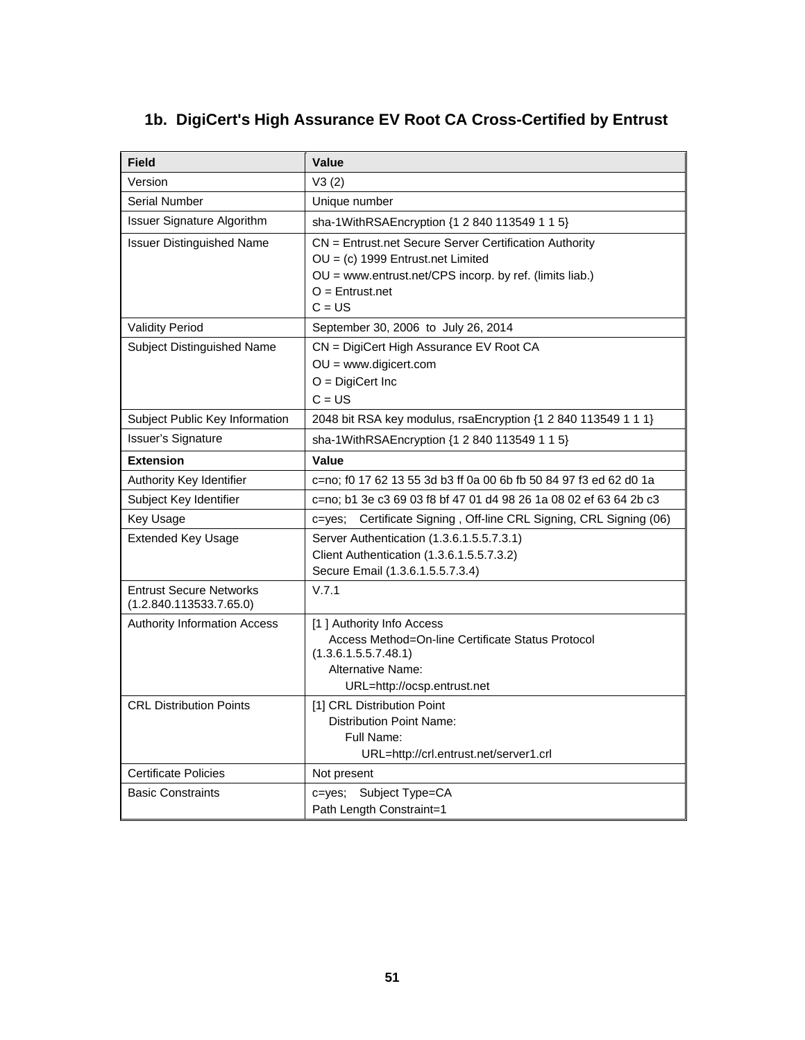# **1b. DigiCert's High Assurance EV Root CA Cross-Certified by Entrust**

| <b>Field</b>                                              | Value                                                                                                                                                                                     |
|-----------------------------------------------------------|-------------------------------------------------------------------------------------------------------------------------------------------------------------------------------------------|
| Version                                                   | V3(2)                                                                                                                                                                                     |
| Serial Number                                             | Unique number                                                                                                                                                                             |
| <b>Issuer Signature Algorithm</b>                         | sha-1WithRSAEncryption {1 2 840 113549 1 1 5}                                                                                                                                             |
| <b>Issuer Distinguished Name</b>                          | CN = Entrust.net Secure Server Certification Authority<br>$OU = (c)$ 1999 Entrust.net Limited<br>OU = www.entrust.net/CPS incorp. by ref. (limits liab.)<br>$O =$ Entrust.net<br>$C = US$ |
| <b>Validity Period</b>                                    | September 30, 2006 to July 26, 2014                                                                                                                                                       |
| Subject Distinguished Name                                | CN = DigiCert High Assurance EV Root CA<br>$OU = www.digicert.com$<br>$O = DigitCert \, Inc$<br>$C = US$                                                                                  |
| Subject Public Key Information                            | 2048 bit RSA key modulus, rsaEncryption {1 2 840 113549 1 1 1}                                                                                                                            |
| <b>Issuer's Signature</b>                                 | sha-1WithRSAEncryption {1 2 840 113549 1 1 5}                                                                                                                                             |
| <b>Extension</b>                                          | Value                                                                                                                                                                                     |
| Authority Key Identifier                                  | c=no; f0 17 62 13 55 3d b3 ff 0a 00 6b fb 50 84 97 f3 ed 62 d0 1a                                                                                                                         |
| Subject Key Identifier                                    | c=no; b1 3e c3 69 03 f8 bf 47 01 d4 98 26 1a 08 02 ef 63 64 2b c3                                                                                                                         |
| Key Usage                                                 | Certificate Signing, Off-line CRL Signing, CRL Signing (06)<br>c=yes;                                                                                                                     |
| <b>Extended Key Usage</b>                                 | Server Authentication (1.3.6.1.5.5.7.3.1)<br>Client Authentication (1.3.6.1.5.5.7.3.2)<br>Secure Email (1.3.6.1.5.5.7.3.4)                                                                |
| <b>Entrust Secure Networks</b><br>(1.2.840.113533.7.65.0) | V.7.1                                                                                                                                                                                     |
| <b>Authority Information Access</b>                       | [1] Authority Info Access<br>Access Method=On-line Certificate Status Protocol<br>(1.3.6.1.5.5.7.48.1)<br>Alternative Name:<br>URL=http://ocsp.entrust.net                                |
| <b>CRL Distribution Points</b>                            | [1] CRL Distribution Point<br><b>Distribution Point Name:</b><br>Full Name:<br>URL=http://crl.entrust.net/server1.crl                                                                     |
| <b>Certificate Policies</b>                               | Not present                                                                                                                                                                               |
| <b>Basic Constraints</b>                                  | Subject Type=CA<br>c=yes;<br>Path Length Constraint=1                                                                                                                                     |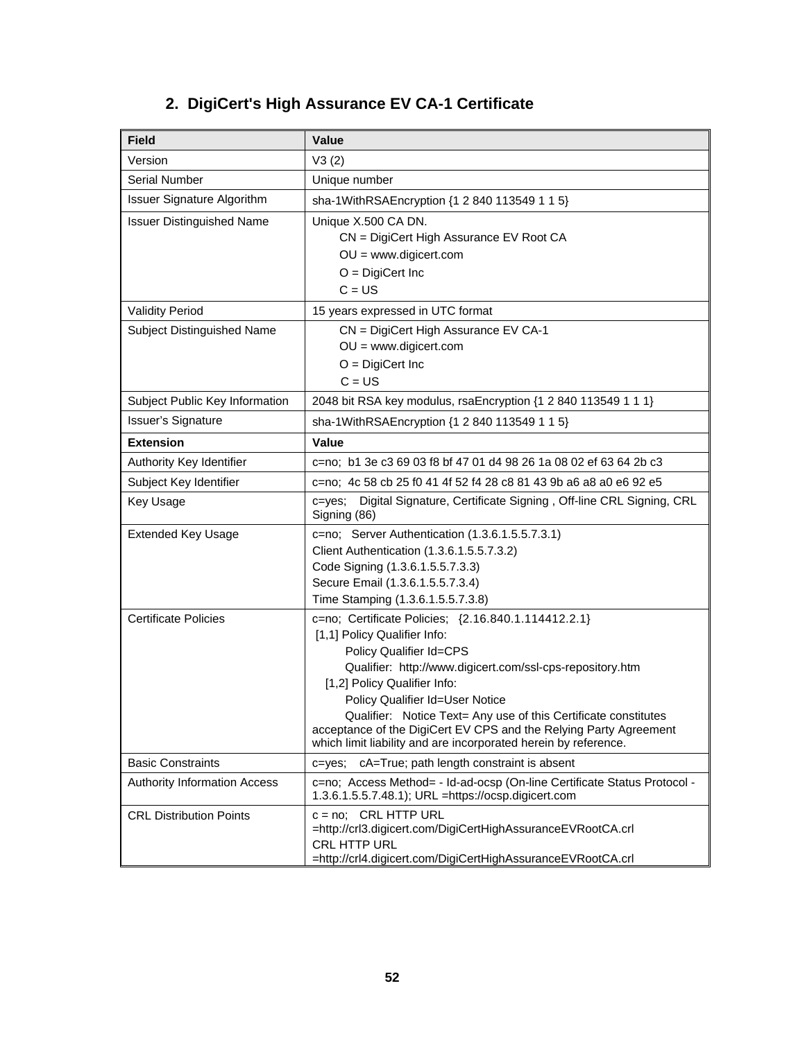| <b>Field</b>                      | <b>Value</b>                                                                                                                                                                                                                                                                                                                                                                                                                                              |
|-----------------------------------|-----------------------------------------------------------------------------------------------------------------------------------------------------------------------------------------------------------------------------------------------------------------------------------------------------------------------------------------------------------------------------------------------------------------------------------------------------------|
| Version                           | V3(2)                                                                                                                                                                                                                                                                                                                                                                                                                                                     |
| <b>Serial Number</b>              | Unique number                                                                                                                                                                                                                                                                                                                                                                                                                                             |
| <b>Issuer Signature Algorithm</b> | sha-1WithRSAEncryption {1 2 840 113549 1 1 5}                                                                                                                                                                                                                                                                                                                                                                                                             |
| <b>Issuer Distinguished Name</b>  | Unique X.500 CA DN.<br>CN = DigiCert High Assurance EV Root CA<br>$OU = www.digicert.com$<br>$O = DigitCert \, Inc$<br>$C = US$                                                                                                                                                                                                                                                                                                                           |
| <b>Validity Period</b>            | 15 years expressed in UTC format                                                                                                                                                                                                                                                                                                                                                                                                                          |
| Subject Distinguished Name        | CN = DigiCert High Assurance EV CA-1<br>$OU = www.digicert.com$<br>$O = DigitCert \, Inc$<br>$C = US$                                                                                                                                                                                                                                                                                                                                                     |
| Subject Public Key Information    | 2048 bit RSA key modulus, rsaEncryption {1 2 840 113549 1 1 1}                                                                                                                                                                                                                                                                                                                                                                                            |
| <b>Issuer's Signature</b>         | sha-1WithRSAEncryption {1 2 840 113549 1 1 5}                                                                                                                                                                                                                                                                                                                                                                                                             |
| <b>Extension</b>                  | <b>Value</b>                                                                                                                                                                                                                                                                                                                                                                                                                                              |
| Authority Key Identifier          | c=no: b1 3e c3 69 03 f8 bf 47 01 d4 98 26 1a 08 02 ef 63 64 2b c3                                                                                                                                                                                                                                                                                                                                                                                         |
| Subject Key Identifier            | c=no; 4c 58 cb 25 f0 41 4f 52 f4 28 c8 81 43 9b a6 a8 a0 e6 92 e5                                                                                                                                                                                                                                                                                                                                                                                         |
| <b>Key Usage</b>                  | Digital Signature, Certificate Signing, Off-line CRL Signing, CRL<br>$c = v e s$ ;<br>Signing (86)                                                                                                                                                                                                                                                                                                                                                        |
| <b>Extended Key Usage</b>         | c=no; Server Authentication (1.3.6.1.5.5.7.3.1)<br>Client Authentication (1.3.6.1.5.5.7.3.2)<br>Code Signing (1.3.6.1.5.5.7.3.3)<br>Secure Email (1.3.6.1.5.5.7.3.4)<br>Time Stamping (1.3.6.1.5.5.7.3.8)                                                                                                                                                                                                                                                 |
| <b>Certificate Policies</b>       | c=no; Certificate Policies; {2.16.840.1.114412.2.1}<br>[1,1] Policy Qualifier Info:<br>Policy Qualifier Id=CPS<br>Qualifier: http://www.digicert.com/ssl-cps-repository.htm<br>[1,2] Policy Qualifier Info:<br>Policy Qualifier Id=User Notice<br>Qualifier: Notice Text= Any use of this Certificate constitutes<br>acceptance of the DigiCert EV CPS and the Relying Party Agreement<br>which limit liability and are incorporated herein by reference. |
| <b>Basic Constraints</b>          | cA=True; path length constraint is absent<br>c=yes;                                                                                                                                                                                                                                                                                                                                                                                                       |
| Authority Information Access      | c=no; Access Method= - Id-ad-ocsp (On-line Certificate Status Protocol -<br>1.3.6.1.5.5.7.48.1); URL =https://ocsp.digicert.com                                                                                                                                                                                                                                                                                                                           |
| <b>CRL Distribution Points</b>    | $c = no$ ; CRL HTTP URL<br>=http://crl3.digicert.com/DigiCertHighAssuranceEVRootCA.crl<br>CRL HTTP URL<br>=http://crl4.digicert.com/DigiCertHighAssuranceEVRootCA.crl                                                                                                                                                                                                                                                                                     |

# **2. DigiCert's High Assurance EV CA-1 Certificate**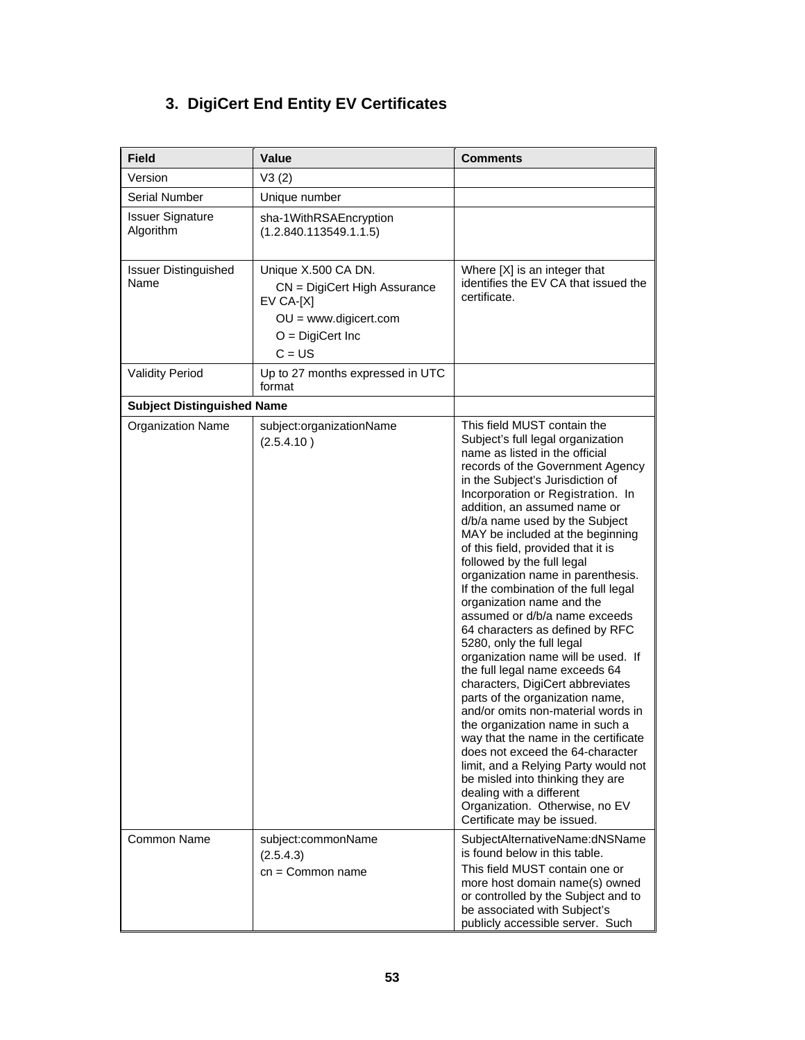# **3. DigiCert End Entity EV Certificates**

| <b>Field</b>                         | <b>Value</b>                                                                                                                        | <b>Comments</b>                                                                                                                                                                                                                                                                                                                                                                                                                                                                                                                                                                                                                                                                                                                                                                                                                                                                                                                                                                                                                                                                  |
|--------------------------------------|-------------------------------------------------------------------------------------------------------------------------------------|----------------------------------------------------------------------------------------------------------------------------------------------------------------------------------------------------------------------------------------------------------------------------------------------------------------------------------------------------------------------------------------------------------------------------------------------------------------------------------------------------------------------------------------------------------------------------------------------------------------------------------------------------------------------------------------------------------------------------------------------------------------------------------------------------------------------------------------------------------------------------------------------------------------------------------------------------------------------------------------------------------------------------------------------------------------------------------|
| Version                              | V3(2)                                                                                                                               |                                                                                                                                                                                                                                                                                                                                                                                                                                                                                                                                                                                                                                                                                                                                                                                                                                                                                                                                                                                                                                                                                  |
| Serial Number                        | Unique number                                                                                                                       |                                                                                                                                                                                                                                                                                                                                                                                                                                                                                                                                                                                                                                                                                                                                                                                                                                                                                                                                                                                                                                                                                  |
| <b>Issuer Signature</b><br>Algorithm | sha-1WithRSAEncryption<br>(1.2.840.113549.1.1.5)                                                                                    |                                                                                                                                                                                                                                                                                                                                                                                                                                                                                                                                                                                                                                                                                                                                                                                                                                                                                                                                                                                                                                                                                  |
| <b>Issuer Distinguished</b><br>Name  | Unique X.500 CA DN.<br>CN = DigiCert High Assurance<br>$EV CA-[X]$<br>$OU = www.digicert.com$<br>$O = DigitCert \, Inc$<br>$C = US$ | Where [X] is an integer that<br>identifies the EV CA that issued the<br>certificate.                                                                                                                                                                                                                                                                                                                                                                                                                                                                                                                                                                                                                                                                                                                                                                                                                                                                                                                                                                                             |
| <b>Validity Period</b>               | Up to 27 months expressed in UTC<br>format                                                                                          |                                                                                                                                                                                                                                                                                                                                                                                                                                                                                                                                                                                                                                                                                                                                                                                                                                                                                                                                                                                                                                                                                  |
| <b>Subject Distinguished Name</b>    |                                                                                                                                     |                                                                                                                                                                                                                                                                                                                                                                                                                                                                                                                                                                                                                                                                                                                                                                                                                                                                                                                                                                                                                                                                                  |
| <b>Organization Name</b>             | subject:organizationName<br>(2.5.4.10)                                                                                              | This field MUST contain the<br>Subject's full legal organization<br>name as listed in the official<br>records of the Government Agency<br>in the Subject's Jurisdiction of<br>Incorporation or Registration. In<br>addition, an assumed name or<br>d/b/a name used by the Subject<br>MAY be included at the beginning<br>of this field, provided that it is<br>followed by the full legal<br>organization name in parenthesis.<br>If the combination of the full legal<br>organization name and the<br>assumed or d/b/a name exceeds<br>64 characters as defined by RFC<br>5280, only the full legal<br>organization name will be used. If<br>the full legal name exceeds 64<br>characters, DigiCert abbreviates<br>parts of the organization name,<br>and/or omits non-material words in<br>the organization name in such a<br>way that the name in the certificate<br>does not exceed the 64-character<br>limit, and a Relying Party would not<br>be misled into thinking they are<br>dealing with a different<br>Organization. Otherwise, no EV<br>Certificate may be issued. |
| Common Name                          | subject:commonName<br>(2.5.4.3)<br>$cn = Common name$                                                                               | SubjectAlternativeName:dNSName<br>is found below in this table.<br>This field MUST contain one or<br>more host domain name(s) owned<br>or controlled by the Subject and to<br>be associated with Subject's<br>publicly accessible server. Such                                                                                                                                                                                                                                                                                                                                                                                                                                                                                                                                                                                                                                                                                                                                                                                                                                   |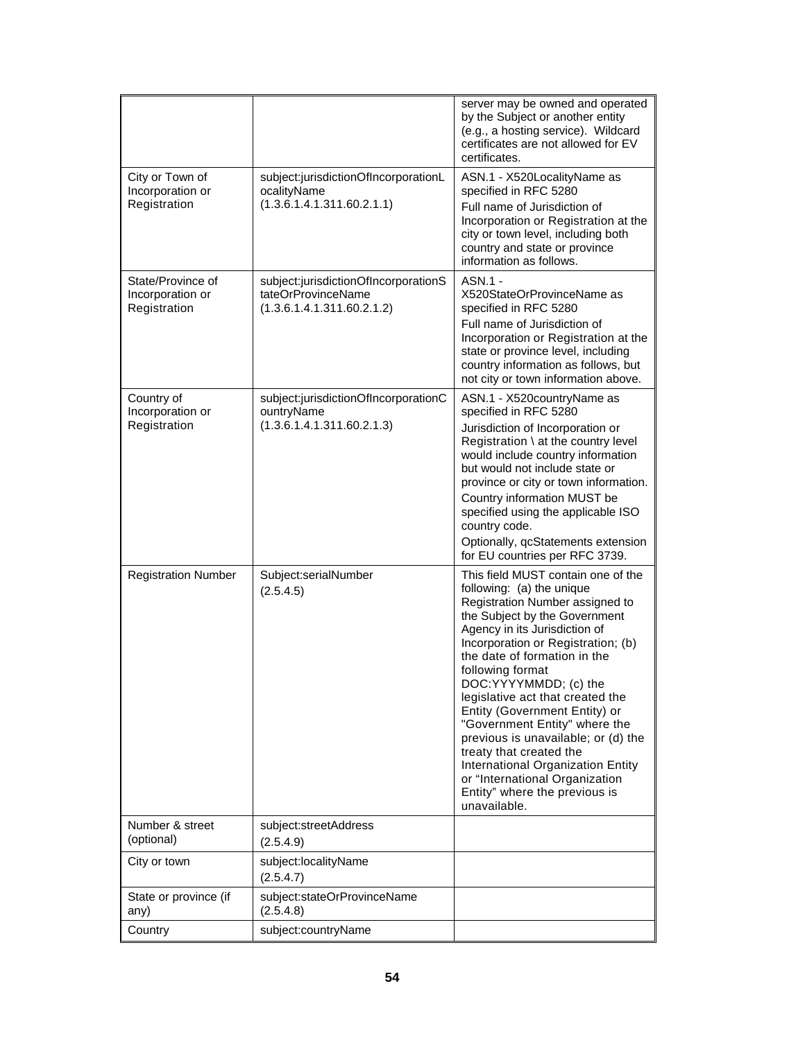|                                                       |                                                                                          | server may be owned and operated<br>by the Subject or another entity<br>(e.g., a hosting service). Wildcard<br>certificates are not allowed for EV<br>certificates.                                                                                                                                                                                                                                                                                                                                                                                                                     |
|-------------------------------------------------------|------------------------------------------------------------------------------------------|-----------------------------------------------------------------------------------------------------------------------------------------------------------------------------------------------------------------------------------------------------------------------------------------------------------------------------------------------------------------------------------------------------------------------------------------------------------------------------------------------------------------------------------------------------------------------------------------|
| City or Town of<br>Incorporation or<br>Registration   | subject:jurisdictionOfIncorporationL<br>ocalityName<br>(1.3.6.1.4.1.311.60.2.1.1)        | ASN.1 - X520LocalityName as<br>specified in RFC 5280<br>Full name of Jurisdiction of<br>Incorporation or Registration at the<br>city or town level, including both<br>country and state or province<br>information as follows.                                                                                                                                                                                                                                                                                                                                                          |
| State/Province of<br>Incorporation or<br>Registration | subject:jurisdictionOfIncorporationS<br>tateOrProvinceName<br>(1.3.6.1.4.1.311.60.2.1.2) | ASN.1 -<br>X520StateOrProvinceName as<br>specified in RFC 5280<br>Full name of Jurisdiction of<br>Incorporation or Registration at the<br>state or province level, including<br>country information as follows, but<br>not city or town information above.                                                                                                                                                                                                                                                                                                                              |
| Country of<br>Incorporation or<br>Registration        | subject:jurisdictionOfIncorporationC<br>ountryName<br>(1.3.6.1.4.1.311.60.2.1.3)         | ASN.1 - X520countryName as<br>specified in RFC 5280<br>Jurisdiction of Incorporation or<br>Registration \ at the country level<br>would include country information<br>but would not include state or<br>province or city or town information.<br>Country information MUST be<br>specified using the applicable ISO<br>country code.<br>Optionally, qcStatements extension<br>for EU countries per RFC 3739.                                                                                                                                                                            |
| <b>Registration Number</b>                            | Subject:serialNumber<br>(2.5.4.5)                                                        | This field MUST contain one of the<br>following: (a) the unique<br>Registration Number assigned to<br>the Subject by the Government<br>Agency in its Jurisdiction of<br>Incorporation or Registration; (b)<br>the date of formation in the<br>following format<br>DOC:YYYYMMDD; (c) the<br>legislative act that created the<br>Entity (Government Entity) or<br>"Government Entity" where the<br>previous is unavailable; or (d) the<br>treaty that created the<br>International Organization Entity<br>or "International Organization<br>Entity" where the previous is<br>unavailable. |
| Number & street<br>(optional)                         | subject:streetAddress<br>(2.5.4.9)                                                       |                                                                                                                                                                                                                                                                                                                                                                                                                                                                                                                                                                                         |
| City or town                                          | subject:localityName<br>(2.5.4.7)                                                        |                                                                                                                                                                                                                                                                                                                                                                                                                                                                                                                                                                                         |
| State or province (if<br>any)                         | subject:stateOrProvinceName<br>(2.5.4.8)                                                 |                                                                                                                                                                                                                                                                                                                                                                                                                                                                                                                                                                                         |
| Country                                               | subject:countryName                                                                      |                                                                                                                                                                                                                                                                                                                                                                                                                                                                                                                                                                                         |